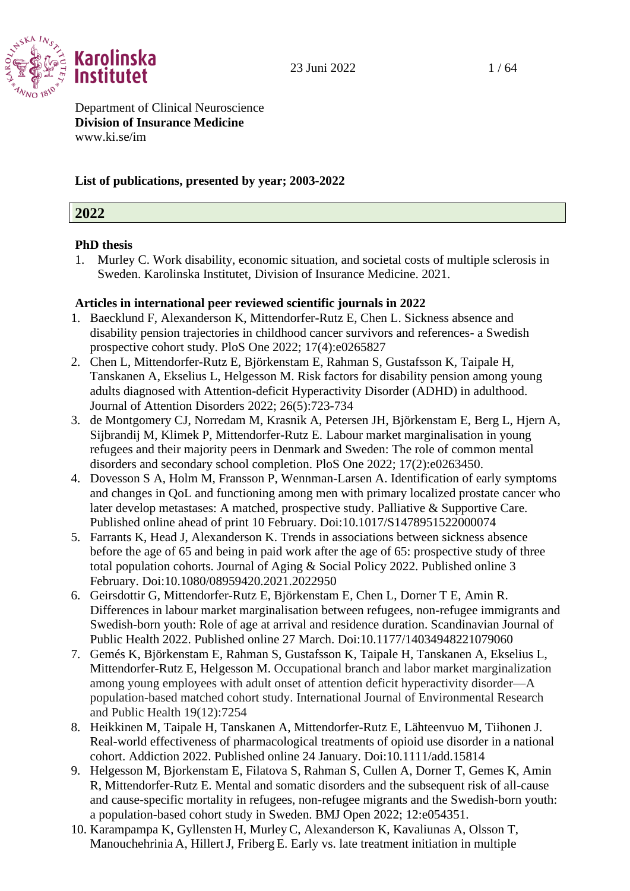

Department of Clinical Neuroscience **Division of Insurance Medicine** [www.ki.se/im](http://www.ki.se/im)

#### **List of publications, presented by year; 2003-2022**

#### **2022**

# **PhD thesis**

1. Murley C. Work disability, economic situation, and societal costs of multiple sclerosis in Sweden. Karolinska Institutet, Division of Insurance Medicine. 2021.

- 1. Baecklund F, Alexanderson K, Mittendorfer-Rutz E, Chen L. Sickness absence and disability pension trajectories in childhood cancer survivors and references- a Swedish prospective cohort study. PloS One 2022; 17(4):e0265827
- 2. Chen L, Mittendorfer-Rutz E, Björkenstam E, Rahman S, Gustafsson K, Taipale H, Tanskanen A, Ekselius L, Helgesson M. Risk factors for disability pension among young adults diagnosed with Attention-deficit Hyperactivity Disorder (ADHD) in adulthood. Journal of Attention Disorders 2022; 26(5):723-734
- 3. de Montgomery CJ, Norredam M, Krasnik A, Petersen JH, Björkenstam E, Berg L, Hjern A, Sijbrandij M, Klimek P, Mittendorfer-Rutz E. [Labour market marginalisation in young](https://eur01.safelinks.protection.outlook.com/?url=https%3A%2F%2Fpubmed.ncbi.nlm.nih.gov%2F35171929%2F&data=04%7C01%7Cannika.evolahti%40ki.se%7Cee9d9aca5f074f09afe708d9f22d886c%7Cbff7eef1cf4b4f32be3da1dda043c05d%7C0%7C0%7C637807100031079197%7CUnknown%7CTWFpbGZsb3d8eyJWIjoiMC4wLjAwMDAiLCJQIjoiV2luMzIiLCJBTiI6Ik1haWwiLCJXVCI6Mn0%3D%7C2000&sdata=5gmzBPIiLrqG3LAlHe7fQ8fQAqSLXbUf71N%2FkIsoIV8%3D&reserved=0)  [refugees and their majority peers in Denmark and Sweden: The role of common mental](https://eur01.safelinks.protection.outlook.com/?url=https%3A%2F%2Fpubmed.ncbi.nlm.nih.gov%2F35171929%2F&data=04%7C01%7Cannika.evolahti%40ki.se%7Cee9d9aca5f074f09afe708d9f22d886c%7Cbff7eef1cf4b4f32be3da1dda043c05d%7C0%7C0%7C637807100031079197%7CUnknown%7CTWFpbGZsb3d8eyJWIjoiMC4wLjAwMDAiLCJQIjoiV2luMzIiLCJBTiI6Ik1haWwiLCJXVCI6Mn0%3D%7C2000&sdata=5gmzBPIiLrqG3LAlHe7fQ8fQAqSLXbUf71N%2FkIsoIV8%3D&reserved=0)  [disorders and secondary school completion.](https://eur01.safelinks.protection.outlook.com/?url=https%3A%2F%2Fpubmed.ncbi.nlm.nih.gov%2F35171929%2F&data=04%7C01%7Cannika.evolahti%40ki.se%7Cee9d9aca5f074f09afe708d9f22d886c%7Cbff7eef1cf4b4f32be3da1dda043c05d%7C0%7C0%7C637807100031079197%7CUnknown%7CTWFpbGZsb3d8eyJWIjoiMC4wLjAwMDAiLCJQIjoiV2luMzIiLCJBTiI6Ik1haWwiLCJXVCI6Mn0%3D%7C2000&sdata=5gmzBPIiLrqG3LAlHe7fQ8fQAqSLXbUf71N%2FkIsoIV8%3D&reserved=0) PloS One 2022; 17(2):e0263450.
- 4. Dovesson S A, Holm M, Fransson P, Wennman-Larsen A. Identification of early symptoms and changes in QoL and functioning among men with primary localized prostate cancer who later develop metastases: A matched, prospective study. Palliative & Supportive Care. Published online ahead of print 10 February. Doi:10.1017/S1478951522000074
- 5. Farrants K, Head J, Alexanderson K. Trends in associations between sickness absence before the age of 65 and being in paid work after the age of 65: prospective study of three total population cohorts. Journal of Aging & Social Policy 2022. Published online 3 February. Doi:10.1080/08959420.2021.2022950
- 6. Geirsdottir G, Mittendorfer-Rutz E, Björkenstam E, Chen L, Dorner T E, Amin R. Differences in labour market marginalisation between refugees, non-refugee immigrants and Swedish-born youth: Role of age at arrival and residence duration. Scandinavian Journal of Public Health 2022. Published online 27 March. Doi:10.1177/14034948221079060
- 7. Gemés K, Björkenstam E, Rahman S, Gustafsson K, Taipale H, Tanskanen A, Ekselius L, Mittendorfer-Rutz E, Helgesson M. Occupational branch and labor market marginalization among young employees with adult onset of attention deficit hyperactivity disorder—A population-based matched cohort study. International Journal of Environmental Research and Public Health 19(12):7254
- 8. Heikkinen M, Taipale H, Tanskanen A, Mittendorfer-Rutz E, Lähteenvuo M, Tiihonen J. Real-world effectiveness of pharmacological treatments of opioid use disorder in a national cohort. Addiction 2022. Published online 24 January. Doi:10.1111/add.15814
- 9. Helgesson M, Bjorkenstam E, Filatova S, Rahman S, Cullen A, Dorner T, Gemes K, Amin R, Mittendorfer-Rutz E. Mental and somatic disorders and the subsequent risk of all-cause and cause-specific mortality in refugees, non-refugee migrants and the Swedish-born youth: a population-based cohort study in Sweden. BMJ Open 2022; 12:e054351.
- 10. Karampampa K, Gyllensten H, Murley C, Alexanderson K, Kavaliunas A, Olsson T, Manouchehrinia A, HillertJ, Friberg E. Early vs. late treatment initiation in multiple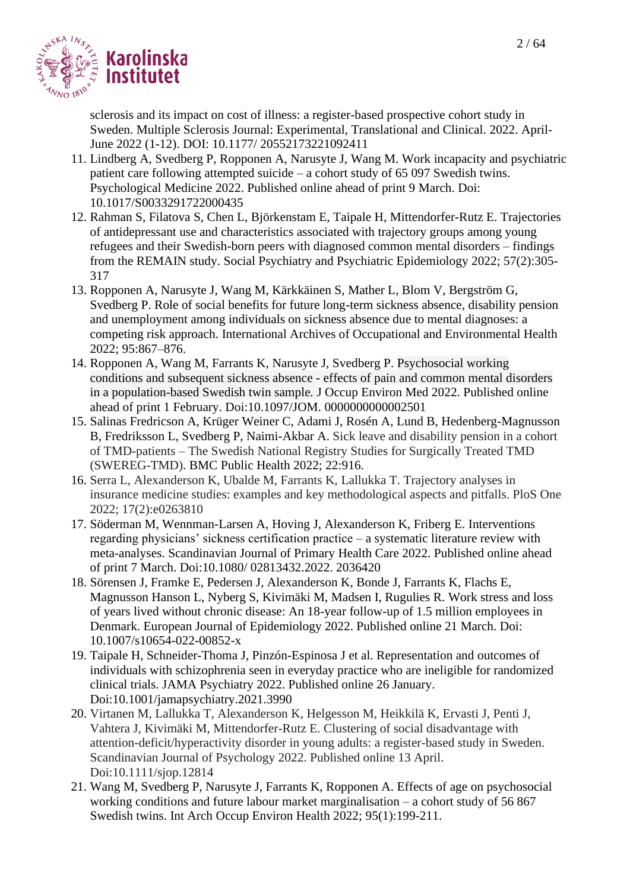

sclerosis and its impact on cost of illness: a register-based prospective cohort study in Sweden. Multiple Sclerosis Journal: Experimental, Translational and Clinical. 2022. April-June 2022 (1-12). DOI: 10.1177/ 20552173221092411

- 11. Lindberg A, Svedberg P, Ropponen A, Narusyte J, Wang M. Work incapacity and psychiatric patient care following attempted suicide – a cohort study of 65 097 Swedish twins. Psychological Medicine 2022. Published online ahead of print 9 March. Doi: 10.1017/S0033291722000435
- 12. Rahman S, Filatova S, Chen L, Björkenstam E, Taipale H, Mittendorfer-Rutz E. Trajectories of antidepressant use and characteristics associated with trajectory groups among young refugees and their Swedish-born peers with diagnosed common mental disorders – findings from the REMAIN study. Social Psychiatry and Psychiatric Epidemiology 2022; 57(2):305- 317
- 13. Ropponen A, Narusyte J, Wang M, Kärkkäinen S, Mather L, Blom V, Bergström G, Svedberg P. Role of social benefits for future long-term sickness absence, disability pension and unemployment among individuals on sickness absence due to mental diagnoses: a competing risk approach. International Archives of Occupational and Environmental Health 2022; 95:867–876.
- 14. Ropponen A, Wang M, Farrants K, Narusyte J, Svedberg P. Psychosocial working conditions and subsequent sickness absence - effects of pain and common mental disorders in a population-based Swedish twin sample*.* J Occup Environ Med 2022. Published online ahead of print 1 February. Doi:10.1097/JOM. 0000000000002501
- 15. Salinas Fredricson A, Krüger Weiner C, Adami J, Rosén A, Lund B, Hedenberg-Magnusson B, Fredriksson L, Svedberg P, Naimi-Akbar A. Sick leave and disability pension in a cohort of TMD-patients – The Swedish National Registry Studies for Surgically Treated TMD (SWEREG-TMD). BMC Public Health 2022; 22:916.
- 16. Serra L, Alexanderson K, Ubalde M, Farrants K, Lallukka T. Trajectory analyses in insurance medicine studies: examples and key methodological aspects and pitfalls. PloS One 2022; 17(2):e0263810
- 17. Söderman M, Wennman-Larsen A, Hoving J, Alexanderson K, Friberg E. Interventions regarding physicians' sickness certification practice – a systematic literature review with meta-analyses. Scandinavian Journal of Primary Health Care 2022. Published online ahead of print 7 March. Doi:10.1080/ 02813432.2022. 2036420
- 18. Sörensen J, Framke E, Pedersen J, Alexanderson K, Bonde J, Farrants K, Flachs E, Magnusson Hanson L, Nyberg S, Kivimäki M, Madsen I, Rugulies R. Work stress and loss of years lived without chronic disease: An 18-year follow-up of 1.5 million employees in Denmark. European Journal of Epidemiology 2022. Published online 21 March. Doi: 10.1007/s10654-022-00852-x
- 19. Taipale H, Schneider-Thoma J, Pinzón-Espinosa J et al. Representation and outcomes of individuals with schizophrenia seen in everyday practice who are ineligible for randomized clinical trials. JAMA Psychiatry 2022. Published online 26 January. Doi:10.1001/jamapsychiatry.2021.3990
- 20. Virtanen M, Lallukka T, Alexanderson K, Helgesson M, Heikkilä K, Ervasti J, Penti J, Vahtera J, Kivimäki M, Mittendorfer-Rutz E. Clustering of social disadvantage with attention-deficit/hyperactivity disorder in young adults: a register-based study in Sweden. Scandinavian Journal of Psychology 2022. Published online 13 April. Doi:10.1111/sjop.12814
- 21. Wang M, Svedberg P, Narusyte J, Farrants K, Ropponen A. Effects of age on psychosocial working conditions and future labour market marginalisation – a cohort study of 56 867 Swedish twins. Int Arch Occup Environ Health 2022; 95(1):199-211.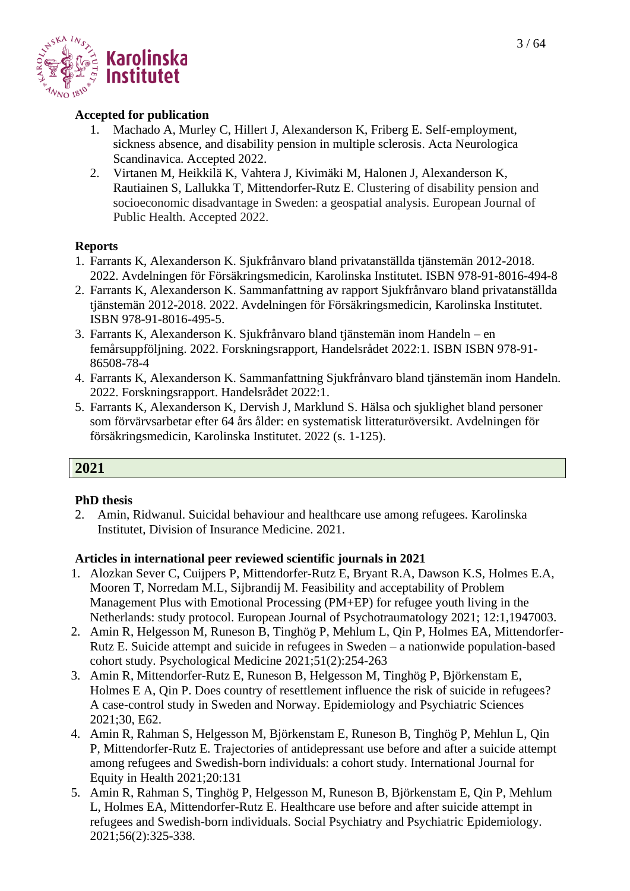

#### **Accepted for publication**

- 1. Machado A, Murley C, Hillert J, Alexanderson K, Friberg E. Self-employment, sickness absence, and disability pension in multiple sclerosis. Acta Neurologica Scandinavica. Accepted 2022.
- 2. Virtanen M, Heikkilä K, Vahtera J, Kivimäki M, Halonen J, Alexanderson K, Rautiainen S, Lallukka T, Mittendorfer-Rutz E. Clustering of disability pension and socioeconomic disadvantage in Sweden: a geospatial analysis. European Journal of Public Health. Accepted 2022.

#### **Reports**

- 1. Farrants K, Alexanderson K. Sjukfrånvaro bland privatanställda tjänstemän 2012-2018. 2022. Avdelningen för Försäkringsmedicin, Karolinska Institutet. ISBN 978-91-8016-494-8
- 2. Farrants K, Alexanderson K. Sammanfattning av rapport Sjukfrånvaro bland privatanställda tjänstemän 2012-2018. 2022. Avdelningen för Försäkringsmedicin, Karolinska Institutet. ISBN 978-91-8016-495-5.
- 3. Farrants K, Alexanderson K. Sjukfrånvaro bland tjänstemän inom Handeln en femårsuppföljning. 2022. Forskningsrapport, Handelsrådet 2022:1. ISBN ISBN 978-91- 86508-78-4
- 4. Farrants K, Alexanderson K. Sammanfattning Sjukfrånvaro bland tjänstemän inom Handeln. 2022. Forskningsrapport. Handelsrådet 2022:1.
- 5. Farrants K, Alexanderson K, Dervish J, Marklund S. Hälsa och sjuklighet bland personer som förvärvsarbetar efter 64 års ålder: en systematisk litteraturöversikt. Avdelningen för försäkringsmedicin, Karolinska Institutet. 2022 (s. 1-125).

#### **2021**

#### **PhD thesis**

2. Amin, Ridwanul. Suicidal behaviour and healthcare use among refugees. Karolinska Institutet, Division of Insurance Medicine. 2021.

- 1. Alozkan Sever C, Cuijpers P, Mittendorfer-Rutz E, Bryant R.A, Dawson K.S, Holmes E.A, Mooren T, Norredam M.L, Sijbrandij M. Feasibility and acceptability of Problem Management Plus with Emotional Processing (PM+EP) for refugee youth living in the Netherlands: study protocol. European Journal of Psychotraumatology 2021; 12:1,1947003.
- 2. Amin R, Helgesson M, Runeson B, Tinghög P, Mehlum L, Qin P, Holmes EA, Mittendorfer-Rutz E. Suicide attempt and suicide in refugees in Sweden – a nationwide population-based cohort study*.* Psychological Medicine 2021;51(2):254-263
- 3. Amin R, Mittendorfer-Rutz E, Runeson B, Helgesson M, Tinghög P, Björkenstam E, Holmes E A, Qin P. Does country of resettlement influence the risk of suicide in refugees? A case-control study in Sweden and Norway. Epidemiology and Psychiatric Sciences 2021;30, E62.
- 4. Amin R, Rahman S, Helgesson M, Björkenstam E, Runeson B, Tinghög P, Mehlun L, Qin P, Mittendorfer-Rutz E. Trajectories of antidepressant use before and after a suicide attempt among refugees and Swedish-born individuals: a cohort study. International Journal for Equity in Health 2021;20:131
- 5. Amin R, Rahman S, Tinghög P, Helgesson M, Runeson B, Björkenstam E, Qin P, Mehlum L, Holmes EA, Mittendorfer-Rutz E. Healthcare use before and after suicide attempt in refugees and Swedish-born individuals. Social Psychiatry and Psychiatric Epidemiology. 2021;56(2):325-338.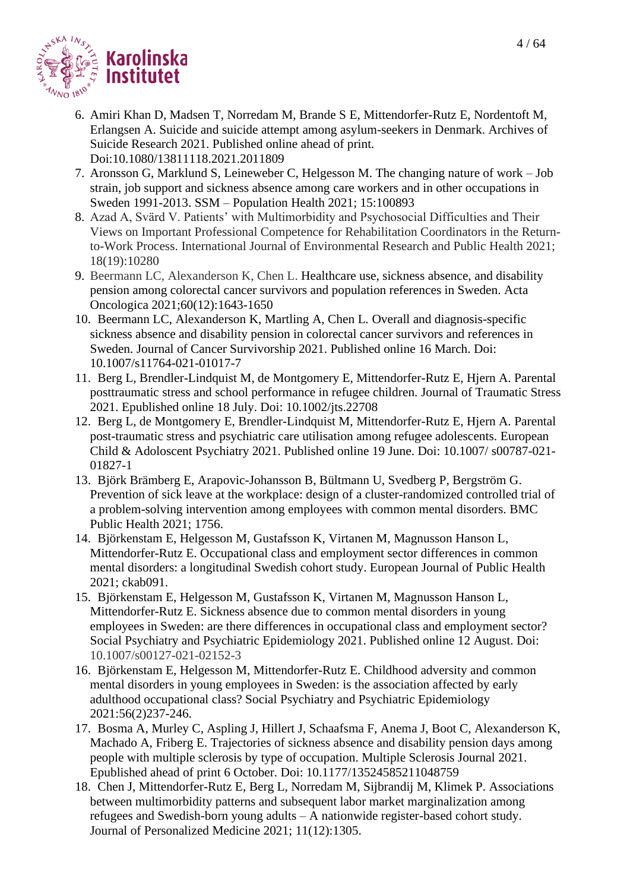

- 6. Amiri Khan D, Madsen T, Norredam M, Brande S E, Mittendorfer-Rutz E, Nordentoft M, Erlangsen A. Suicide and suicide attempt among asylum-seekers in Denmark. Archives of Suicide Research 2021. Published online ahead of print. Doi:10.1080/13811118.2021.2011809
- 7. Aronsson G, Marklund S, Leineweber C, Helgesson M. The changing nature of work Job strain, job support and sickness absence among care workers and in other occupations in Sweden 1991-2013. SSM – Population Health 2021; 15:100893
- 8. Azad A, Svärd V. Patients' with Multimorbidity and Psychosocial Difficulties and Their Views on Important Professional Competence for Rehabilitation Coordinators in the Returnto-Work Process. International Journal of Environmental Research and Public Health 2021; 18(19):10280
- 9. Beermann LC, Alexanderson K, Chen L. Healthcare use, sickness absence, and disability pension among colorectal cancer survivors and population references in Sweden. Acta Oncologica 2021;60(12):1643-1650
- 10. Beermann LC, Alexanderson K, Martling A, Chen L*.* Overall and diagnosis-specific sickness absence and disability pension in colorectal cancer survivors and references in Sweden. Journal of Cancer Survivorship 2021. Published online 16 March. Doi: 10.1007/s11764-021-01017-7
- 11. Berg L, Brendler-Lindquist M, de Montgomery E, Mittendorfer-Rutz E, Hjern A. Parental posttraumatic stress and school performance in refugee children. Journal of Traumatic Stress 2021. Epublished online 18 July. Doi: 10.1002/jts.22708
- 12. Berg L, de Montgomery E, Brendler-Lindquist M, Mittendorfer-Rutz E, Hjern A. Parental post-traumatic stress and psychiatric care utilisation among refugee adolescents. European Child & Adoloscent Psychiatry 2021. Published online 19 June. Doi: 10.1007/ s00787-021- 01827-1
- 13. Björk Brämberg E, Arapovic-Johansson B, Bültmann U, Svedberg P, Bergström G. Prevention of sick leave at the workplace: design of a cluster-randomized controlled trial of a problem-solving intervention among employees with common mental disorders. BMC Public Health 2021; 1756.
- 14. Björkenstam E, Helgesson M, Gustafsson K, Virtanen M, Magnusson Hanson L, Mittendorfer-Rutz E. Occupational class and employment sector differences in common mental disorders: a longitudinal Swedish cohort study. European Journal of Public Health 2021; ckab091.
- 15. Björkenstam E, Helgesson M, Gustafsson K, Virtanen M, Magnusson Hanson L, Mittendorfer-Rutz E. Sickness absence due to common mental disorders in young employees in Sweden: are there differences in occupational class and employment sector? Social Psychiatry and Psychiatric Epidemiology 2021. Published online 12 August. Doi: 10.1007/s00127-021-02152-3
- 16. Björkenstam E, Helgesson M, Mittendorfer-Rutz E. Childhood adversity and common mental disorders in young employees in Sweden: is the association affected by early adulthood occupational class? Social Psychiatry and Psychiatric Epidemiology 2021:56(2)237-246.
- 17. Bosma A, Murley C, Aspling J, Hillert J, Schaafsma F, Anema J, Boot C, Alexanderson K, Machado A, Friberg E. Trajectories of sickness absence and disability pension days among people with multiple sclerosis by type of occupation. Multiple Sclerosis Journal 2021. Epublished ahead of print 6 October. Doi: 10.1177/13524585211048759
- 18. Chen J, Mittendorfer-Rutz E, Berg L, Norredam M, Sijbrandij M, Klimek P. Associations between multimorbidity patterns and subsequent labor market marginalization among refugees and Swedish-born young adults – A nationwide register-based cohort study. Journal of Personalized Medicine 2021; 11(12):1305.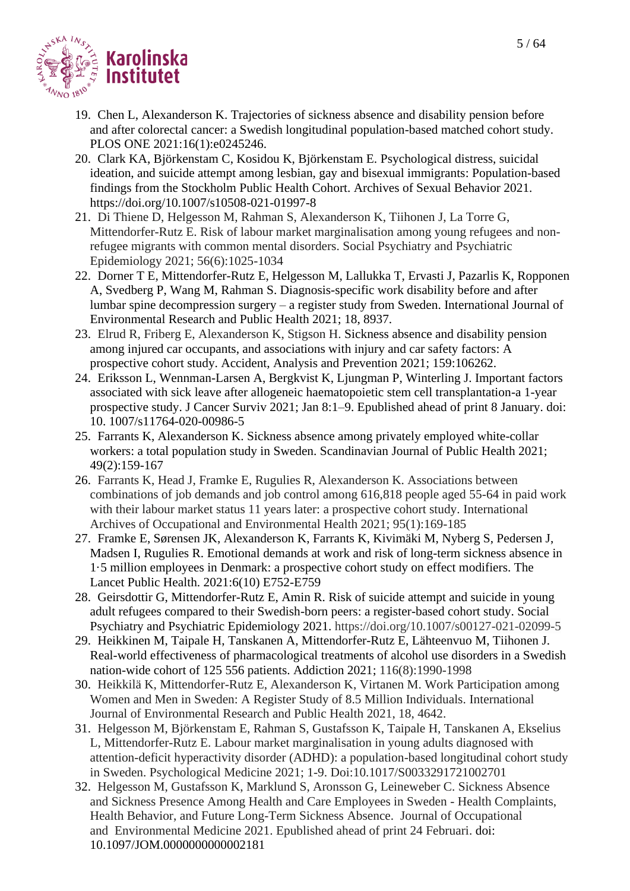

- 19. Chen L, Alexanderson K. Trajectories of sickness absence and disability pension before and after colorectal cancer: a Swedish longitudinal population-based matched cohort study. PLOS ONE 2021:16(1):e0245246.
- 20. Clark KA, Björkenstam C, Kosidou K, Björkenstam E. Psychological distress, suicidal ideation, and suicide attempt among lesbian, gay and bisexual immigrants: Population-based findings from the Stockholm Public Health Cohort. Archives of Sexual Behavior 2021. https://doi.org/10.1007/s10508-021-01997-8
- 21. Di Thiene D, Helgesson M, Rahman S, Alexanderson K, Tiihonen J, La Torre G, Mittendorfer-Rutz E. Risk of labour market marginalisation among young refugees and nonrefugee migrants with common mental disorders. Social Psychiatry and Psychiatric Epidemiology 2021; 56(6):1025-1034
- 22. Dorner T E, Mittendorfer-Rutz E, Helgesson M, Lallukka T, Ervasti J, Pazarlis K, Ropponen A, Svedberg P, Wang M, Rahman S. Diagnosis-specific work disability before and after lumbar spine decompression surgery – a register study from Sweden. International Journal of Environmental Research and Public Health 2021; 18, 8937.
- 23. Elrud R, Friberg E, Alexanderson K, Stigson H. Sickness absence and disability pension among injured car occupants, and associations with injury and car safety factors: A prospective cohort study. Accident, Analysis and Prevention 2021; 159:106262.
- 24. Eriksson L, Wennman-Larsen A, Bergkvist K, Ljungman P, Winterling J. Important factors associated with sick leave after allogeneic haematopoietic stem cell transplantation-a 1-year prospective study. J Cancer Surviv 2021; Jan 8:1–9. Epublished ahead of print 8 January. doi: 10. 1007/s11764-020-00986-5
- 25. Farrants K, Alexanderson K. Sickness absence among privately employed white-collar workers: a total population study in Sweden. Scandinavian Journal of Public Health 2021; 49(2):159-167
- 26. Farrants K, Head J, Framke E, Rugulies R, Alexanderson K. Associations between combinations of job demands and job control among 616,818 people aged 55-64 in paid work with their labour market status 11 years later: a prospective cohort study. International Archives of Occupational and Environmental Health 2021; 95(1):169-185
- 27. Framke E, Sørensen JK, Alexanderson K, Farrants K, Kivimäki M, Nyberg S, Pedersen J, Madsen I, Rugulies R. Emotional demands at work and risk of long-term sickness absence in 1·5 million employees in Denmark: a prospective cohort study on effect modifiers. The Lancet Public Health. 2021:6(10) E752-E759
- 28. Geirsdottir G, Mittendorfer-Rutz E, Amin R. Risk of suicide attempt and suicide in young adult refugees compared to their Swedish-born peers: a register-based cohort study. Social Psychiatry and Psychiatric Epidemiology 2021. https://doi.org/10.1007/s00127-021-02099-5
- 29. Heikkinen M, Taipale H, Tanskanen A, Mittendorfer-Rutz E, Lähteenvuo M, Tiihonen J. Real-world effectiveness of pharmacological treatments of alcohol use disorders in a Swedish nation-wide cohort of 125 556 patients. Addiction 2021; 116(8):1990-1998
- 30. Heikkilä K, Mittendorfer-Rutz E, Alexanderson K, Virtanen M. Work Participation among Women and Men in Sweden: A Register Study of 8.5 Million Individuals. International Journal of Environmental Research and Public Health 2021, 18, 4642.
- 31. Helgesson M, Björkenstam E, Rahman S, Gustafsson K, Taipale H, Tanskanen A, Ekselius L, Mittendorfer-Rutz E. Labour market marginalisation in young adults diagnosed with attention-deficit hyperactivity disorder (ADHD): a population-based longitudinal cohort study in Sweden. Psychological Medicine 2021; 1-9. Doi:10.1017/S0033291721002701
- 32. Helgesson M, Gustafsson K, Marklund S, Aronsson G, Leineweber C. Sickness Absence and Sickness Presence Among Health and Care Employees in Sweden - Health Complaints, Health Behavior, and Future Long-Term Sickness Absence. Journal of Occupational and Environmental Medicine 2021. Epublished ahead of print 24 Februari. doi: 10.1097/JOM.0000000000002181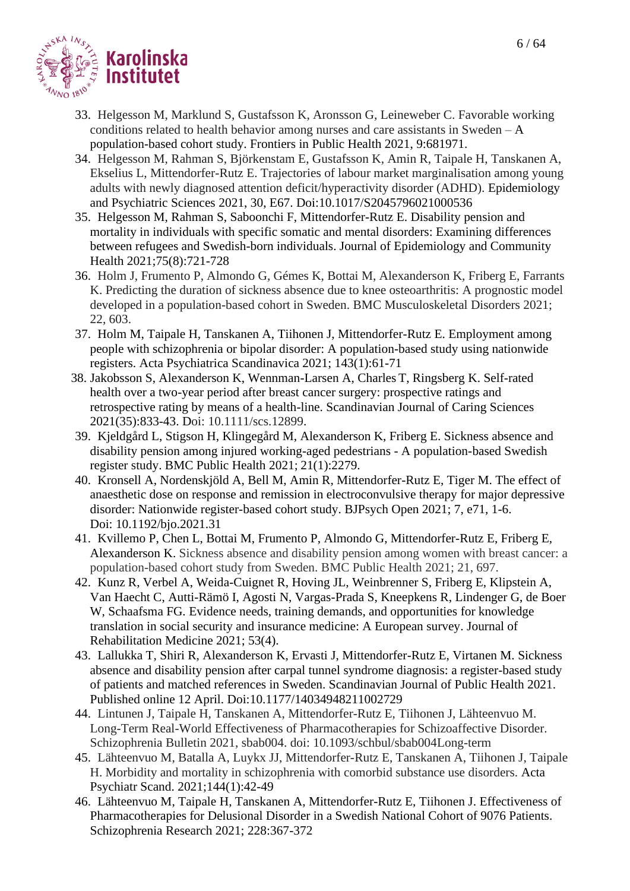

- 33. Helgesson M, Marklund S, Gustafsson K, Aronsson G, Leineweber C. Favorable working conditions related to health behavior among nurses and care assistants in Sweden  $-A$ population-based cohort study. Frontiers in Public Health 2021, 9:681971.
- 34. Helgesson M, Rahman S, Björkenstam E, Gustafsson K, Amin R, Taipale H, Tanskanen A, Ekselius L, Mittendorfer-Rutz E. Trajectories of labour market marginalisation among young adults with newly diagnosed attention deficit/hyperactivity disorder (ADHD). Epidemiology and Psychiatric Sciences 2021, 30, E67. Doi:10.1017/S2045796021000536
- 35. Helgesson M, Rahman S, Saboonchi F, Mittendorfer-Rutz E. Disability pension and mortality in individuals with specific somatic and mental disorders: Examining differences between refugees and Swedish-born individuals. Journal of Epidemiology and Community Health 2021;75(8):721-728
- 36. Holm J, Frumento P, Almondo G, Gémes K, Bottai M, Alexanderson K, Friberg E, Farrants K. Predicting the duration of sickness absence due to knee osteoarthritis: A prognostic model developed in a population-based cohort in Sweden. BMC Musculoskeletal Disorders 2021; 22, 603.
- 37. Holm M, Taipale H, Tanskanen A, Tiihonen J, Mittendorfer-Rutz E. Employment among people with schizophrenia or bipolar disorder: A population-based study using nationwide registers. Acta Psychiatrica Scandinavica 2021; 143(1):61-71
- 38. Jakobsson S, Alexanderson K, Wennman-Larsen A, Charles T, Ringsberg K. Self-rated health over a two-year period after breast cancer surgery: prospective ratings and retrospective rating by means of a health-line. Scandinavian Journal of Caring Sciences 2021(35):833-43. Doi: 10.1111/scs.12899.
- 39. Kjeldgård L, Stigson H, Klingegård M, Alexanderson K, Friberg E. Sickness absence and disability pension among injured working-aged pedestrians - A population-based Swedish register study. BMC Public Health 2021; 21(1):2279.
- 40. Kronsell A, Nordenskjöld A, Bell M, Amin R, Mittendorfer-Rutz E, Tiger M. The effect of anaesthetic dose on response and remission in electroconvulsive therapy for major depressive disorder: Nationwide register-based cohort study. BJPsych Open 2021; 7, e71, 1-6. Doi: 10.1192/bjo.2021.31
- 41. Kvillemo P, Chen L, Bottai M, Frumento P, Almondo G, Mittendorfer-Rutz E, Friberg E, Alexanderson K. Sickness absence and disability pension among women with breast cancer: a population-based cohort study from Sweden. BMC Public Health 2021; 21, 697.
- 42. Kunz R, Verbel A, Weida-Cuignet R, Hoving JL, Weinbrenner S, Friberg E, Klipstein A, Van Haecht C, Autti-Rämö I, Agosti N, Vargas-Prada S, Kneepkens R, Lindenger G, de Boer W, Schaafsma FG. Evidence needs, training demands, and opportunities for knowledge translation in social security and insurance medicine: A European survey. Journal of Rehabilitation Medicine 2021; 53(4).
- 43. Lallukka T, Shiri R, Alexanderson K, Ervasti J, Mittendorfer-Rutz E, Virtanen M. Sickness absence and disability pension after carpal tunnel syndrome diagnosis: a register-based study of patients and matched references in Sweden. Scandinavian Journal of Public Health 2021. Published online 12 April. Doi:10.1177/14034948211002729
- 44. Lintunen J, Taipale H, Tanskanen A, Mittendorfer-Rutz E, Tiihonen J, Lähteenvuo M. Long-Term Real-World Effectiveness of Pharmacotherapies for Schizoaffective Disorder. Schizophrenia Bulletin 2021, sbab004. doi: 10.1093/schbul/sbab004Long-term
- 45. Lähteenvuo M, Batalla A, Luykx JJ, Mittendorfer-Rutz E, Tanskanen A, Tiihonen J, Taipale H. Morbidity and mortality in schizophrenia with comorbid substance use disorders. Acta Psychiatr Scand. 2021;144(1):42-49
- 46. Lähteenvuo M, Taipale H, Tanskanen A, Mittendorfer-Rutz E, Tiihonen J. Effectiveness of Pharmacotherapies for Delusional Disorder in a Swedish National Cohort of 9076 Patients. Schizophrenia Research 2021; 228:367-372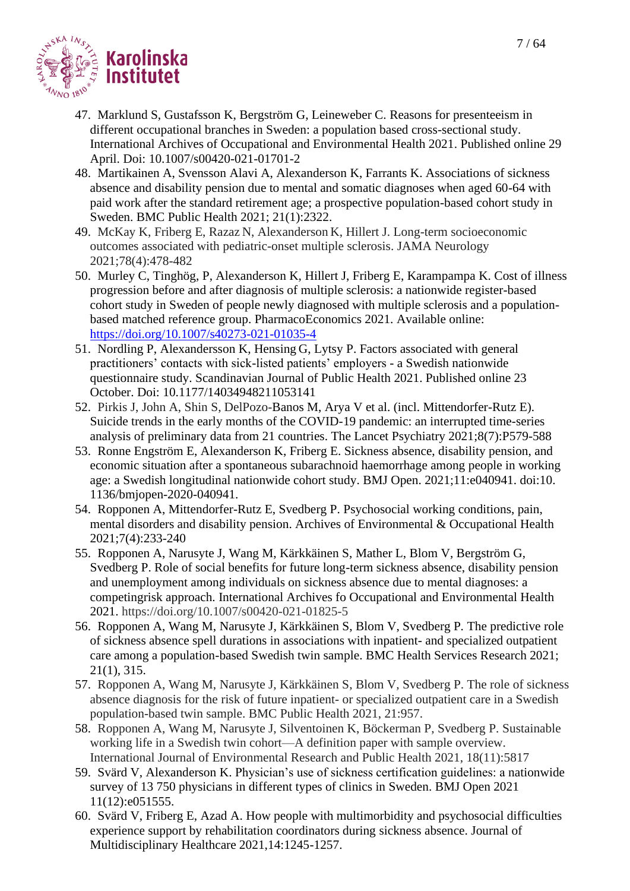

- 47. Marklund S, Gustafsson K, Bergström G, Leineweber C. Reasons for presenteeism in different occupational branches in Sweden: a population based cross-sectional study. International Archives of Occupational and Environmental Health 2021. Published online 29 April. Doi: 10.1007/s00420-021-01701-2
- 48. Martikainen A, Svensson Alavi A, Alexanderson K, Farrants K. Associations of sickness absence and disability pension due to mental and somatic diagnoses when aged 60-64 with paid work after the standard retirement age; a prospective population-based cohort study in Sweden. BMC Public Health 2021; 21(1):2322.
- 49. McKay K, Friberg E, Razaz N, Alexanderson K, Hillert J. Long-term socioeconomic outcomes associated with pediatric-onset multiple sclerosis. JAMA Neurology 2021;78(4):478-482
- 50. Murley C, Tinghög, P, Alexanderson K, Hillert J, Friberg E, Karampampa K. Cost of illness progression before and after diagnosis of multiple sclerosis: a nationwide register-based cohort study in Sweden of people newly diagnosed with multiple sclerosis and a populationbased matched reference group. PharmacoEconomics 2021. Available online: <https://doi.org/10.1007/s40273-021-01035-4>
- 51. Nordling P, Alexandersson K, Hensing G, Lytsy P. Factors associated with general practitioners' contacts with sick-listed patients' employers - a Swedish nationwide questionnaire study. Scandinavian Journal of Public Health 2021. Published online 23 October. Doi: 10.1177/14034948211053141
- 52. Pirkis J, John A, Shin S, DelPozo-Banos M, Arya V et al. (incl. Mittendorfer-Rutz E). Suicide trends in the early months of the COVID-19 pandemic: an interrupted time-series analysis of preliminary data from 21 countries. The Lancet Psychiatry 2021;8(7):P579-588
- 53. Ronne Engström E, Alexanderson K, Friberg E. Sickness absence, disability pension, and economic situation after a spontaneous subarachnoid haemorrhage among people in working age: a Swedish longitudinal nationwide cohort study. BMJ Open. 2021;11:e040941. doi:10. 1136/bmjopen-2020-040941.
- 54. Ropponen A, Mittendorfer-Rutz E, Svedberg P. Psychosocial working conditions, pain, mental disorders and disability pension. Archives of Environmental & Occupational Health 2021;7(4):233-240
- 55. Ropponen A, Narusyte J, Wang M, Kärkkäinen S, Mather L, Blom V, Bergström G, Svedberg P. Role of social benefits for future long-term sickness absence, disability pension and unemployment among individuals on sickness absence due to mental diagnoses: a competingrisk approach. International Archives fo Occupational and Environmental Health 2021. https://doi.org/10.1007/s00420-021-01825-5
- 56. Ropponen A, Wang M, Narusyte J, Kärkkäinen S, Blom V, Svedberg P*.* The predictive role of sickness absence spell durations in associations with inpatient- and specialized outpatient care among a population-based Swedish twin sample. BMC Health Services Research 2021; 21(1), 315.
- 57. Ropponen A, Wang M, Narusyte J, Kärkkäinen S, Blom V, Svedberg P. The role of sickness absence diagnosis for the risk of future inpatient- or specialized outpatient care in a Swedish population-based twin sample. BMC Public Health 2021, 21:957.
- 58. Ropponen A, Wang M, Narusyte J, Silventoinen K, Böckerman P, Svedberg P. Sustainable working life in a Swedish twin cohort—A definition paper with sample overview. International Journal of Environmental Research and Public Health 2021, 18(11):5817
- 59. Svärd V, Alexanderson K. Physician's use of sickness certification guidelines: a nationwide survey of 13 750 physicians in different types of clinics in Sweden. BMJ Open 2021 11(12):e051555.
- 60. Svärd V, Friberg E, Azad A. How people with multimorbidity and psychosocial difficulties experience support by rehabilitation coordinators during sickness absence. Journal of Multidisciplinary Healthcare 2021,14:1245-1257.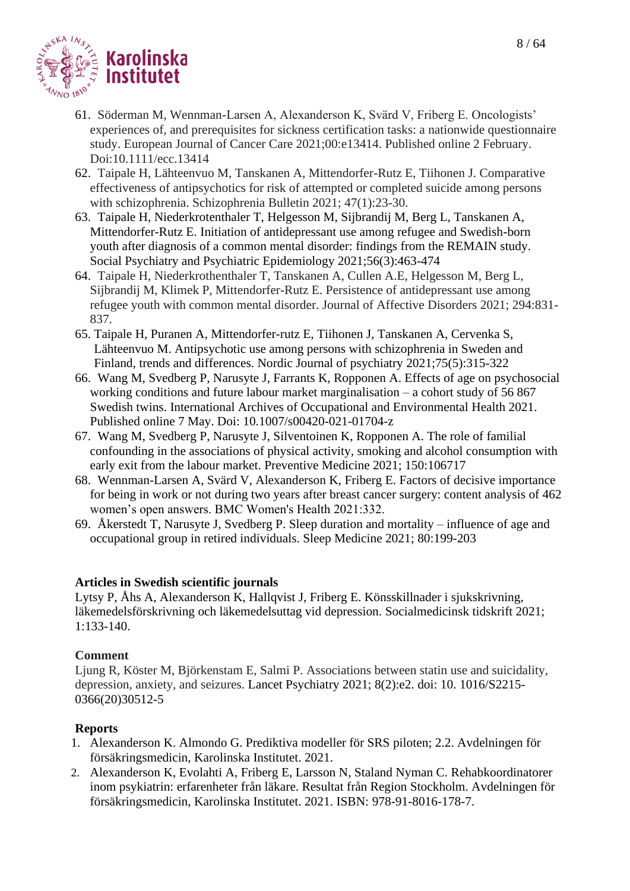

- 61. Söderman M, Wennman-Larsen A, Alexanderson K, Svärd V, Friberg E. Oncologists' experiences of, and prerequisites for sickness certification tasks: a nationwide questionnaire study. European Journal of Cancer Care 2021;00:e13414. Published online 2 February. Doi:10.1111/ecc.13414
- 62. Taipale H, Lähteenvuo M, Tanskanen A, Mittendorfer-Rutz E, Tiihonen J. Comparative effectiveness of antipsychotics for risk of attempted or completed suicide among persons with schizophrenia. Schizophrenia Bulletin 2021; 47(1):23-30.
- 63. Taipale H, Niederkrotenthaler T, Helgesson M, Sijbrandij M, Berg L, Tanskanen A, Mittendorfer-Rutz E. Initiation of antidepressant use among refugee and Swedish-born youth after diagnosis of a common mental disorder: findings from the REMAIN study. Social Psychiatry and Psychiatric Epidemiology 2021;56(3):463-474
- 64. Taipale H, Niederkrothenthaler T, Tanskanen A, Cullen A.E, Helgesson M, Berg L, Sijbrandij M, Klimek P, Mittendorfer-Rutz E. Persistence of antidepressant use among refugee youth with common mental disorder. Journal of Affective Disorders 2021; 294:831- 837.
- 65. Taipale H, Puranen A, Mittendorfer-rutz E, Tiihonen J, Tanskanen A, Cervenka S, Lähteenvuo M. Antipsychotic use among persons with schizophrenia in Sweden and Finland, trends and differences. Nordic Journal of psychiatry 2021;75(5):315-322
- 66. Wang M, Svedberg P, Narusyte J, Farrants K, Ropponen A. Effects of age on psychosocial working conditions and future labour market marginalisation – a cohort study of 56 867 Swedish twins. International Archives of Occupational and Environmental Health 2021. Published online 7 May. Doi: 10.1007/s00420-021-01704-z
- 67. Wang M, Svedberg P, Narusyte J, Silventoinen K, Ropponen A. The role of familial confounding in the associations of physical activity, smoking and alcohol consumption with early exit from the labour market. Preventive Medicine 2021; 150:106717
- 68. Wennman-Larsen A, Svärd V, Alexanderson K, Friberg E. Factors of decisive importance for being in work or not during two years after breast cancer surgery: content analysis of 462 women's open answers. BMC Women's Health 2021:332.
- 69. Åkerstedt T, Narusyte J, Svedberg P. Sleep duration and mortality influence of age and occupational group in retired individuals. Sleep Medicine 2021; 80:199-203

#### **Articles in Swedish scientific journals**

Lytsy P, Åhs A, Alexanderson K, Hallqvist J, Friberg E. Könsskillnader i sjukskrivning, läkemedelsförskrivning och läkemedelsuttag vid depression. Socialmedicinsk tidskrift 2021; 1:133-140.

#### **Comment**

Ljung R, Köster M, Björkenstam E, Salmi P. Associations between statin use and suicidality, depression, anxiety, and seizures. Lancet Psychiatry 2021; 8(2):e2. doi: 10. 1016/S2215- 0366(20)30512-5

# **Reports**

- 1. Alexanderson K. Almondo G. Prediktiva modeller för SRS piloten; 2.2. Avdelningen för försäkringsmedicin, Karolinska Institutet. 2021.
- 2. Alexanderson K, Evolahti A, Friberg E, Larsson N, Staland Nyman C. Rehabkoordinatorer inom psykiatrin: erfarenheter från läkare. Resultat från Region Stockholm. Avdelningen för försäkringsmedicin, Karolinska Institutet. 2021. ISBN: 978-91-8016-178-7.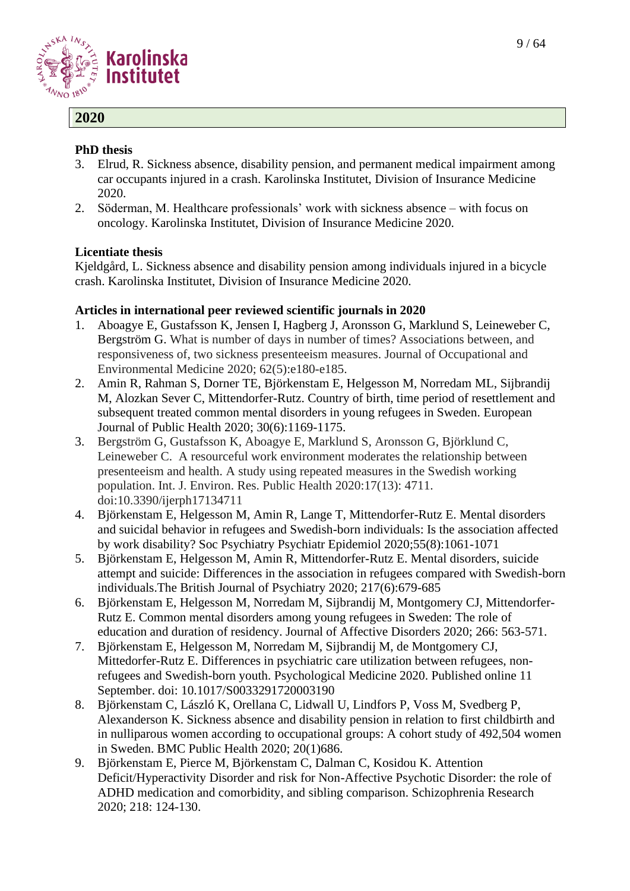

# **2020**

#### **PhD thesis**

- 3. Elrud, R. Sickness absence, disability pension, and permanent medical impairment among car occupants injured in a crash. Karolinska Institutet, Division of Insurance Medicine 2020.
- 2. Söderman, M. Healthcare professionals' work with sickness absence with focus on oncology. Karolinska Institutet, Division of Insurance Medicine 2020.

#### **Licentiate thesis**

Kjeldgård, L. Sickness absence and disability pension among individuals injured in a bicycle crash. Karolinska Institutet, Division of Insurance Medicine 2020.

- 1. Aboagye E, Gustafsson K, Jensen I, Hagberg J, Aronsson G, Marklund S, Leineweber C, Bergström G. What is number of days in number of times? Associations between, and responsiveness of, two sickness presenteeism measures. Journal of Occupational and Environmental Medicine 2020; 62(5):e180-e185.
- 2. Amin R, Rahman S, Dorner TE, Björkenstam E, Helgesson M, Norredam ML, Sijbrandij M, Alozkan Sever C, Mittendorfer-Rutz. Country of birth, time period of resettlement and subsequent treated common mental disorders in young refugees in Sweden. European Journal of Public Health 2020; 30(6):1169-1175.
- 3. Bergström G, Gustafsson K, Aboagye E, Marklund S, Aronsson G, Björklund C, Leineweber C. A resourceful work environment moderates the relationship between presenteeism and health. A study using repeated measures in the Swedish working population. Int. J. Environ. Res. Public Health 2020:17(13): 4711. doi:10.3390/ijerph17134711
- 4. Björkenstam E, Helgesson M, Amin R, Lange T, Mittendorfer-Rutz E. Mental disorders and suicidal behavior in refugees and Swedish-born individuals: Is the association affected by work disability? Soc Psychiatry Psychiatr Epidemiol 2020;55(8):1061-1071
- 5. Björkenstam E, Helgesson M, Amin R, Mittendorfer-Rutz E. Mental disorders, suicide attempt and suicide: Differences in the association in refugees compared with Swedish-born individuals.The British Journal of Psychiatry 2020; 217(6):679-685
- 6. Björkenstam E, Helgesson M, Norredam M, Sijbrandij M, Montgomery CJ, Mittendorfer-Rutz E. Common mental disorders among young refugees in Sweden: The role of education and duration of residency. Journal of Affective Disorders 2020; 266: 563-571.
- 7. Björkenstam E, Helgesson M, Norredam M, Sijbrandij M, de Montgomery CJ, Mittedorfer-Rutz E. Differences in psychiatric care utilization between refugees, nonrefugees and Swedish-born youth. Psychological Medicine 2020. Published online 11 September. doi: 10.1017/S0033291720003190
- 8. Björkenstam C, László K, Orellana C, Lidwall U, Lindfors P, Voss M, Svedberg P, Alexanderson K. Sickness absence and disability pension in relation to first childbirth and in nulliparous women according to occupational groups: A cohort study of 492,504 women in Sweden. BMC Public Health 2020; 20(1)686.
- 9. Björkenstam E, Pierce M, Björkenstam C, Dalman C, Kosidou K. Attention Deficit/Hyperactivity Disorder and risk for Non-Affective Psychotic Disorder: the role of ADHD medication and comorbidity, and sibling comparison. Schizophrenia Research 2020; 218: 124-130.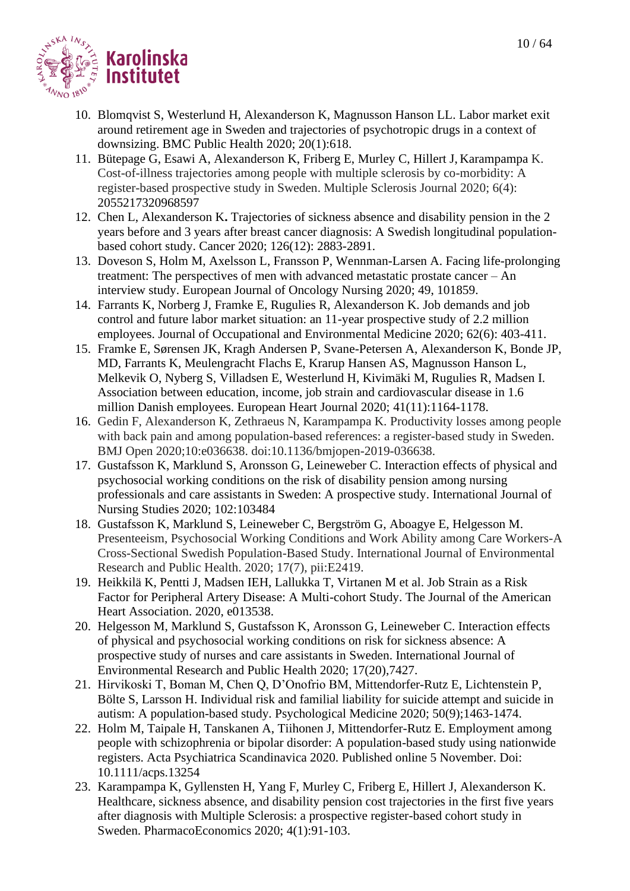

- 10. [Blomqvist S,](https://www.ncbi.nlm.nih.gov/pubmed/?term=Blomqvist%20S%5BAuthor%5D&cauthor=true&cauthor_uid=32370787) [Westerlund H,](https://www.ncbi.nlm.nih.gov/pubmed/?term=Westerlund%20H%5BAuthor%5D&cauthor=true&cauthor_uid=32370787) [Alexanderson K,](https://www.ncbi.nlm.nih.gov/pubmed/?term=Alexanderson%20K%5BAuthor%5D&cauthor=true&cauthor_uid=32370787) Magnusson Hanson LL. Labor market exit around retirement age in Sweden and trajectories of psychotropic drugs in a context of downsizing. BMC Public Health 2020; 20(1):618.
- 11. Bütepage G, Esawi A, Alexanderson K, Friberg E, Murley C, Hillert J, Karampampa K. Cost-of-illness trajectories among people with multiple sclerosis by co-morbidity: A register-based prospective study in Sweden. Multiple Sclerosis Journal 2020; 6(4): 2055217320968597
- 12. Chen L, Alexanderson K**.** Trajectories of sickness absence and disability pension in the 2 years before and 3 years after breast cancer diagnosis: A Swedish longitudinal populationbased cohort study. Cancer 2020; 126(12): 2883-2891.
- 13. Doveson S, Holm M, Axelsson L, Fransson P, Wennman-Larsen A. Facing life-prolonging treatment: The perspectives of men with advanced metastatic prostate cancer – An interview study. European Journal of Oncology Nursing 2020; 49, 101859.
- 14. Farrants K, Norberg J, Framke E, Rugulies R, Alexanderson K. Job demands and job control and future labor market situation: an 11-year prospective study of 2.2 million employees. Journal of Occupational and Environmental Medicine 2020; 62(6): 403-411.
- 15. Framke E, Sørensen JK, Kragh Andersen P, Svane-Petersen A, Alexanderson K, Bonde JP, MD, Farrants K, Meulengracht Flachs E, Krarup Hansen AS, Magnusson Hanson L, Melkevik O, Nyberg S, Villadsen E, Westerlund H, Kivimäki M, Rugulies R, Madsen I. Association between education, income, job strain and cardiovascular disease in 1.6 million Danish employees. European Heart Journal 2020; 41(11):1164-1178.
- 16. Gedin F, Alexanderson K, Zethraeus N, Karampampa K. Productivity losses among people with back pain and among population-based references: a register-based study in Sweden. BMJ Open 2020;10:e036638. doi:10.1136/bmjopen-2019-036638.
- 17. Gustafsson K, Marklund S, Aronsson G, Leineweber C. Interaction effects of physical and psychosocial working conditions on the risk of disability pension among nursing professionals and care assistants in Sweden: A prospective study. International Journal of Nursing Studies 2020; 102:103484
- 18. Gustafsson K, Marklund S, Leineweber C, Bergström G, Aboagye E, Helgesson M. Presenteeism, Psychosocial Working Conditions and Work Ability among Care Workers-A Cross-Sectional Swedish Population-Based Study. International Journal of Environmental Research and Public Health. 2020; 17(7), pii:E2419.
- 19. Heikkilä K, Pentti J, Madsen IEH, Lallukka T, Virtanen M et al. Job Strain as a Risk Factor for Peripheral Artery Disease: A Multi-cohort Study. The Journal of the American Heart Association. 2020, e013538.
- 20. Helgesson M, Marklund S, Gustafsson K, Aronsson G, Leineweber C. Interaction effects of physical and psychosocial working conditions on risk for sickness absence: A prospective study of nurses and care assistants in Sweden. International Journal of Environmental Research and Public Health 2020; 17(20),7427.
- 21. Hirvikoski T, Boman M, Chen Q, D'Onofrio BM, Mittendorfer-Rutz E, Lichtenstein P, Bölte S, Larsson H. Individual risk and familial liability for suicide attempt and suicide in autism: A population-based study. Psychological Medicine 2020; 50(9);1463-1474.
- 22. Holm M, Taipale H, Tanskanen A, Tiihonen J, Mittendorfer-Rutz E. Employment among people with schizophrenia or bipolar disorder: A population-based study using nationwide registers. Acta Psychiatrica Scandinavica 2020. Published online 5 November. Doi: 10.1111/acps.13254
- 23. Karampampa K, Gyllensten H, Yang F, Murley C, Friberg E, Hillert J, Alexanderson K. Healthcare, sickness absence, and disability pension cost trajectories in the first five years after diagnosis with Multiple Sclerosis: a prospective register-based cohort study in Sweden. PharmacoEconomics 2020; 4(1):91-103.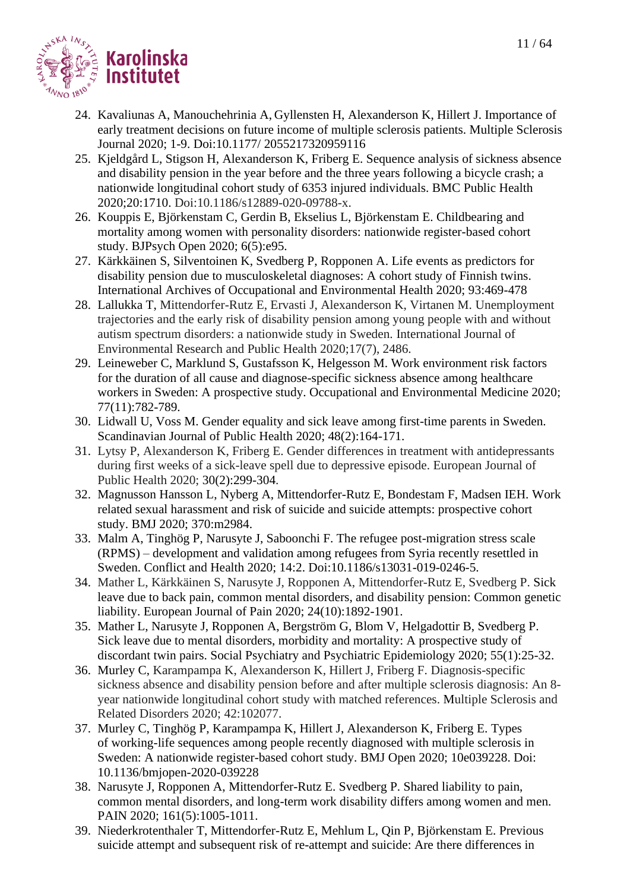

- 24. Kavaliunas A, Manouchehrinia A, Gyllensten H, Alexanderson K, Hillert J. Importance of early treatment decisions on future income of multiple sclerosis patients. Multiple Sclerosis Journal 2020; 1-9. Doi:10.1177/ 2055217320959116
- 25. Kjeldgård L, Stigson H, Alexanderson K, Friberg E. Sequence analysis of sickness absence and disability pension in the year before and the three years following a bicycle crash; a nationwide longitudinal cohort study of 6353 injured individuals. BMC Public Health 2020;20:1710. Doi:10.1186/s12889-020-09788-x.
- 26. Kouppis E, Björkenstam C, Gerdin B, Ekselius L, Björkenstam E. Childbearing and mortality among women with personality disorders: nationwide register-based cohort study. BJPsych Open 2020; 6(5):e95.
- 27. Kärkkäinen S, Silventoinen K, Svedberg P, Ropponen A. Life events as predictors for disability pension due to musculoskeletal diagnoses: A cohort study of Finnish twins. International Archives of Occupational and Environmental Health 2020; 93:469-478
- 28. Lallukka T, Mittendorfer-Rutz E, Ervasti J, Alexanderson K, Virtanen M. Unemployment trajectories and the early risk of disability pension among young people with and without autism spectrum disorders: a nationwide study in Sweden. International Journal of Environmental Research and Public Health 2020;17(7), 2486.
- 29. Leineweber C, Marklund S, Gustafsson K, Helgesson M. Work environment risk factors for the duration of all cause and diagnose-specific sickness absence among healthcare workers in Sweden: A prospective study. Occupational and Environmental Medicine 2020; 77(11):782-789.
- 30. Lidwall U, Voss M. Gender equality and sick leave among first-time parents in Sweden. Scandinavian Journal of Public Health 2020; 48(2):164-171.
- 31. Lytsy P, Alexanderson K, Friberg E. Gender differences in treatment with antidepressants during first weeks of a sick-leave spell due to depressive episode. European Journal of Public Health 2020; 30(2):299-304.
- 32. Magnusson Hansson L, Nyberg A, Mittendorfer-Rutz E, Bondestam F, Madsen IEH. Work related sexual harassment and risk of suicide and suicide attempts: prospective cohort study. BMJ 2020; 370:m2984.
- 33. Malm A, Tinghög P, Narusyte J, Saboonchi F. The refugee post-migration stress scale (RPMS) – development and validation among refugees from Syria recently resettled in Sweden. Conflict and Health 2020; 14:2. Doi:10.1186/s13031-019-0246-5.
- 34. Mather L, Kärkkäinen S, Narusyte J, Ropponen A, Mittendorfer-Rutz E, Svedberg P. Sick leave due to back pain, common mental disorders, and disability pension: Common genetic liability. European Journal of Pain 2020; 24(10):1892-1901.
- 35. Mather L, Narusyte J, Ropponen A, Bergström G, Blom V, Helgadottir B, Svedberg P. Sick leave due to mental disorders, morbidity and mortality: A prospective study of discordant twin pairs. Social Psychiatry and Psychiatric Epidemiology 2020; 55(1):25-32.
- 36. Murley C, Karampampa K, Alexanderson K*,* Hillert J, Friberg F. Diagnosis-specific sickness absence and disability pension before and after multiple sclerosis diagnosis: An 8 year nationwide longitudinal cohort study with matched references. Multiple Sclerosis and Related Disorders 2020; 42:102077.
- 37. Murley C, Tinghög P, Karampampa K, Hillert J, Alexanderson K, Friberg E. Types of working-life sequences among people recently diagnosed with multiple sclerosis in Sweden: A nationwide register-based cohort study. BMJ Open 2020; 10e039228. Doi: 10.1136/bmjopen-2020-039228
- 38. Narusyte J, Ropponen A, Mittendorfer-Rutz E. Svedberg P. Shared liability to pain, common mental disorders, and long-term work disability differs among women and men. PAIN 2020; 161(5):1005-1011.
- 39. Niederkrotenthaler T, Mittendorfer-Rutz E, Mehlum L, Qin P, Björkenstam E. Previous suicide attempt and subsequent risk of re-attempt and suicide: Are there differences in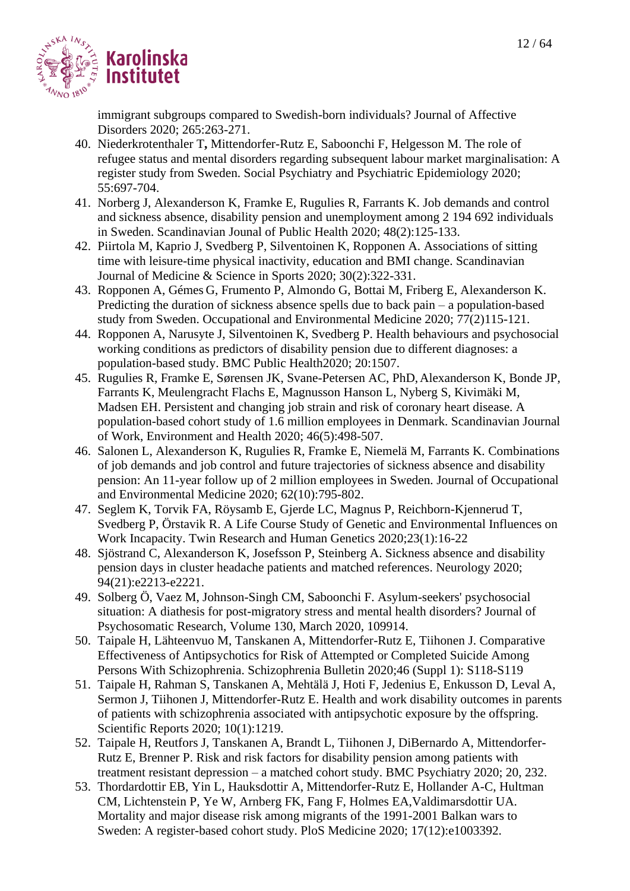

immigrant subgroups compared to Swedish-born individuals? Journal of Affective Disorders 2020; 265:263-271.

- 40. Niederkrotenthaler T**,** Mittendorfer-Rutz E, Saboonchi F, Helgesson M. The role of refugee status and mental disorders regarding subsequent labour market marginalisation: A register study from Sweden. Social Psychiatry and Psychiatric Epidemiology 2020; 55:697-704.
- 41. Norberg J, Alexanderson K, Framke E, Rugulies R, Farrants K. Job demands and control and sickness absence, disability pension and unemployment among 2 194 692 individuals in Sweden. Scandinavian Jounal of Public Health 2020; 48(2):125-133.
- 42. Piirtola M, Kaprio J, Svedberg P, Silventoinen K, Ropponen A. Associations of sitting time with leisure-time physical inactivity, education and BMI change. Scandinavian Journal of Medicine & Science in Sports 2020; 30(2):322-331.
- 43. Ropponen A, Gémes G, Frumento P, Almondo G, Bottai M, Friberg E, Alexanderson K. Predicting the duration of sickness absence spells due to back pain – a population-based study from Sweden. Occupational and Environmental Medicine 2020; 77(2)115-121.
- 44. Ropponen A, Narusyte J, Silventoinen K, Svedberg P. Health behaviours and psychosocial working conditions as predictors of disability pension due to different diagnoses: a population-based study. BMC Public Health2020; 20:1507.
- 45. Rugulies R, Framke E, Sørensen JK, Svane-Petersen AC, PhD, Alexanderson K, Bonde JP, Farrants K, Meulengracht Flachs E, Magnusson Hanson L, Nyberg S, Kivimäki M, Madsen EH. Persistent and changing job strain and risk of coronary heart disease. A population-based cohort study of 1.6 million employees in Denmark. Scandinavian Journal of Work, Environment and Health 2020; 46(5):498-507.
- 46. Salonen L, Alexanderson K, Rugulies R, Framke E, Niemelä M, Farrants K. Combinations of job demands and job control and future trajectories of sickness absence and disability pension: An 11-year follow up of 2 million employees in Sweden. Journal of Occupational and Environmental Medicine 2020; 62(10):795-802.
- 47. Seglem K, Torvik FA, Röysamb E, Gjerde LC, Magnus P, Reichborn-Kjennerud T, Svedberg P, Örstavik R. A Life Course Study of Genetic and Environmental Influences on Work Incapacity. Twin Research and Human Genetics 2020;23(1):16-22
- 48. Sjöstrand C, Alexanderson K, Josefsson P, Steinberg A. Sickness absence and disability pension days in cluster headache patients and matched references. Neurology 2020; 94(21):e2213-e2221.
- 49. Solberg Ö, Vaez M, Johnson-Singh CM, Saboonchi F. Asylum-seekers' psychosocial situation: A diathesis for post-migratory stress and mental health disorders? Journal of Psychosomatic Research, Volume 130, March 2020, 109914.
- 50. Taipale H, Lähteenvuo M, Tanskanen A, Mittendorfer-Rutz E, Tiihonen J. Comparative Effectiveness of Antipsychotics for Risk of Attempted or Completed Suicide Among Persons With Schizophrenia. Schizophrenia Bulletin 2020;46 (Suppl 1): S118-S119
- 51. [Taipale H,](https://eur01.safelinks.protection.outlook.com/?url=https%3A%2F%2Fwww.ncbi.nlm.nih.gov%2Fpubmed%2F%3Fterm%3DTaipale%2520H%255BAuthor%255D%26cauthor%3Dtrue%26cauthor_uid%3D31988392&data=02%7C01%7Cannika.evolahti%40ki.se%7Cbd39e19a2240471ed72e08d7a4c918fd%7Cbff7eef1cf4b4f32be3da1dda043c05d%7C0%7C0%7C637159055930296350&sdata=nUbpT%2FQXBqC1C3kd2HvRZjQ9vNdiPEhU8u4AgHA4k%2BE%3D&reserved=0) [Rahman S,](https://eur01.safelinks.protection.outlook.com/?url=https%3A%2F%2Fwww.ncbi.nlm.nih.gov%2Fpubmed%2F%3Fterm%3DRahman%2520S%255BAuthor%255D%26cauthor%3Dtrue%26cauthor_uid%3D31988392&data=02%7C01%7Cannika.evolahti%40ki.se%7Cbd39e19a2240471ed72e08d7a4c918fd%7Cbff7eef1cf4b4f32be3da1dda043c05d%7C0%7C0%7C637159055930296350&sdata=I4K1a0XLB6h4OKv5zGbSsV%2BGoqBv2vjIBsOUbmZ19e4%3D&reserved=0) [Tanskanen A,](https://eur01.safelinks.protection.outlook.com/?url=https%3A%2F%2Fwww.ncbi.nlm.nih.gov%2Fpubmed%2F%3Fterm%3DTanskanen%2520A%255BAuthor%255D%26cauthor%3Dtrue%26cauthor_uid%3D31988392&data=02%7C01%7Cannika.evolahti%40ki.se%7Cbd39e19a2240471ed72e08d7a4c918fd%7Cbff7eef1cf4b4f32be3da1dda043c05d%7C0%7C0%7C637159055930296350&sdata=Iztpsi0izRfGoJPefIXJy7EIIUbGdNDBj1XkX%2BmtjqE%3D&reserved=0) [Mehtälä J,](https://eur01.safelinks.protection.outlook.com/?url=https%3A%2F%2Fwww.ncbi.nlm.nih.gov%2Fpubmed%2F%3Fterm%3DMeht%25C3%25A4l%25C3%25A4%2520J%255BAuthor%255D%26cauthor%3Dtrue%26cauthor_uid%3D31988392&data=02%7C01%7Cannika.evolahti%40ki.se%7Cbd39e19a2240471ed72e08d7a4c918fd%7Cbff7eef1cf4b4f32be3da1dda043c05d%7C0%7C0%7C637159055930306341&sdata=6RDRKgLPdEZd%2BB0RnVdKNGqK54EFS%2F5nPfBiW7tLQuU%3D&reserved=0) [Hoti F,](https://eur01.safelinks.protection.outlook.com/?url=https%3A%2F%2Fwww.ncbi.nlm.nih.gov%2Fpubmed%2F%3Fterm%3DHoti%2520F%255BAuthor%255D%26cauthor%3Dtrue%26cauthor_uid%3D31988392&data=02%7C01%7Cannika.evolahti%40ki.se%7Cbd39e19a2240471ed72e08d7a4c918fd%7Cbff7eef1cf4b4f32be3da1dda043c05d%7C0%7C0%7C637159055930306341&sdata=OwWCiy4SrKAA2%2Fn1XmIlK%2F9rr7gFlZ02NCH4la%2FxMdM%3D&reserved=0) [Jedenius E,](https://eur01.safelinks.protection.outlook.com/?url=https%3A%2F%2Fwww.ncbi.nlm.nih.gov%2Fpubmed%2F%3Fterm%3DJedenius%2520E%255BAuthor%255D%26cauthor%3Dtrue%26cauthor_uid%3D31988392&data=02%7C01%7Cannika.evolahti%40ki.se%7Cbd39e19a2240471ed72e08d7a4c918fd%7Cbff7eef1cf4b4f32be3da1dda043c05d%7C0%7C0%7C637159055930316335&sdata=voyEPFiZuyQhGQRXEpOZO9XTnV62O3SPiUrRcO2YzIM%3D&reserved=0) [Enkusson](https://eur01.safelinks.protection.outlook.com/?url=https%3A%2F%2Fwww.ncbi.nlm.nih.gov%2Fpubmed%2F%3Fterm%3DEnkusson%2520D%255BAuthor%255D%26cauthor%3Dtrue%26cauthor_uid%3D31988392&data=02%7C01%7Cannika.evolahti%40ki.se%7Cbd39e19a2240471ed72e08d7a4c918fd%7Cbff7eef1cf4b4f32be3da1dda043c05d%7C0%7C0%7C637159055930316335&sdata=r5Jmwf8vMiKSwBALIw2t%2FD6rSGzh2UQyiTb3CqKzILY%3D&reserved=0) D, [Leval A,](https://eur01.safelinks.protection.outlook.com/?url=https%3A%2F%2Fwww.ncbi.nlm.nih.gov%2Fpubmed%2F%3Fterm%3DLeval%2520A%255BAuthor%255D%26cauthor%3Dtrue%26cauthor_uid%3D31988392&data=02%7C01%7Cannika.evolahti%40ki.se%7Cbd39e19a2240471ed72e08d7a4c918fd%7Cbff7eef1cf4b4f32be3da1dda043c05d%7C0%7C0%7C637159055930326333&sdata=phmeV6y0DxOytFH3wVoF0Je27RkVELlk7SG%2FjGY73Kg%3D&reserved=0) [Sermon J,](https://eur01.safelinks.protection.outlook.com/?url=https%3A%2F%2Fwww.ncbi.nlm.nih.gov%2Fpubmed%2F%3Fterm%3DSermon%2520J%255BAuthor%255D%26cauthor%3Dtrue%26cauthor_uid%3D31988392&data=02%7C01%7Cannika.evolahti%40ki.se%7Cbd39e19a2240471ed72e08d7a4c918fd%7Cbff7eef1cf4b4f32be3da1dda043c05d%7C0%7C0%7C637159055930326333&sdata=CiFslasurAV5NVR8%2FJX1AqvQ6j5alelSa%2B1950KJON0%3D&reserved=0) [Tiihonen J,](https://eur01.safelinks.protection.outlook.com/?url=https%3A%2F%2Fwww.ncbi.nlm.nih.gov%2Fpubmed%2F%3Fterm%3DTiihonen%2520J%255BAuthor%255D%26cauthor%3Dtrue%26cauthor_uid%3D31988392&data=02%7C01%7Cannika.evolahti%40ki.se%7Cbd39e19a2240471ed72e08d7a4c918fd%7Cbff7eef1cf4b4f32be3da1dda043c05d%7C0%7C0%7C637159055930326333&sdata=aieu59nHH9b50t98YjYEwRfcnaTWKtq%2Fy1pirS3UYTg%3D&reserved=0) [Mittendorfer-Rutz E.](https://eur01.safelinks.protection.outlook.com/?url=https%3A%2F%2Fwww.ncbi.nlm.nih.gov%2Fpubmed%2F%3Fterm%3DMittendorfer-Rutz%2520E%255BAuthor%255D%26cauthor%3Dtrue%26cauthor_uid%3D31988392&data=02%7C01%7Cannika.evolahti%40ki.se%7Cbd39e19a2240471ed72e08d7a4c918fd%7Cbff7eef1cf4b4f32be3da1dda043c05d%7C0%7C0%7C637159055930336324&sdata=bkFkylzpKWnLts1clRce8pehrdPEC69Y4Gz2G1B4n6c%3D&reserved=0) Health and work disability outcomes in parents of patients with schizophrenia associated with antipsychotic exposure by the offspring. Scientific Reports 2020; 10(1):1219.
- 52. Taipale H, Reutfors J, Tanskanen A, Brandt L, Tiihonen J, DiBernardo A, Mittendorfer-Rutz E, Brenner P. Risk and risk factors for disability pension among patients with treatment resistant depression – a matched cohort study. BMC Psychiatry 2020; 20, 232.
- 53. Thordardottir EB, Yin L, Hauksdottir A, Mittendorfer-Rutz E, Hollander A-C, Hultman CM, Lichtenstein P, Ye W, Arnberg FK, Fang F, Holmes EA,Valdimarsdottir UA. Mortality and major disease risk among migrants of the 1991-2001 Balkan wars to Sweden: A register-based cohort study. PloS Medicine 2020; 17(12):e1003392.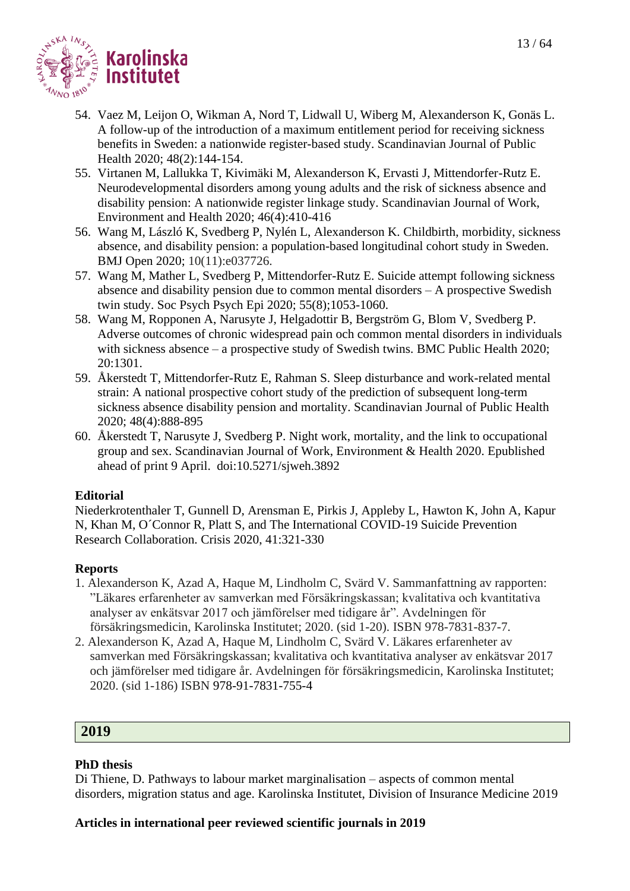- 54. Vaez M, Leijon O, Wikman A, Nord T, Lidwall U, Wiberg M, Alexanderson K, Gonäs L. A follow-up of the introduction of a maximum entitlement period for receiving sickness benefits in Sweden: a nationwide register-based study. Scandinavian Journal of Public Health 2020; 48(2):144-154.
- 55. Virtanen M, Lallukka T, Kivimäki M, Alexanderson K, Ervasti J, Mittendorfer-Rutz E. Neurodevelopmental disorders among young adults and the risk of sickness absence and disability pension: A nationwide register linkage study. Scandinavian Journal of Work, Environment and Health 2020; 46(4):410-416
- 56. Wang M, László K, Svedberg P, Nylén L, Alexanderson K. Childbirth, morbidity, sickness absence, and disability pension: a population-based longitudinal cohort study in Sweden. BMJ Open 2020; 10(11):e037726.
- 57. Wang M, Mather L, Svedberg P, Mittendorfer-Rutz E. Suicide attempt following sickness absence and disability pension due to common mental disorders – A prospective Swedish twin study. Soc Psych Psych Epi 2020; 55(8);1053-1060.
- 58. Wang M, Ropponen A, Narusyte J, Helgadottir B, Bergström G, Blom V, Svedberg P. Adverse outcomes of chronic widespread pain och common mental disorders in individuals with sickness absence – a prospective study of Swedish twins. BMC Public Health 2020; 20:1301.
- 59. Åkerstedt T, Mittendorfer-Rutz E, Rahman S. Sleep disturbance and work-related mental strain: A national prospective cohort study of the prediction of subsequent long-term sickness absence disability pension and mortality. Scandinavian Journal of Public Health 2020; 48(4):888-895
- 60. Åkerstedt T, Narusyte J, Svedberg P. Night work, mortality, and the link to occupational group and sex. Scandinavian Journal of Work, Environment & Health 2020. Epublished ahead of print 9 April. doi:10.5271/sjweh.3892

# **Editorial**

Niederkrotenthaler T, Gunnell D, Arensman E, Pirkis J, Appleby L, Hawton K, John A, Kapur N, Khan M, O´Connor R, Platt S, and The International COVID-19 Suicide Prevention Research Collaboration. Crisis 2020, 41:321-330

# **Reports**

- 1. Alexanderson K, Azad A, Haque M, Lindholm C, Svärd V. Sammanfattning av rapporten: "Läkares erfarenheter av samverkan med Försäkringskassan; kvalitativa och kvantitativa analyser av enkätsvar 2017 och jämförelser med tidigare år". Avdelningen för försäkringsmedicin, Karolinska Institutet; 2020. (sid 1-20). ISBN 978-7831-837-7.
- 2. Alexanderson K, Azad A, Haque M, Lindholm C, Svärd V. Läkares erfarenheter av samverkan med Försäkringskassan; kvalitativa och kvantitativa analyser av enkätsvar 2017 och jämförelser med tidigare år. Avdelningen för försäkringsmedicin, Karolinska Institutet; 2020. (sid 1-186) ISBN 978-91-7831-755-4

# **2019**

# **PhD thesis**

Di Thiene, D. Pathways to labour market marginalisation – aspects of common mental disorders, migration status and age. Karolinska Institutet, Division of Insurance Medicine 2019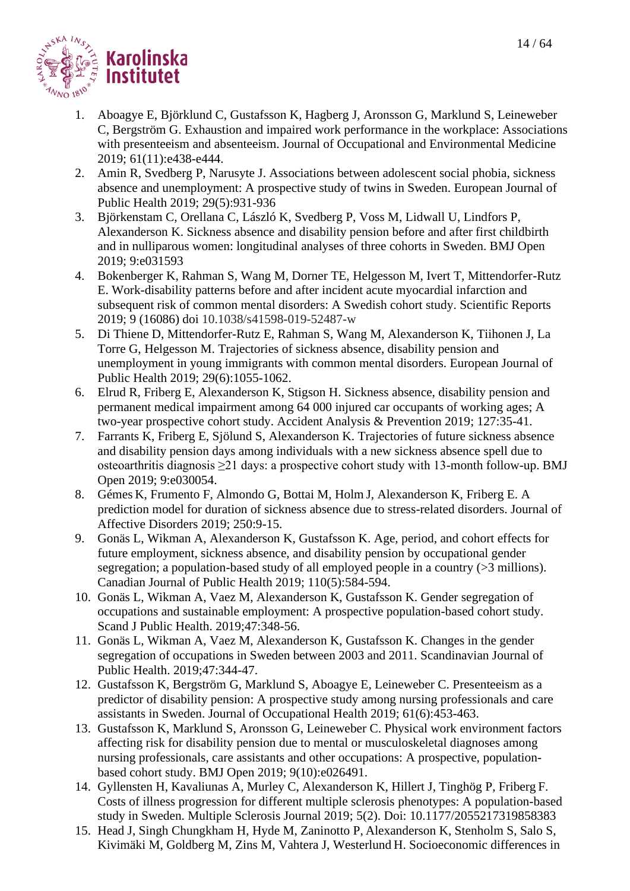

- 1. Aboagye E, Björklund C, Gustafsson K, Hagberg J, Aronsson G, Marklund S, Leineweber C, Bergström G. Exhaustion and impaired work performance in the workplace: Associations with presenteeism and absenteeism. Journal of Occupational and Environmental Medicine 2019; 61(11):e438-e444.
- 2. Amin R, Svedberg P, Narusyte J. Associations between adolescent social phobia, sickness absence and unemployment: A prospective study of twins in Sweden. European Journal of Public Health 2019; 29(5):931-936
- 3. Björkenstam C, Orellana C, László K, Svedberg P, Voss M, Lidwall U, Lindfors P, Alexanderson K. Sickness absence and disability pension before and after first childbirth and in nulliparous women: longitudinal analyses of three cohorts in Sweden. BMJ Open 2019; 9:e031593
- 4. Bokenberger K, Rahman S, Wang M, Dorner TE, Helgesson M, Ivert T, Mittendorfer-Rutz E. Work-disability patterns before and after incident acute myocardial infarction and subsequent risk of common mental disorders: A Swedish cohort study. Scientific Reports 2019; 9 (16086) doi 10.1038/s41598-019-52487-w
- 5. Di Thiene D, Mittendorfer-Rutz E, Rahman S, Wang M, Alexanderson K, Tiihonen J, La Torre G, Helgesson M. Trajectories of sickness absence, disability pension and unemployment in young immigrants with common mental disorders. European Journal of Public Health 2019; 29(6):1055-1062.
- 6. Elrud R, Friberg E, Alexanderson K, Stigson H. Sickness absence, disability pension and permanent medical impairment among 64 000 injured car occupants of working ages; A two-year prospective cohort study. Accident Analysis & Prevention 2019; 127:35-41.
- 7. Farrants K, Friberg E, Sjölund S, Alexanderson K. Trajectories of future sickness absence and disability pension days among individuals with a new sickness absence spell due to osteoarthritis diagnosis ≥21 days: a prospective cohort study with 13-month follow-up. BMJ Open 2019; 9:e030054.
- 8. Gémes K, Frumento F, Almondo G, Bottai M, Holm J, Alexanderson K, Friberg E. A prediction model for duration of sickness absence due to stress-related disorders. Journal of Affective Disorders 2019; 250:9-15.
- 9. Gonäs L, Wikman A, Alexanderson K, Gustafsson K. Age, period, and cohort effects for future employment, sickness absence, and disability pension by occupational gender segregation; a population-based study of all employed people in a country (>3 millions). Canadian Journal of Public Health 2019; 110(5):584-594.
- 10. Gonäs L, Wikman A, Vaez M, Alexanderson K, Gustafsson K. Gender segregation of occupations and sustainable employment: A prospective population-based cohort study. Scand J Public Health. 2019;47:348-56.
- 11. Gonäs L, Wikman A, Vaez M, Alexanderson K, Gustafsson K. Changes in the gender segregation of occupations in Sweden between 2003 and 2011. Scandinavian Journal of Public Health. 2019;47:344-47.
- 12. Gustafsson K, Bergström G, Marklund S, Aboagye E, Leineweber C. Presenteeism as a predictor of disability pension: A prospective study among nursing professionals and care assistants in Sweden. Journal of Occupational Health 2019; 61(6):453-463.
- 13. Gustafsson K, Marklund S, Aronsson G, Leineweber C. Physical work environment factors affecting risk for disability pension due to mental or musculoskeletal diagnoses among nursing professionals, care assistants and other occupations: A prospective, populationbased cohort study. BMJ Open 2019; 9(10):e026491.
- 14. Gyllensten H, Kavaliunas A, Murley C, Alexanderson K, Hillert J, Tinghög P, Friberg F. Costs of illness progression for different multiple sclerosis phenotypes: A population-based study in Sweden. Multiple Sclerosis Journal 2019; 5(2). Doi: 10.1177/2055217319858383
- 15. Head J, Singh Chungkham H, Hyde M, Zaninotto P, Alexanderson K, Stenholm S, Salo S, Kivimäki M, Goldberg M, Zins M, Vahtera J, Westerlund H. Socioeconomic differences in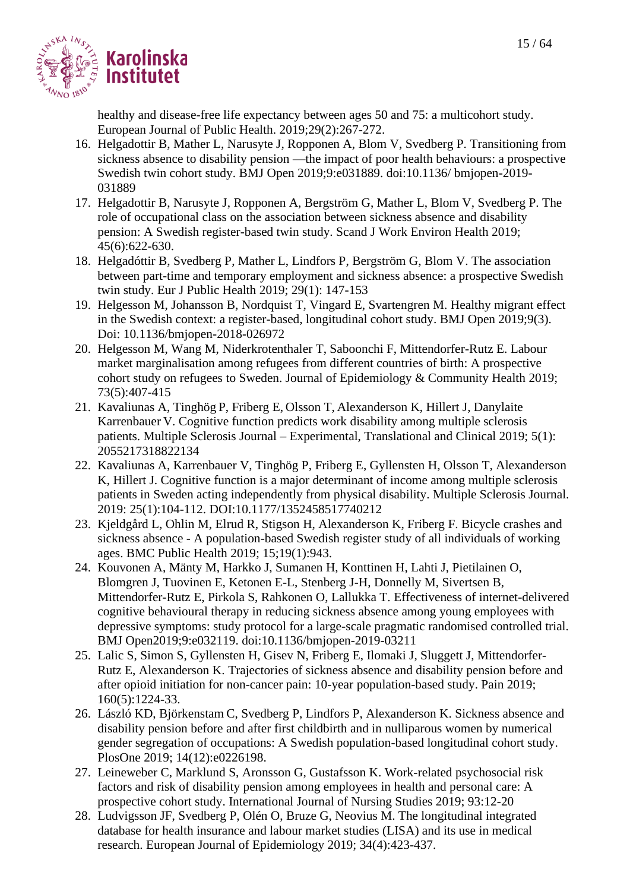

healthy and disease-free life expectancy between ages 50 and 75: a multicohort study. European Journal of Public Health. 2019;29(2):267-272.

- 16. Helgadottir B, Mather L, Narusyte J, Ropponen A, Blom V, Svedberg P. Transitioning from sickness absence to disability pension —the impact of poor health behaviours: a prospective Swedish twin cohort study. BMJ Open 2019;9:e031889. doi:10.1136/ bmjopen-2019- 031889
- 17. Helgadottir B, Narusyte J, Ropponen A, Bergström G, Mather L, Blom V, Svedberg P. The role of occupational class on the association between sickness absence and disability pension: A Swedish register-based twin study. Scand J Work Environ Health 2019; 45(6):622-630.
- 18. [Helgadóttir B,](https://www.ncbi.nlm.nih.gov/pubmed/?term=Helgad%C3%B3ttir%20B%5BAuthor%5D&cauthor=true&cauthor_uid=30084947) [Svedberg P,](https://www.ncbi.nlm.nih.gov/pubmed/?term=Svedberg%20P%5BAuthor%5D&cauthor=true&cauthor_uid=30084947) [Mather L,](https://www.ncbi.nlm.nih.gov/pubmed/?term=Mather%20L%5BAuthor%5D&cauthor=true&cauthor_uid=30084947) [Lindfors P,](https://www.ncbi.nlm.nih.gov/pubmed/?term=Lindfors%20P%5BAuthor%5D&cauthor=true&cauthor_uid=30084947) [Bergström G,](https://www.ncbi.nlm.nih.gov/pubmed/?term=Bergstr%C3%B6m%20G%5BAuthor%5D&cauthor=true&cauthor_uid=30084947) [Blom V.](https://www.ncbi.nlm.nih.gov/pubmed/?term=Blom%20V%5BAuthor%5D&cauthor=true&cauthor_uid=30084947) The association between part-time and temporary employment and sickness absence: a prospective Swedish twin study. [Eur J Public Health](https://www.ncbi.nlm.nih.gov/pubmed/30084947) 2019; 29(1): 147-153
- 19. Helgesson M, Johansson B, Nordquist T, Vingard E, Svartengren M. Healthy migrant effect in the Swedish context: a register-based, longitudinal cohort study. BMJ Open 2019;9(3). Doi: 10.1136/bmjopen-2018-026972
- 20. Helgesson M, Wang M, Niderkrotenthaler T, Saboonchi F, Mittendorfer-Rutz E. Labour market marginalisation among refugees from different countries of birth: A prospective cohort study on refugees to Sweden. Journal of Epidemiology & Community Health 2019; 73(5):407-415
- 21. Kavaliunas A, Tinghög P, Friberg E, Olsson T, Alexanderson K, Hillert J, Danylaite Karrenbauer V. Cognitive function predicts work disability among multiple sclerosis patients. Multiple Sclerosis Journal – Experimental, Translational and Clinical 2019; 5(1): 2055217318822134
- 22. Kavaliunas A, Karrenbauer V, Tinghög P, Friberg E, Gyllensten H, Olsson T, Alexanderson K, Hillert J. Cognitive function is a major determinant of income among multiple sclerosis patients in Sweden acting independently from physical disability. Multiple Sclerosis Journal. 2019: 25(1):104-112. DOI:10.1177/1352458517740212
- 23. Kjeldgård L, Ohlin M, Elrud R, Stigson H, Alexanderson K, Friberg F. Bicycle crashes and sickness absence - A population-based Swedish register study of all individuals of working ages. BMC Public Health 2019; 15;19(1):943.
- 24. Kouvonen A, Mänty M, Harkko J, Sumanen H, Konttinen H, Lahti J, Pietilainen O, Blomgren J, Tuovinen E, Ketonen E-L, Stenberg J-H, Donnelly M, Sivertsen B, Mittendorfer-Rutz E, Pirkola S, Rahkonen O, Lallukka T. Effectiveness of internet-delivered cognitive behavioural therapy in reducing sickness absence among young employees with depressive symptoms: study protocol for a large-scale pragmatic randomised controlled trial. BMJ Open2019;9:e032119. doi:10.1136/bmjopen-2019-03211
- 25. Lalic S, Simon S, Gyllensten H, Gisev N, Friberg E, Ilomaki J, Sluggett J, Mittendorfer-Rutz E, Alexanderson K. Trajectories of sickness absence and disability pension before and after opioid initiation for non-cancer pain: 10-year population-based study. Pain 2019; 160(5):1224-33.
- 26. László KD, Björkenstam C, Svedberg P, Lindfors P, Alexanderson K. Sickness absence and disability pension before and after first childbirth and in nulliparous women by numerical gender segregation of occupations: A Swedish population-based longitudinal cohort study. PlosOne 2019; 14(12):e0226198.
- 27. Leineweber C, Marklund S, Aronsson G, Gustafsson K. Work-related psychosocial risk factors and risk of disability pension among employees in health and personal care: A prospective cohort study. International Journal of Nursing Studies 2019; 93:12-20
- 28. Ludvigsson JF, Svedberg P, Olén O, Bruze G, Neovius M. The longitudinal integrated database for health insurance and labour market studies (LISA) and its use in medical research. European Journal of Epidemiology 2019; 34(4):423-437.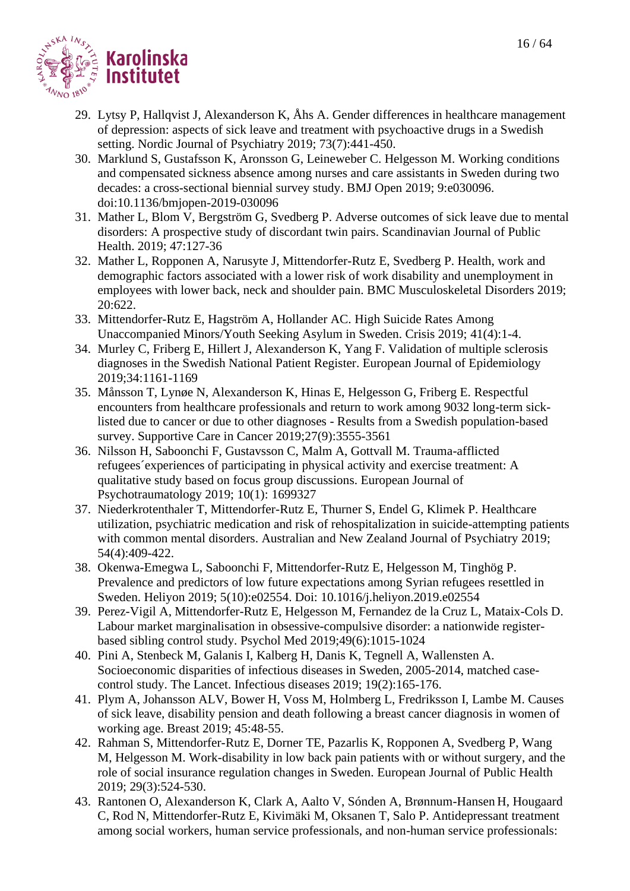

- 29. Lytsy P, Hallqvist J, Alexanderson K, Åhs A. Gender differences in healthcare management of depression: aspects of sick leave and treatment with psychoactive drugs in a Swedish setting. Nordic Journal of Psychiatry 2019; 73(7):441-450.
- 30. Marklund S, Gustafsson K, Aronsson G, Leineweber C. Helgesson M. Working conditions and compensated sickness absence among nurses and care assistants in Sweden during two decades: a cross-sectional biennial survey study. BMJ Open 2019; 9:e030096. doi:10.1136/bmjopen-2019-030096
- 31. Mather L, Blom V, Bergström G, Svedberg P. Adverse outcomes of sick leave due to mental disorders: A prospective study of discordant twin pairs. Scandinavian Journal of Public Health. 2019; 47:127-36
- 32. Mather L, Ropponen A, Narusyte J, Mittendorfer-Rutz E, Svedberg P. Health, work and demographic factors associated with a lower risk of work disability and unemployment in employees with lower back, neck and shoulder pain. BMC Musculoskeletal Disorders 2019; 20:622.
- 33. Mittendorfer-Rutz E, Hagström A, Hollander AC. High Suicide Rates Among Unaccompanied Minors/Youth Seeking Asylum in Sweden. Crisis 2019; 41(4):1-4.
- 34. Murley C, Friberg E, Hillert J, Alexanderson K, Yang F. Validation of multiple sclerosis diagnoses in the Swedish National Patient Register. European Journal of Epidemiology 2019;34:1161-1169
- 35. Månsson T, Lynøe N, Alexanderson K, Hinas E, Helgesson G, Friberg E. Respectful encounters from healthcare professionals and return to work among 9032 long-term sicklisted due to cancer or due to other diagnoses - Results from a Swedish population-based survey. Supportive Care in Cancer 2019;27(9):3555-3561
- 36. Nilsson H, Saboonchi F, Gustavsson C, Malm A, Gottvall M. Trauma-afflicted refugees´experiences of participating in physical activity and exercise treatment: A qualitative study based on focus group discussions. European Journal of Psychotraumatology 2019; 10(1): 1699327
- 37. Niederkrotenthaler T, Mittendorfer-Rutz E, Thurner S, Endel G, Klimek P. Healthcare utilization, psychiatric medication and risk of rehospitalization in suicide-attempting patients with common mental disorders. Australian and New Zealand Journal of Psychiatry 2019; 54(4):409-422.
- 38. Okenwa-Emegwa L, Saboonchi F, Mittendorfer-Rutz E, Helgesson M, Tinghög P. Prevalence and predictors of low future expectations among Syrian refugees resettled in Sweden. Heliyon 2019; 5(10):e02554. Doi: 10.1016/j.heliyon.2019.e02554
- 39. Perez-Vigil A, Mittendorfer-Rutz E, Helgesson M, Fernandez de la Cruz L, Mataix-Cols D. Labour market marginalisation in obsessive-compulsive disorder: a nationwide registerbased sibling control study. Psychol Med 2019;49(6):1015-1024
- 40. Pini A, Stenbeck M, Galanis I, Kalberg H, Danis K, Tegnell A, Wallensten A. Socioeconomic disparities of infectious diseases in Sweden, 2005-2014, matched casecontrol study. The Lancet. Infectious diseases 2019; 19(2):165-176.
- 41. Plym A, Johansson ALV, Bower H, Voss M, Holmberg L, Fredriksson I, Lambe M. Causes of sick leave, disability pension and death following a breast cancer diagnosis in women of working age. Breast 2019; 45:48-55.
- 42. Rahman S, Mittendorfer-Rutz E, Dorner TE, Pazarlis K, Ropponen A, Svedberg P, Wang M, Helgesson M. Work-disability in low back pain patients with or without surgery, and the role of social insurance regulation changes in Sweden. European Journal of Public Health 2019; 29(3):524-530.
- 43. Rantonen O, Alexanderson K, Clark A, Aalto V, Sónden A, Brønnum-Hansen H, Hougaard C, Rod N, Mittendorfer-Rutz E, Kivimäki M, Oksanen T, Salo P. Antidepressant treatment among social workers, human service professionals, and non-human service professionals: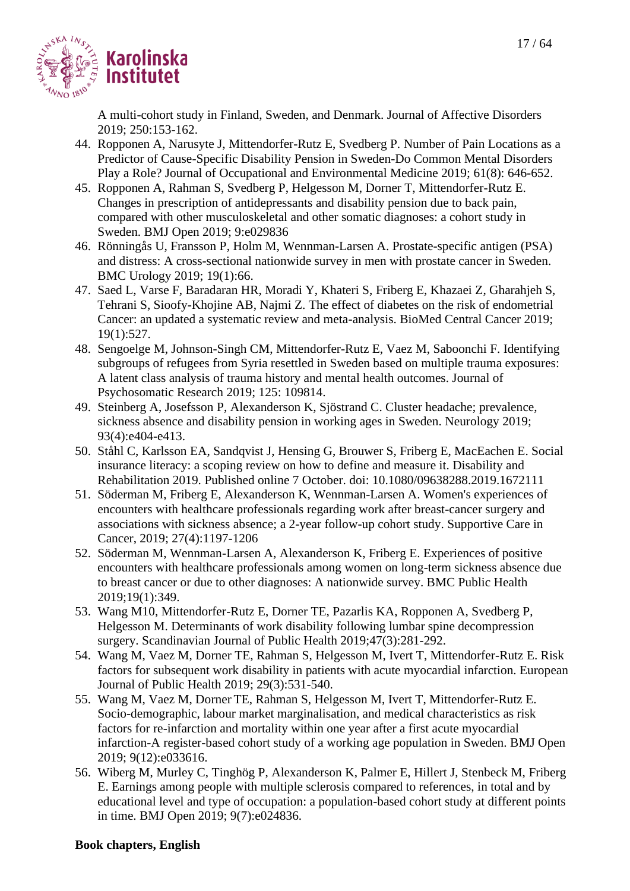

A multi-cohort study in Finland, Sweden, and Denmark. Journal of Affective Disorders 2019; 250:153-162.

- 44. Ropponen A, Narusyte J, Mittendorfer-Rutz E, Svedberg P. Number of Pain Locations as a Predictor of Cause-Specific Disability Pension in Sweden-Do Common Mental Disorders Play a Role? Journal of Occupational and Environmental Medicine 2019; 61(8): 646-652.
- 45. Ropponen A, Rahman S, Svedberg P, Helgesson M, Dorner T, Mittendorfer-Rutz E. Changes in prescription of antidepressants and disability pension due to back pain, compared with other musculoskeletal and other somatic diagnoses: a cohort study in Sweden. BMJ Open 2019; 9:e029836
- 46. Rönningås U, Fransson P, Holm M, Wennman-Larsen A. Prostate-specific antigen (PSA) and distress: A cross-sectional nationwide survey in men with prostate cancer in Sweden. BMC Urology 2019; 19(1):66.
- 47. Saed L, Varse F, Baradaran HR, Moradi Y, Khateri S, Friberg E, Khazaei Z, Gharahjeh S, Tehrani S, Sioofy-Khojine AB, Najmi Z. The effect of diabetes on the risk of endometrial Cancer: an updated a systematic review and meta-analysis. BioMed Central Cancer 2019; 19(1):527.
- 48. Sengoelge M, Johnson-Singh CM, Mittendorfer-Rutz E, Vaez M, Saboonchi F. Identifying subgroups of refugees from Syria resettled in Sweden based on multiple trauma exposures: A latent class analysis of trauma history and mental health outcomes. Journal of Psychosomatic Research 2019; 125: 109814.
- 49. Steinberg A, Josefsson P, Alexanderson K, Sjöstrand C. Cluster headache; prevalence, sickness absence and disability pension in working ages in Sweden. Neurology 2019; 93(4):e404-e413.
- 50. Ståhl C, Karlsson EA, Sandqvist J, Hensing G, Brouwer S, Friberg E, MacEachen E. Social insurance literacy: a scoping review on how to define and measure it. Disability and Rehabilitation 2019. Published online 7 October. doi: 10.1080/09638288.2019.1672111
- 51. Söderman M, Friberg E, Alexanderson K, Wennman-Larsen A. Women's experiences of encounters with healthcare professionals regarding work after breast-cancer surgery and associations with sickness absence; a 2-year follow-up cohort study. Supportive Care in Cancer, 2019; 27(4):1197-1206
- 52. Söderman M, Wennman-Larsen A, Alexanderson K, Friberg E. Experiences of positive encounters with healthcare professionals among women on long-term sickness absence due to breast cancer or due to other diagnoses: A nationwide survey. BMC Public Health 2019;19(1):349.
- 53. Wang M10, Mittendorfer-Rutz E, Dorner TE, Pazarlis KA, Ropponen A, Svedberg P, Helgesson M. Determinants of work disability following lumbar spine decompression surgery. Scandinavian Journal of Public Health 2019;47(3):281-292.
- 54. Wang M, Vaez M, Dorner TE, Rahman S, Helgesson M, Ivert T, Mittendorfer-Rutz E. Risk factors for subsequent work disability in patients with acute myocardial infarction. European Journal of Public Health 2019; 29(3):531-540.
- 55. Wang M, Vaez M, Dorner TE, Rahman S, Helgesson M, Ivert T, Mittendorfer-Rutz E. Socio-demographic, labour market marginalisation, and medical characteristics as risk factors for re-infarction and mortality within one year after a first acute myocardial infarction-A register-based cohort study of a working age population in Sweden. BMJ Open 2019; 9(12):e033616.
- 56. Wiberg M, Murley C, Tinghög P, Alexanderson K, Palmer E, Hillert J, Stenbeck M, Friberg E. Earnings among people with multiple sclerosis compared to references, in total and by educational level and type of occupation: a population-based cohort study at different points in time. BMJ Open 2019; 9(7):e024836.

# **Book chapters, English**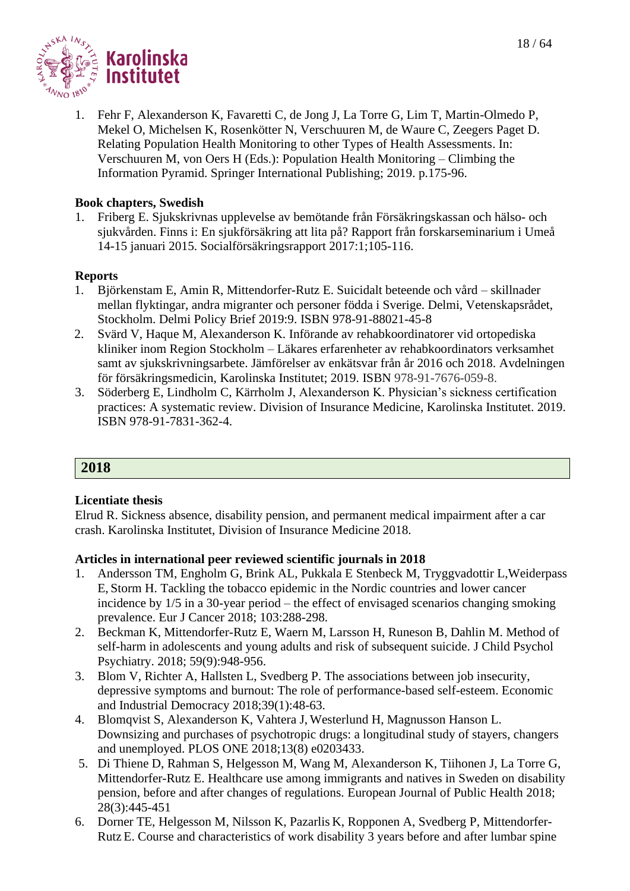



1. Fehr F, Alexanderson K, Favaretti C, de Jong J, La Torre G, Lim T, Martin-Olmedo P, Mekel O, Michelsen K, Rosenkötter N, Verschuuren M, de Waure C, Zeegers Paget D. Relating Population Health Monitoring to other Types of Health Assessments. In: Verschuuren M, von Oers H (Eds.): Population Health Monitoring – Climbing the Information Pyramid. Springer International Publishing; 2019. p.175-96.

#### **Book chapters, Swedish**

1. Friberg E. Sjukskrivnas upplevelse av bemötande från Försäkringskassan och hälso- och sjukvården. Finns i: En sjukförsäkring att lita på? Rapport från forskarseminarium i Umeå 14-15 januari 2015. Socialförsäkringsrapport 2017:1;105-116.

#### **Reports**

- 1. Björkenstam E, Amin R, Mittendorfer-Rutz E. Suicidalt beteende och vård skillnader mellan flyktingar, andra migranter och personer födda i Sverige. Delmi, Vetenskapsrådet, Stockholm. Delmi Policy Brief 2019:9. ISBN 978-91-88021-45-8
- 2. Svärd V, Haque M, Alexanderson K. Införande av rehabkoordinatorer vid ortopediska kliniker inom Region Stockholm – Läkares erfarenheter av rehabkoordinators verksamhet samt av sjukskrivningsarbete. Jämförelser av enkätsvar från år 2016 och 2018. Avdelningen för försäkringsmedicin, Karolinska Institutet; 2019. ISBN 978-91-7676-059-8.
- 3. Söderberg E, Lindholm C, Kärrholm J, Alexanderson K. Physician's sickness certification practices: A systematic review. Division of Insurance Medicine, Karolinska Institutet. 2019. ISBN 978-91-7831-362-4.

# **2018**

#### **Licentiate thesis**

Elrud R. Sickness absence, disability pension, and permanent medical impairment after a car crash. Karolinska Institutet, Division of Insurance Medicine 2018.

- 1. Andersson TM, Engholm G, Brink AL, Pukkala E Stenbeck M, Tryggvadottir L,Weiderpass E, Storm H. Tackling the tobacco epidemic in the Nordic countries and lower cancer incidence by 1/5 in a 30-year period – the effect of envisaged scenarios changing smoking prevalence. Eur J Cancer 2018; 103:288-298.
- 2. Beckman K, Mittendorfer-Rutz E, Waern M, Larsson H, Runeson B, Dahlin M. [Method of](https://www.ncbi.nlm.nih.gov/pubmed/29504652)  [self-harm in adolescents and young adults and risk of subsequent suicide.](https://www.ncbi.nlm.nih.gov/pubmed/29504652) J Child Psychol Psychiatry. 2018; 59(9):948-956.
- 3. Blom V, Richter A, Hallsten L, Svedberg P. The associations between job insecurity, depressive symptoms and burnout: The role of performance-based self-esteem. Economic and Industrial Democracy 2018;39(1):48-63.
- 4. Blomqvist S, Alexanderson K, Vahtera J, Westerlund H, Magnusson Hanson L. Downsizing and purchases of psychotropic drugs: a longitudinal study of stayers, changers and unemployed. PLOS ONE 2018;13(8) e0203433.
- 5. Di Thiene D, Rahman S, Helgesson M, Wang M, Alexanderson K, Tiihonen J, La Torre G, Mittendorfer-Rutz E. Healthcare use among immigrants and natives in Sweden on disability pension, before and after changes of regulations. European Journal of Public Health 2018; 28(3):445-451
- 6. Dorner TE, Helgesson M, Nilsson K, Pazarlis K, Ropponen A, Svedberg P, Mittendorfer-Rutz E. Course and characteristics of work disability 3 years before and after lumbar spine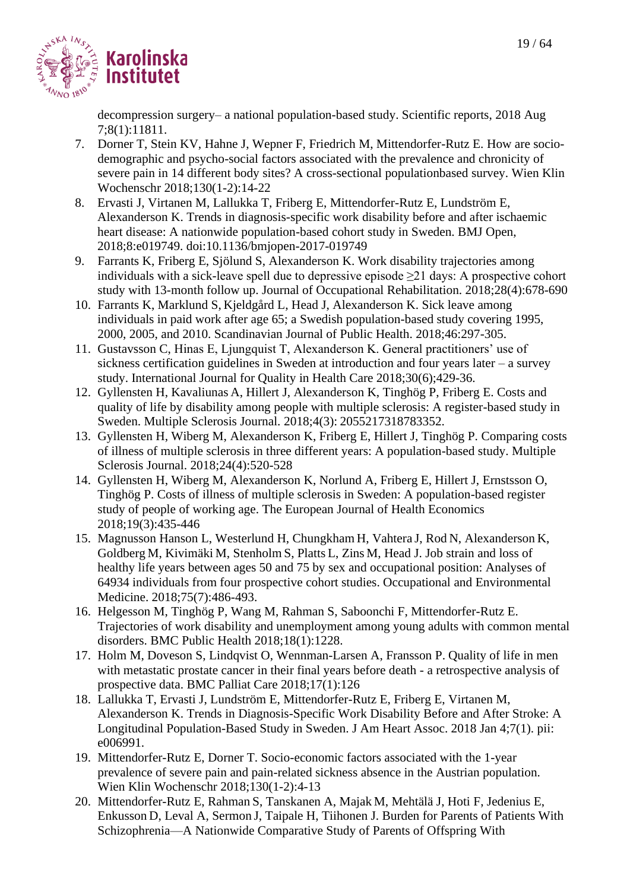

decompression surgery– a national population-based study. Scientific reports, 2018 Aug 7;8(1):11811.

- 7. Dorner T, Stein KV, Hahne J, Wepner F, Friedrich M, Mittendorfer-Rutz E. How are sociodemographic and psycho-social factors associated with the prevalence and chronicity of severe pain in 14 different body sites? A cross-sectional populationbased survey. Wien Klin Wochenschr 2018;130(1-2):14-22
- 8. Ervasti J, Virtanen M, Lallukka T, Friberg E, Mittendorfer-Rutz E, Lundström E, Alexanderson K. Trends in diagnosis-specific work disability before and after ischaemic heart disease: A nationwide population-based cohort study in Sweden. BMJ Open, 2018;8:e019749. doi:10.1136/bmjopen-2017-019749
- 9. Farrants K, Friberg E, Sjölund S, Alexanderson K. Work disability trajectories among individuals with a sick-leave spell due to depressive episode  $\geq$ 21 days: A prospective cohort study with 13-month follow up. Journal of Occupational Rehabilitation. 2018;28(4):678-690
- 10. Farrants K, Marklund S, Kjeldgård L, Head J, Alexanderson K. Sick leave among individuals in paid work after age 65; a Swedish population-based study covering 1995, 2000, 2005, and 2010. Scandinavian Journal of Public Health. 2018;46:297-305.
- 11. Gustavsson C, Hinas E, Ljungquist T, Alexanderson K. General practitioners' use of sickness certification guidelines in Sweden at introduction and four years later – a survey study. International Journal for Quality in Health Care 2018;30(6);429-36.
- 12. Gyllensten H, Kavaliunas A, Hillert J, Alexanderson K, Tinghög P, Friberg E. Costs and quality of life by disability among people with multiple sclerosis: A register-based study in Sweden. Multiple Sclerosis Journal. 2018;4(3): 2055217318783352.
- 13. Gyllensten H, Wiberg M, Alexanderson K, Friberg E, Hillert J, Tinghög P. Comparing costs of illness of multiple sclerosis in three different years: A population-based study. Multiple Sclerosis Journal. 2018;24(4):520-528
- 14. Gyllensten H, Wiberg M, Alexanderson K, Norlund A, Friberg E, Hillert J, Ernstsson O, Tinghög P. Costs of illness of multiple sclerosis in Sweden: A population-based register study of people of working age. The European Journal of Health Economics 2018;19(3):435-446
- 15. Magnusson Hanson L, Westerlund H, Chungkham H, Vahtera J, Rod N, Alexanderson K, Goldberg M, Kivimäki M, Stenholm S, Platts L, Zins M, Head J. Job strain and loss of healthy life years between ages 50 and 75 by sex and occupational position: Analyses of 64934 individuals from four prospective cohort studies. Occupational and Environmental Medicine. 2018;75(7):486-493.
- 16. Helgesson M, Tinghög P, Wang M, Rahman S, Saboonchi F, Mittendorfer-Rutz E. Trajectories of work disability and unemployment among young adults with common mental disorders. BMC Public Health 2018;18(1):1228.
- 17. Holm M, Doveson S, Lindqvist O, Wennman-Larsen A, Fransson P. Quality of life in men with metastatic prostate cancer in their final years before death - a retrospective analysis of prospective data. BMC Palliat Care 2018;17(1):126
- 18. Lallukka T, Ervasti J, Lundström E, Mittendorfer-Rutz E, Friberg E, Virtanen M, Alexanderson K. Trends in Diagnosis-Specific Work Disability Before and After Stroke: A Longitudinal Population-Based Study in Sweden. J Am Heart Assoc. 2018 Jan 4;7(1). pii: e006991.
- 19. Mittendorfer-Rutz E, Dorner T. Socio-economic factors associated with the 1-year prevalence of severe pain and pain-related sickness absence in the Austrian population. Wien Klin Wochenschr 2018;130(1-2):4-13
- 20. Mittendorfer-Rutz E, Rahman S, Tanskanen A, Majak M, Mehtälä J, Hoti F, Jedenius E, Enkusson D, Leval A, Sermon J, Taipale H, Tiihonen J. Burden for Parents of Patients With Schizophrenia—A Nationwide Comparative Study of Parents of Offspring With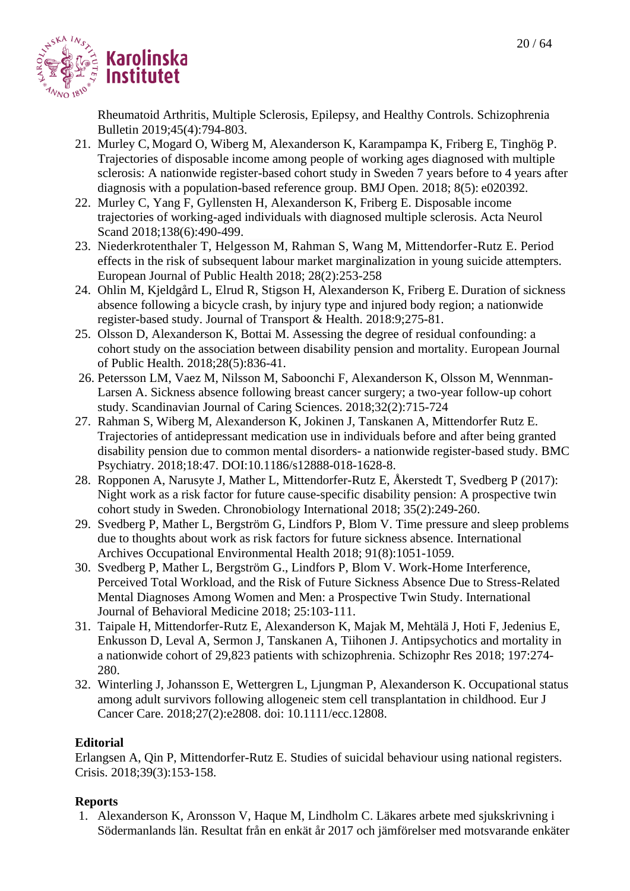

Rheumatoid Arthritis, Multiple Sclerosis, Epilepsy, and Healthy Controls. Schizophrenia Bulletin 2019;45(4):794-803.

- 21. Murley C, Mogard O, Wiberg M, Alexanderson K, Karampampa K, Friberg E, Tinghög P. Trajectories of disposable income among people of working ages diagnosed with multiple sclerosis: A nationwide register-based cohort study in Sweden 7 years before to 4 years after diagnosis with a population-based reference group. BMJ Open. 2018; 8(5): e020392.
- 22. Murley C, Yang F, Gyllensten H, Alexanderson K, Friberg E. Disposable income trajectories of working-aged individuals with diagnosed multiple sclerosis. Acta Neurol Scand 2018:138(6):490-499.
- 23. Niederkrotenthaler T, Helgesson M, Rahman S, Wang M, Mittendorfer-Rutz E. Period effects in the risk of subsequent labour market marginalization in young suicide attempters. European Journal of Public Health 2018; 28(2):253-258
- 24. Ohlin M, Kjeldgård L, Elrud R, Stigson H, Alexanderson K, Friberg E. Duration of sickness absence following a bicycle crash, by injury type and injured body region; a nationwide register-based study. Journal of Transport & Health. 2018:9;275-81.
- 25. Olsson D, Alexanderson K, Bottai M. Assessing the degree of residual confounding: a cohort study on the association between disability pension and mortality. European Journal of Public Health. 2018;28(5):836-41.
- 26. Petersson LM, Vaez M, Nilsson M, Saboonchi F, Alexanderson K, Olsson M, Wennman-Larsen A. Sickness absence following breast cancer surgery; a two-year follow-up cohort study. Scandinavian Journal of Caring Sciences. 2018;32(2):715-724
- 27. Rahman S, Wiberg M, Alexanderson K, Jokinen J, Tanskanen A, Mittendorfer Rutz E. Trajectories of antidepressant medication use in individuals before and after being granted disability pension due to common mental disorders- a nationwide register-based study. BMC Psychiatry. 2018;18:47. [DOI:10.1186/s12888-018-1628-8.](https://doi.org/10.1186/s12888-018-1628-8)
- 28. Ropponen A, Narusyte J, Mather L, Mittendorfer-Rutz E, Åkerstedt T, Svedberg P (2017): Night work as a risk factor for future cause-specific disability pension: A prospective twin cohort study in Sweden. Chronobiology International 2018; 35(2):249-260.
- 29. Svedberg P, Mather L, Bergström G, Lindfors P, Blom V. Time pressure and sleep problems due to thoughts about work as risk factors for future sickness absence. International Archives Occupational Environmental Health 2018; 91(8):1051-1059.
- 30. Svedberg P, Mather L, Bergström G., Lindfors P, Blom V. Work-Home Interference, Perceived Total Workload, and the Risk of Future Sickness Absence Due to Stress-Related Mental Diagnoses Among Women and Men: a Prospective Twin Study. International Journal of Behavioral Medicine 2018; 25:103-111.
- 31. Taipale H, Mittendorfer-Rutz E, Alexanderson K, Majak M, Mehtälä J, Hoti F, Jedenius E, Enkusson D, Leval A, Sermon J, Tanskanen A, Tiihonen J. Antipsychotics and mortality in a nationwide cohort of 29,823 patients with schizophrenia. Schizophr Res 2018; 197:274- 280.
- 32. Winterling J, Johansson E, Wettergren L, Ljungman P, Alexanderson K. Occupational status among adult survivors following allogeneic stem cell transplantation in childhood. Eur J Cancer Care. 2018;27(2):e2808. doi: 10.1111/ecc.12808.

# **Editorial**

Erlangsen A, Qin P, Mittendorfer-Rutz E. Studies of suicidal behaviour using national registers. Crisis. 2018;39(3):153-158.

# **Reports**

1. Alexanderson K, Aronsson V, Haque M, Lindholm C. Läkares arbete med sjukskrivning i Södermanlands län. Resultat från en enkät år 2017 och jämförelser med motsvarande enkäter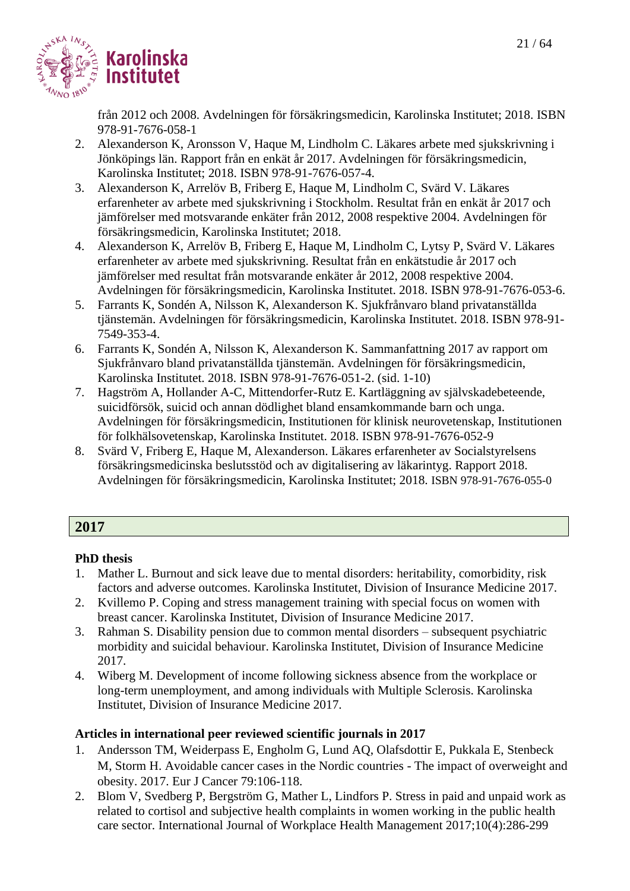

från 2012 och 2008. Avdelningen för försäkringsmedicin, Karolinska Institutet; 2018. ISBN 978-91-7676-058-1

- 2. Alexanderson K, Aronsson V, Haque M, Lindholm C. Läkares arbete med sjukskrivning i Jönköpings län. Rapport från en enkät år 2017. Avdelningen för försäkringsmedicin, Karolinska Institutet; 2018. ISBN 978-91-7676-057-4.
- 3. Alexanderson K, Arrelöv B, Friberg E, Haque M, Lindholm C, Svärd V. Läkares erfarenheter av arbete med sjukskrivning i Stockholm. Resultat från en enkät år 2017 och jämförelser med motsvarande enkäter från 2012, 2008 respektive 2004. Avdelningen för försäkringsmedicin, Karolinska Institutet; 2018.
- 4. Alexanderson K, Arrelöv B, Friberg E, Haque M, Lindholm C, Lytsy P, Svärd V. Läkares erfarenheter av arbete med sjukskrivning. Resultat från en enkätstudie år 2017 och jämförelser med resultat från motsvarande enkäter år 2012, 2008 respektive 2004. Avdelningen för försäkringsmedicin, Karolinska Institutet. 2018. ISBN 978-91-7676-053-6.
- 5. Farrants K, Sondén A, Nilsson K, Alexanderson K. Sjukfrånvaro bland privatanställda tjänstemän. Avdelningen för försäkringsmedicin, Karolinska Institutet. 2018. ISBN 978-91- 7549-353-4.
- 6. Farrants K, Sondén A, Nilsson K, Alexanderson K. Sammanfattning 2017 av rapport om Sjukfrånvaro bland privatanställda tjänstemän. Avdelningen för försäkringsmedicin, Karolinska Institutet. 2018. ISBN 978-91-7676-051-2. (sid. 1-10)
- 7. Hagström A, Hollander A-C, Mittendorfer-Rutz E. Kartläggning av självskadebeteende, suicidförsök, suicid och annan dödlighet bland ensamkommande barn och unga. Avdelningen för försäkringsmedicin, Institutionen för klinisk neurovetenskap, Institutionen för folkhälsovetenskap, Karolinska Institutet. 2018. ISBN 978-91-7676-052-9
- 8. Svärd V, Friberg E, Haque M, Alexanderson. Läkares erfarenheter av Socialstyrelsens försäkringsmedicinska beslutsstöd och av digitalisering av läkarintyg. Rapport 2018. Avdelningen för försäkringsmedicin, Karolinska Institutet; 2018. ISBN 978-91-7676-055-0

# **2017**

# **PhD thesis**

- 1. Mather L. Burnout and sick leave due to mental disorders: heritability, comorbidity, risk factors and adverse outcomes. Karolinska Institutet, Division of Insurance Medicine 2017.
- 2. Kvillemo P. Coping and stress management training with special focus on women with breast cancer. Karolinska Institutet, Division of Insurance Medicine 2017.
- 3. Rahman S. Disability pension due to common mental disorders subsequent psychiatric morbidity and suicidal behaviour. Karolinska Institutet, Division of Insurance Medicine 2017.
- 4. Wiberg M. Development of income following sickness absence from the workplace or long-term unemployment, and among individuals with Multiple Sclerosis. Karolinska Institutet, Division of Insurance Medicine 2017.

- 1. Andersson TM, Weiderpass E, Engholm G, Lund AQ, Olafsdottir E, Pukkala E, Stenbeck M, Storm H. Avoidable cancer cases in the Nordic countries - The impact of overweight and obesity. 2017. Eur J Cancer 79:106-118.
- 2. Blom V, Svedberg P, Bergström G, Mather L, Lindfors P. Stress in paid and unpaid work as related to cortisol and subjective health complaints in women working in the public health care sector. International Journal of Workplace Health Management 2017;10(4):286-299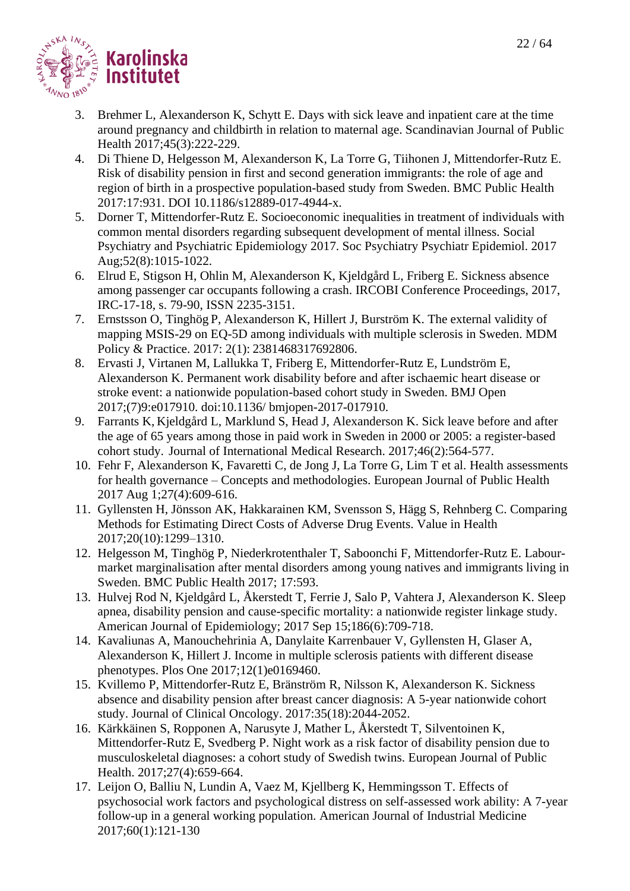

- 3. Brehmer L, Alexanderson K, Schytt E. Days with sick leave and inpatient care at the time around pregnancy and childbirth in relation to maternal age. Scandinavian Journal of Public Health 2017;45(3):222-229.
- 4. Di Thiene D, Helgesson M, Alexanderson K, La Torre G, Tiihonen J, Mittendorfer-Rutz E. Risk of disability pension in first and second generation immigrants: the role of age and region of birth in a prospective population-based study from Sweden. BMC Public Health 2017:17:931. DOI 10.1186/s12889-017-4944-x.
- 5. Dorner T, Mittendorfer-Rutz E. Socioeconomic inequalities in treatment of individuals with common mental disorders regarding subsequent development of mental illness. Social Psychiatry and Psychiatric Epidemiology 2017. Soc Psychiatry Psychiatr Epidemiol. 2017 Aug;52(8):1015-1022.
- 6. Elrud E, Stigson H, Ohlin M, Alexanderson K, Kjeldgård L, Friberg E. Sickness absence among passenger car occupants following a crash. IRCOBI Conference Proceedings, 2017, IRC-17-18, s. 79-90, ISSN 2235-3151.
- 7. Ernstsson O, Tinghög P, Alexanderson K, Hillert J, Burström K. The external validity of mapping MSIS-29 on EQ-5D among individuals with multiple sclerosis in Sweden. MDM Policy & Practice. 2017: 2(1): 2381468317692806.
- 8. Ervasti J, Virtanen M, Lallukka T, Friberg E, Mittendorfer-Rutz E, Lundström E, Alexanderson K. Permanent work disability before and after ischaemic heart disease or stroke event: a nationwide population-based cohort study in Sweden. BMJ Open 2017;(7)9:e017910. doi:10.1136/ bmjopen-2017-017910.
- 9. Farrants K, Kjeldgård L, Marklund S, Head J, Alexanderson K. Sick leave before and after the age of 65 years among those in paid work in Sweden in 2000 or 2005: a register-based cohort study. Journal of International Medical Research. 2017;46(2):564-577.
- 10. Fehr F, Alexanderson K, Favaretti C, de Jong J, La Torre G, Lim T et al. Health assessments for health governance – Concepts and methodologies. European Journal of Public Health 2017 Aug 1;27(4):609-616.
- 11. Gyllensten H, Jönsson AK, Hakkarainen KM, Svensson S, Hägg S, Rehnberg C. Comparing Methods for Estimating Direct Costs of Adverse Drug Events. Value in Health 2017;20(10):1299–1310.
- 12. Helgesson M, Tinghög P, Niederkrotenthaler T, Saboonchi F, Mittendorfer-Rutz E. Labourmarket marginalisation after mental disorders among young natives and immigrants living in Sweden. BMC Public Health 2017; 17:593.
- 13. Hulvej Rod N, Kjeldgård L, Åkerstedt T, Ferrie J, Salo P, Vahtera J, Alexanderson K. Sleep apnea, disability pension and cause-specific mortality: a nationwide register linkage study. American Journal of Epidemiology; 2017 Sep 15;186(6):709-718.
- 14. Kavaliunas A, Manouchehrinia A, Danylaite Karrenbauer V, Gyllensten H, Glaser A, Alexanderson K, Hillert J. Income in multiple sclerosis patients with different disease phenotypes. Plos One 2017;12(1)e0169460.
- 15. Kvillemo P, Mittendorfer-Rutz E, Bränström R, Nilsson K, Alexanderson K. Sickness absence and disability pension after breast cancer diagnosis: A 5-year nationwide cohort study. Journal of Clinical Oncology. 2017:35(18):2044-2052.
- 16. Kärkkäinen S, Ropponen A, Narusyte J, Mather L, Åkerstedt T, Silventoinen K, Mittendorfer-Rutz E, Svedberg P. Night work as a risk factor of disability pension due to musculoskeletal diagnoses: a cohort study of Swedish twins. European Journal of Public Health. 2017;27(4):659-664.
- 17. Leijon O, Balliu N, Lundin A, Vaez M, Kjellberg K, Hemmingsson T. Effects of psychosocial work factors and psychological distress on self-assessed work ability: A 7-year follow-up in a general working population. American Journal of Industrial Medicine 2017;60(1):121-130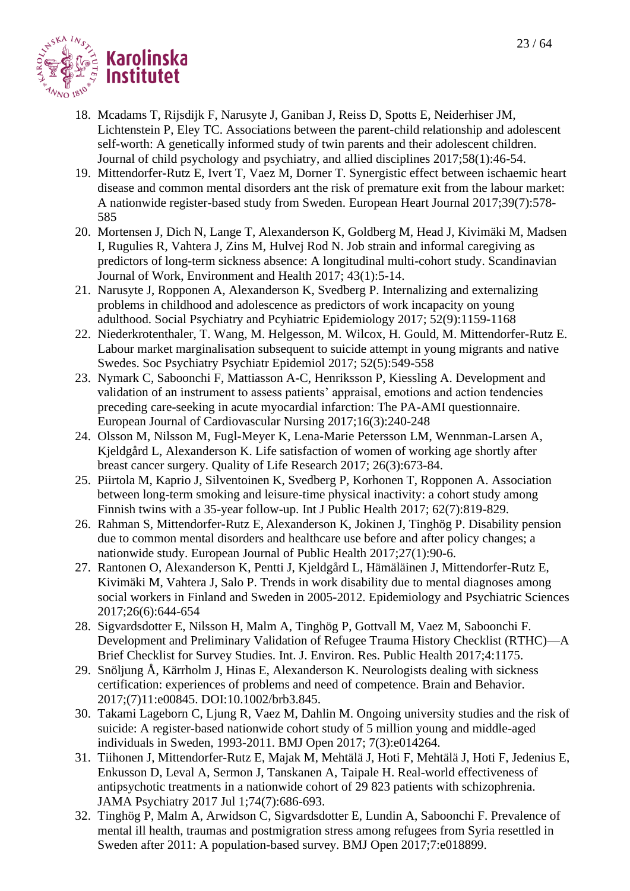

- 18. Mcadams T, Rijsdijk F, Narusyte J, Ganiban J, Reiss D, Spotts E, Neiderhiser JM*,* Lichtenstein P, Eley TC. Associations between the parent-child relationship and adolescent self-worth: A genetically informed study of twin parents and their adolescent children. Journal of child psychology and psychiatry, and allied disciplines 2017;58(1):46-54.
- 19. Mittendorfer-Rutz E, Ivert T, Vaez M, Dorner T. Synergistic effect between ischaemic heart disease and common mental disorders ant the risk of premature exit from the labour market: A nationwide register-based study from Sweden. European Heart Journal 2017;39(7):578- 585
- 20. Mortensen J, Dich N, Lange T, Alexanderson K, Goldberg M, Head J, Kivimäki M, Madsen I, Rugulies R, Vahtera J, Zins M, Hulvej Rod N. Job strain and informal caregiving as predictors of long-term sickness absence: A longitudinal multi-cohort study. Scandinavian Journal of Work, Environment and Health 2017; 43(1):5-14.
- 21. Narusyte J, Ropponen A, Alexanderson K, Svedberg P. Internalizing and externalizing problems in childhood and adolescence as predictors of work incapacity on young adulthood. Social Psychiatry and Pcyhiatric Epidemiology 2017; 52(9):1159-1168
- 22. Niederkrotenthaler, T. Wang, M. Helgesson, M. Wilcox, H. Gould, M. Mittendorfer-Rutz E. Labour market marginalisation subsequent to suicide attempt in young migrants and native Swedes. Soc Psychiatry Psychiatr Epidemiol 2017; 52(5):549-558
- 23. Nymark C, Saboonchi F, Mattiasson A-C, Henriksson P, Kiessling A. Development and validation of an instrument to assess patients' appraisal, emotions and action tendencies preceding care-seeking in acute myocardial infarction: The PA-AMI questionnaire. European Journal of Cardiovascular Nursing 2017;16(3):240-248
- 24. Olsson M, Nilsson M, Fugl-Meyer K, Lena-Marie Petersson LM, Wennman-Larsen A, Kjeldgård L, Alexanderson K. Life satisfaction of women of working age shortly after breast cancer surgery. Quality of Life Research 2017; 26(3):673-84.
- 25. Piirtola M, Kaprio J, Silventoinen K, Svedberg P, Korhonen T, Ropponen A. Association between long-term smoking and leisure-time physical inactivity: a cohort study among Finnish twins with a 35-year follow-up. Int J Public Health 2017; 62(7):819-829.
- 26. Rahman S, Mittendorfer-Rutz E, Alexanderson K, Jokinen J, Tinghög P. Disability pension due to common mental disorders and healthcare use before and after policy changes; a nationwide study. European Journal of Public Health 2017;27(1):90-6.
- 27. Rantonen O, Alexanderson K, Pentti J, Kjeldgård L, Hämäläinen J, Mittendorfer-Rutz E, Kivimäki M, Vahtera J, Salo P. Trends in work disability due to mental diagnoses among social workers in Finland and Sweden in 2005-2012. Epidemiology and Psychiatric Sciences 2017;26(6):644-654
- 28. Sigvardsdotter E, Nilsson H, Malm A, Tinghög P, Gottvall M, Vaez M, Saboonchi F. Development and Preliminary Validation of Refugee Trauma History Checklist (RTHC)—A Brief Checklist for Survey Studies. Int. J. Environ. Res. Public Health 2017;4:1175.
- 29. Snöljung Å, Kärrholm J, Hinas E, Alexanderson K. Neurologists dealing with sickness certification: experiences of problems and need of competence. Brain and Behavior. 2017;(7)11:e00845. DOI:10.1002/brb3.845.
- 30. Takami Lageborn C, Ljung R, Vaez M, Dahlin M. Ongoing university studies and the risk of suicide: A register-based nationwide cohort study of 5 million young and middle-aged individuals in Sweden, 1993-2011. BMJ Open 2017; 7(3):e014264.
- 31. Tiihonen J, Mittendorfer-Rutz E, Majak M, Mehtälä J, Hoti F, Mehtälä J, Hoti F, Jedenius E, Enkusson D, Leval A, Sermon J, Tanskanen A, Taipale H. Real-world effectiveness of antipsychotic treatments in a nationwide cohort of 29 823 patients with schizophrenia. JAMA Psychiatry 2017 Jul 1;74(7):686-693.
- 32. Tinghög P, Malm A, Arwidson C, Sigvardsdotter E, Lundin A, Saboonchi F. Prevalence of mental ill health, traumas and postmigration stress among refugees from Syria resettled in Sweden after 2011: A population-based survey. BMJ Open 2017;7:e018899.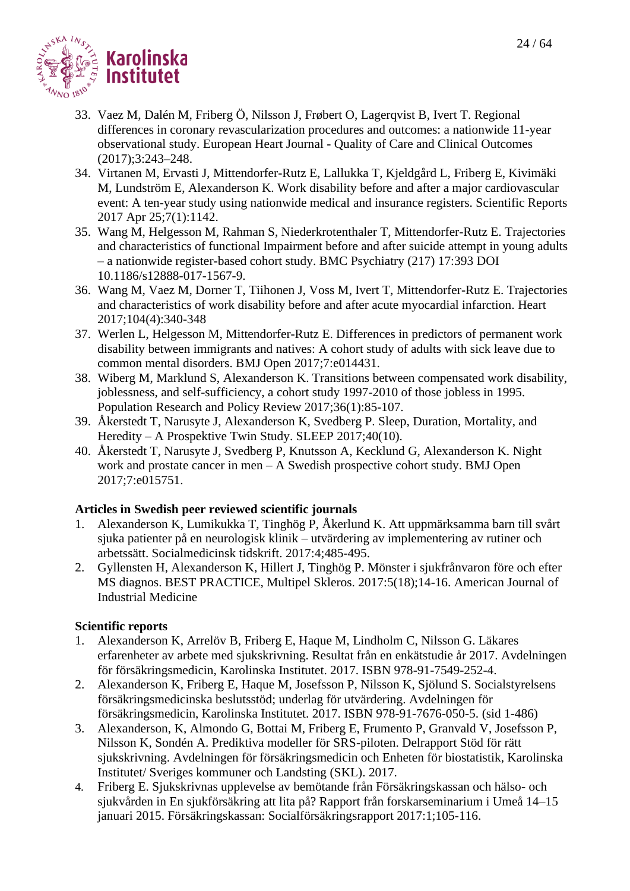

- 33. Vaez M, Dalén M, Friberg Ö, Nilsson J, Frøbert O, Lagerqvist B, Ivert T. Regional differences in coronary revascularization procedures and outcomes: a nationwide 11-year observational study. European Heart Journal - Quality of Care and Clinical Outcomes (2017);3:243–248.
- 34. Virtanen M, Ervasti J, Mittendorfer-Rutz E, Lallukka T, Kjeldgård L, Friberg E, Kivimäki M, Lundström E, Alexanderson K. Work disability before and after a major cardiovascular event: A ten-year study using nationwide medical and insurance registers. Scientific Reports 2017 Apr 25;7(1):1142.
- 35. Wang M, Helgesson M, Rahman S, Niederkrotenthaler T, Mittendorfer-Rutz E. Trajectories and characteristics of functional Impairment before and after suicide attempt in young adults – a nationwide register-based cohort study. BMC Psychiatry (217) 17:393 DOI 10.1186/s12888-017-1567-9.
- 36. Wang M, Vaez M, Dorner T, Tiihonen J, Voss M, Ivert T, Mittendorfer-Rutz E. Trajectories and characteristics of work disability before and after acute myocardial infarction. Heart 2017;104(4):340-348
- 37. Werlen L, Helgesson M, Mittendorfer-Rutz E. Differences in predictors of permanent work disability between immigrants and natives: A cohort study of adults with sick leave due to common mental disorders. BMJ Open 2017;7:e014431.
- 38. Wiberg M, Marklund S, Alexanderson K. Transitions between compensated work disability, joblessness, and self-sufficiency, a cohort study 1997-2010 of those jobless in 1995. Population Research and Policy Review 2017;36(1):85-107.
- 39. Åkerstedt T, Narusyte J, Alexanderson K, Svedberg P. Sleep, Duration, Mortality, and Heredity – A Prospektive Twin Study. SLEEP 2017;40(10).
- 40. Åkerstedt T, Narusyte J, Svedberg P, Knutsson A, Kecklund G, Alexanderson K. Night work and prostate cancer in men – A Swedish prospective cohort study. BMJ Open 2017;7:e015751.

# **Articles in Swedish peer reviewed scientific journals**

- 1. Alexanderson K, Lumikukka T, Tinghög P, Åkerlund K. Att uppmärksamma barn till svårt sjuka patienter på en neurologisk klinik – utvärdering av implementering av rutiner och arbetssätt. Socialmedicinsk tidskrift. 2017:4;485-495.
- 2. Gyllensten H, Alexanderson K, Hillert J, Tinghög P. Mönster i sjukfrånvaron före och efter MS diagnos. BEST PRACTICE, Multipel Skleros. 2017:5(18);14-16. American Journal of Industrial Medicine

# **Scientific reports**

- 1. Alexanderson K, Arrelöv B, Friberg E, Haque M, Lindholm C, Nilsson G. Läkares erfarenheter av arbete med sjukskrivning. Resultat från en enkätstudie år 2017. Avdelningen för försäkringsmedicin, Karolinska Institutet. 2017. ISBN 978-91-7549-252-4.
- 2. Alexanderson K, Friberg E, Haque M, Josefsson P, Nilsson K, Sjölund S. Socialstyrelsens försäkringsmedicinska beslutsstöd; underlag för utvärdering. Avdelningen för försäkringsmedicin, Karolinska Institutet. 2017. ISBN 978-91-7676-050-5. (sid 1-486)
- 3. Alexanderson, K, Almondo G, Bottai M, Friberg E, Frumento P, Granvald V, Josefsson P, Nilsson K, Sondén A. Prediktiva modeller för SRS-piloten. Delrapport Stöd för rätt sjukskrivning. Avdelningen för försäkringsmedicin och Enheten för biostatistik, Karolinska Institutet/ Sveriges kommuner och Landsting (SKL). 2017.
- 4. Friberg E. Sjukskrivnas upplevelse av bemötande från Försäkringskassan och hälso- och sjukvården in En sjukförsäkring att lita på? Rapport från forskarseminarium i Umeå 14–15 januari 2015. Försäkringskassan: Socialförsäkringsrapport 2017:1;105-116.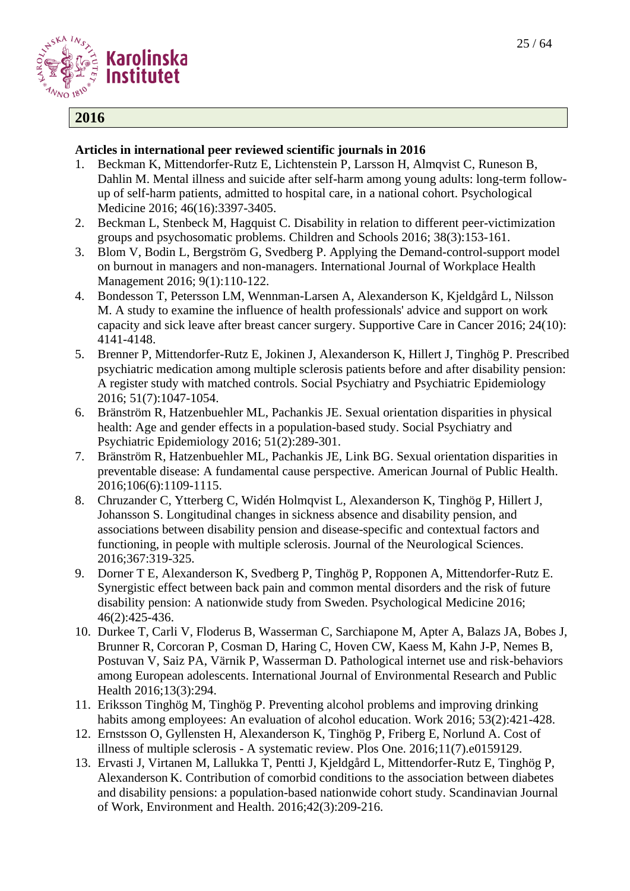

# **2016**

- 1. [Beckman K,](http://www.ncbi.nlm.nih.gov/pubmed/?term=Beckman%20K%5BAuthor%5D&cauthor=true&cauthor_uid=27644850) [Mittendorfer-Rutz E,](http://www.ncbi.nlm.nih.gov/pubmed/?term=Mittendorfer-Rutz%20E%5BAuthor%5D&cauthor=true&cauthor_uid=27644850) [Lichtenstein P,](http://www.ncbi.nlm.nih.gov/pubmed/?term=Lichtenstein%20P%5BAuthor%5D&cauthor=true&cauthor_uid=27644850) [Larsson H,](http://www.ncbi.nlm.nih.gov/pubmed/?term=Larsson%20H%5BAuthor%5D&cauthor=true&cauthor_uid=27644850) [Almqvist C,](http://www.ncbi.nlm.nih.gov/pubmed/?term=Almqvist%20C%5BAuthor%5D&cauthor=true&cauthor_uid=27644850) [Runeson B,](http://www.ncbi.nlm.nih.gov/pubmed/?term=Runeson%20B%5BAuthor%5D&cauthor=true&cauthor_uid=27644850) [Dahlin M.](http://www.ncbi.nlm.nih.gov/pubmed/?term=Dahlin%20M%5BAuthor%5D&cauthor=true&cauthor_uid=27644850) Mental illness and suicide after self-harm among young adults: long-term followup of self-harm patients, admitted to hospital care, in a national cohort. Psychological Medicine 2016; 46(16):3397-3405.
- 2. Beckman L, Stenbeck M, Hagquist C. Disability in relation to different peer-victimization groups and psychosomatic problems. Children and Schools 2016; 38(3):153-161.
- 3. Blom V, Bodin L, Bergström G, Svedberg P. Applying the Demand-control-support model on burnout in managers and non-managers. International Journal of Workplace Health Management 2016; 9(1):110-122.
- 4. Bondesson T, Petersson LM, Wennman-Larsen A, Alexanderson K, Kjeldgård L, Nilsson M. A study to examine the influence of health professionals' advice and support on work capacity and sick leave after breast cancer surgery. Supportive Care in Cancer 2016; 24(10): 4141-4148.
- 5. Brenner P, Mittendorfer-Rutz E, Jokinen J, Alexanderson K, Hillert J, Tinghög P. Prescribed psychiatric medication among multiple sclerosis patients before and after disability pension: A register study with matched controls. Social Psychiatry and Psychiatric Epidemiology 2016; 51(7):1047-1054.
- 6. Bränström R, Hatzenbuehler ML, Pachankis JE. Sexual orientation disparities in physical health: Age and gender effects in a population-based study. Social Psychiatry and Psychiatric Epidemiology 2016; 51(2):289-301.
- 7. Bränström R, Hatzenbuehler ML, Pachankis JE, Link BG. Sexual orientation disparities in preventable disease: A fundamental cause perspective. American Journal of Public Health. 2016;106(6):1109-1115.
- 8. Chruzander C, Ytterberg C, Widén Holmqvist L, Alexanderson K, Tinghög P, Hillert J, Johansson S. Longitudinal changes in sickness absence and disability pension, and associations between disability pension and disease-specific and contextual factors and functioning, in people with multiple sclerosis. Journal of the Neurological Sciences. 2016;367:319-325.
- 9. Dorner T E, Alexanderson K, Svedberg P, Tinghög P, Ropponen A, Mittendorfer-Rutz E. Synergistic effect between back pain and common mental disorders and the risk of future disability pension: A nationwide study from Sweden. Psychological Medicine 2016; 46(2):425-436.
- 10. Durkee T, Carli V, Floderus B, Wasserman C, Sarchiapone M, Apter A, Balazs JA, Bobes J, Brunner R, Corcoran P, Cosman D, Haring C, Hoven CW, Kaess M, Kahn J-P, Nemes B, Postuvan V, Saiz PA, Värnik P, Wasserman D. Pathological internet use and risk-behaviors among European adolescents. International Journal of Environmental Research and Public Health 2016;13(3):294.
- 11. Eriksson Tinghög M, Tinghög P. Preventing alcohol problems and improving drinking habits among employees: An evaluation of alcohol education. Work 2016; 53(2):421-428.
- 12. Ernstsson O, Gyllensten H, Alexanderson K, Tinghög P, Friberg E, Norlund A. Cost of illness of multiple sclerosis - A systematic review. Plos One. 2016;11(7).e0159129.
- 13. Ervasti J, Virtanen M, Lallukka T, Pentti J, Kjeldgård L, Mittendorfer-Rutz E, Tinghög P, Alexanderson K. Contribution of comorbid conditions to the association between diabetes and disability pensions: a population-based nationwide cohort study. Scandinavian Journal of Work, Environment and Health. 2016;42(3):209-216.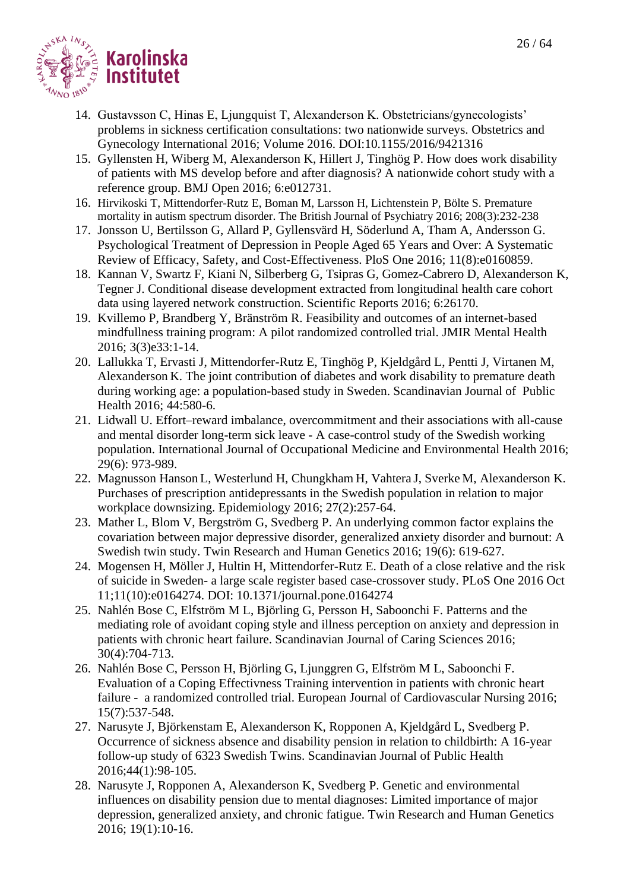

- 14. Gustavsson C, Hinas E, Ljungquist T, Alexanderson K. Obstetricians/gynecologists' problems in sickness certification consultations: two nationwide surveys. Obstetrics and Gynecology International 2016; Volume 2016. DOI:10.1155/2016/9421316
- 15. Gyllensten H, Wiberg M, Alexanderson K, Hillert J, Tinghög P. How does work disability of patients with MS develop before and after diagnosis? A nationwide cohort study with a reference group. BMJ Open 2016; 6:e012731.
- 16. Hirvikoski T, Mittendorfer-Rutz E, Boman M, Larsson H, Lichtenstein P, Bölte S. Premature mortality in autism spectrum disorder. The British Journal of Psychiatry 2016; 208(3):232-238
- 17. Jonsson U, Bertilsson G, Allard P, Gyllensvärd H, Söderlund A, Tham A, Andersson G. Psychological Treatment of Depression in People Aged 65 Years and Over: A Systematic Review of Efficacy, Safety, and Cost-Effectiveness. PloS One 2016; 11(8):e0160859.
- 18. Kannan V, Swartz F, Kiani N, Silberberg G, Tsipras G, Gomez-Cabrero D, Alexanderson K, Tegner J. Conditional disease development extracted from longitudinal health care cohort data using layered network construction. Scientific Reports 2016; 6:26170.
- 19. Kvillemo P, Brandberg Y, Bränström R. Feasibility and outcomes of an internet-based mindfullness training program: A pilot randomized controlled trial. JMIR Mental Health 2016; 3(3)e33:1-14.
- 20. Lallukka T, Ervasti J, Mittendorfer-Rutz E, Tinghög P, Kjeldgård L, Pentti J, Virtanen M, Alexanderson K. The joint contribution of diabetes and work disability to premature death during working age: a population-based study in Sweden. Scandinavian Journal of Public Health 2016; 44:580-6.
- 21. Lidwall U. Effort–reward imbalance, overcommitment and their associations with all-cause and mental disorder long-term sick leave - A case-control study of the Swedish working population. International Journal of Occupational Medicine and Environmental Health 2016; 29(6): 973-989.
- 22. Magnusson Hanson L, Westerlund H, Chungkham H, Vahtera J, Sverke M, Alexanderson K. Purchases of prescription antidepressants in the Swedish population in relation to major workplace downsizing. Epidemiology 2016; 27(2):257-64.
- 23. Mather L, Blom V, Bergström G, Svedberg P. An underlying common factor explains the covariation between major depressive disorder, generalized anxiety disorder and burnout: A Swedish twin study. Twin Research and Human Genetics 2016; 19(6): 619-627.
- 24. Mogensen H, Möller J, Hultin H, Mittendorfer-Rutz E. Death of a close relative and the risk of suicide in Sweden- a large scale register based case-crossover study. PLoS One 2016 Oct 11;11(10):e0164274. DOI: 10.1371/journal.pone.0164274
- 25. Nahlén Bose C, Elfström M L, Björling G, Persson H, Saboonchi F. Patterns and the mediating role of avoidant coping style and illness perception on anxiety and depression in patients with chronic heart failure. Scandinavian Journal of Caring Sciences 2016; 30(4):704-713.
- 26. Nahlén Bose C, Persson H, Björling G, Ljunggren G, Elfström M L, Saboonchi F. Evaluation of a Coping Effectivness Training intervention in patients with chronic heart failure - a randomized controlled trial. European Journal of Cardiovascular Nursing 2016; 15(7):537-548.
- 27. Narusyte J, Björkenstam E, Alexanderson K, Ropponen A, Kjeldgård L, Svedberg P. Occurrence of sickness absence and disability pension in relation to childbirth: A 16-year follow-up study of 6323 Swedish Twins. Scandinavian Journal of Public Health 2016;44(1):98-105.
- 28. Narusyte J, Ropponen A, Alexanderson K, Svedberg P. Genetic and environmental influences on disability pension due to mental diagnoses: Limited importance of major depression, generalized anxiety, and chronic fatigue. Twin Research and Human Genetics 2016; 19(1):10-16.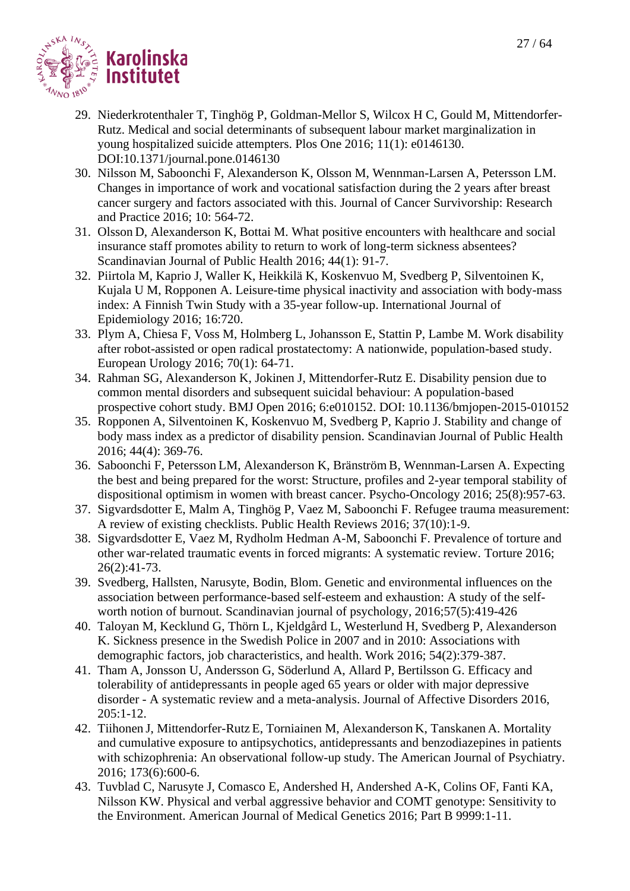

- 29. Niederkrotenthaler T, Tinghög P, Goldman-Mellor S, Wilcox H C, Gould M, Mittendorfer-Rutz. Medical and social determinants of subsequent labour market marginalization in young hospitalized suicide attempters. Plos One 2016; 11(1): e0146130. DOI:10.1371/journal.pone.0146130
- 30. Nilsson M, Saboonchi F, Alexanderson K, Olsson M, Wennman-Larsen A, Petersson LM. Changes in importance of work and vocational satisfaction during the 2 years after breast cancer surgery and factors associated with this. Journal of Cancer Survivorship: Research and Practice 2016; 10: 564-72.
- 31. Olsson D, Alexanderson K, Bottai M. What positive encounters with healthcare and social insurance staff promotes ability to return to work of long-term sickness absentees? Scandinavian Journal of Public Health 2016; 44(1): 91-7.
- 32. Piirtola M, Kaprio J, Waller K, Heikkilä K, Koskenvuo M, Svedberg P, Silventoinen K, Kujala U M, Ropponen A. Leisure-time physical inactivity and association with body-mass index: A Finnish Twin Study with a 35-year follow-up. International Journal of Epidemiology 2016; 16:720.
- 33. Plym A, Chiesa F, Voss M, Holmberg L, Johansson E, Stattin P, Lambe M. Work disability after robot-assisted or open radical prostatectomy: A nationwide, population-based study. European Urology 2016; 70(1): 64-71.
- 34. Rahman SG, Alexanderson K, Jokinen J, Mittendorfer-Rutz E. Disability pension due to common mental disorders and subsequent suicidal behaviour: A population-based prospective cohort study. BMJ Open 2016; 6:e010152. DOI: 10.1136/bmjopen-2015-010152
- 35. Ropponen A, Silventoinen K, Koskenvuo M, Svedberg P, Kaprio J. Stability and change of body mass index as a predictor of disability pension. Scandinavian Journal of Public Health 2016; 44(4): 369-76.
- 36. Saboonchi F, Petersson LM, Alexanderson K, Bränström B, Wennman-Larsen A. Expecting the best and being prepared for the worst: Structure, profiles and 2-year temporal stability of dispositional optimism in women with breast cancer. Psycho-Oncology 2016; 25(8):957-63.
- 37. Sigvardsdotter E, Malm A, Tinghög P, Vaez M, Saboonchi F. Refugee trauma measurement: A review of existing checklists. Public Health Reviews 2016; 37(10):1-9.
- 38. Sigvardsdotter E, Vaez M, Rydholm Hedman A-M, Saboonchi F. Prevalence of torture and other war-related traumatic events in forced migrants: A systematic review. Torture 2016; 26(2):41-73.
- 39. Svedberg, Hallsten, Narusyte, Bodin, Blom. Genetic and environmental influences on the association between performance-based self-esteem and exhaustion: A study of the selfworth notion of burnout. Scandinavian journal of psychology, 2016;57(5):419-426
- 40. Taloyan M, Kecklund G, Thörn L, Kjeldgård L, Westerlund H, Svedberg P, Alexanderson K. Sickness presence in the Swedish Police in 2007 and in 2010: Associations with demographic factors, job characteristics, and health. Work 2016; 54(2):379-387.
- 41. Tham A, Jonsson U, Andersson G, Söderlund A, Allard P, Bertilsson G. Efficacy and tolerability of antidepressants in people aged 65 years or older with major depressive disorder - A systematic review and a meta-analysis. Journal of Affective Disorders 2016, 205:1-12.
- 42. Tiihonen J, Mittendorfer-Rutz E, Torniainen M, Alexanderson K, Tanskanen A. Mortality and cumulative exposure to antipsychotics, antidepressants and benzodiazepines in patients with schizophrenia: An observational follow-up study. The American Journal of Psychiatry. 2016; 173(6):600-6.
- 43. Tuvblad C, Narusyte J, Comasco E, Andershed H, Andershed A-K, Colins OF, Fanti KA, Nilsson KW. Physical and verbal aggressive behavior and COMT genotype: Sensitivity to the Environment. American Journal of Medical Genetics 2016; Part B 9999:1-11.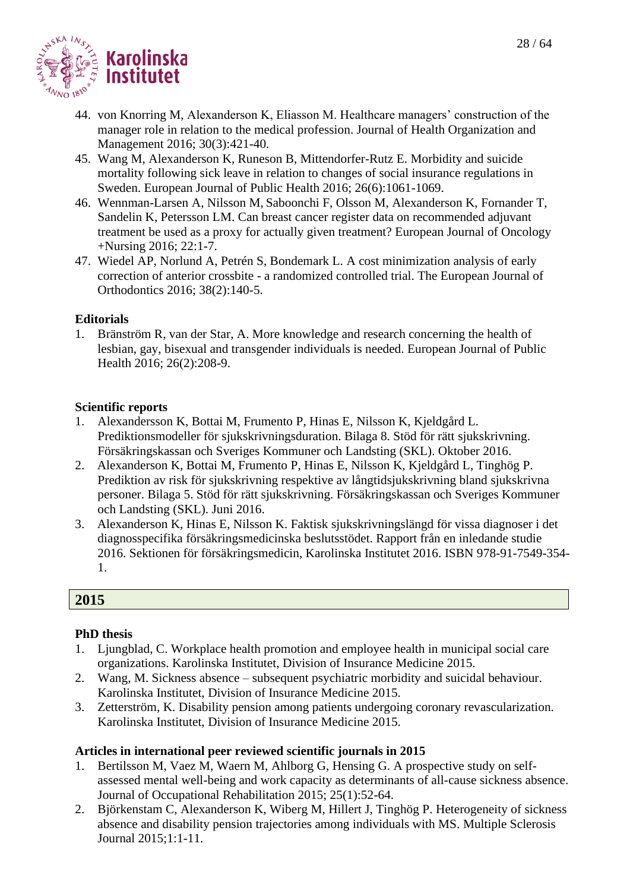

- 44. von Knorring M, Alexanderson K, Eliasson M. Healthcare managers' construction of the manager role in relation to the medical profession. Journal of Health Organization and Management 2016; 30(3):421-40.
- 45. Wang M, Alexanderson K, Runeson B, Mittendorfer-Rutz E. Morbidity and suicide mortality following sick leave in relation to changes of social insurance regulations in Sweden. European Journal of Public Health 2016; 26(6):1061-1069.
- 46. Wennman-Larsen A, Nilsson M, Saboonchi F, Olsson M, Alexanderson K, Fornander T, Sandelin K, Petersson LM. Can breast cancer register data on recommended adjuvant treatment be used as a proxy for actually given treatment? European Journal of Oncology +Nursing 2016; 22:1-7.
- 47. Wiedel AP, Norlund A, Petrén S, Bondemark L. A cost minimization analysis of early correction of anterior crossbite - a randomized controlled trial. The European Journal of Orthodontics 2016; 38(2):140-5.

#### **Editorials**

1. Bränström R, van der Star, A. More knowledge and research concerning the health of lesbian, gay, bisexual and transgender individuals is needed. European Journal of Public Health 2016; 26(2):208-9.

#### **Scientific reports**

- 1. Alexandersson K, Bottai M, Frumento P, Hinas E, Nilsson K, Kjeldgård L. Prediktionsmodeller för sjukskrivningsduration. Bilaga 8. Stöd för rätt sjukskrivning. Försäkringskassan och Sveriges Kommuner och Landsting (SKL). Oktober 2016.
- 2. Alexanderson K, Bottai M, Frumento P, Hinas E, Nilsson K, Kjeldgård L, Tinghög P. Prediktion av risk för sjukskrivning respektive av långtidsjukskrivning bland sjukskrivna personer. Bilaga 5. Stöd för rätt sjukskrivning. Försäkringskassan och Sveriges Kommuner och Landsting (SKL). Juni 2016.
- 3. Alexanderson K, Hinas E, Nilsson K. Faktisk sjukskrivningslängd för vissa diagnoser i det diagnosspecifika försäkringsmedicinska beslutsstödet. Rapport från en inledande studie 2016. Sektionen för försäkringsmedicin, Karolinska Institutet 2016. ISBN 978-91-7549-354- 1.

# **2015**

# **PhD thesis**

- 1. Ljungblad, C. Workplace health promotion and employee health in municipal social care organizations. Karolinska Institutet, Division of Insurance Medicine 2015.
- 2. Wang, M. Sickness absence subsequent psychiatric morbidity and suicidal behaviour. Karolinska Institutet, Division of Insurance Medicine 2015.
- 3. Zetterström, K. Disability pension among patients undergoing coronary revascularization. Karolinska Institutet, Division of Insurance Medicine 2015.

- 1. Bertilsson M, Vaez M, Waern M, Ahlborg G, Hensing G. A prospective study on selfassessed mental well-being and work capacity as determinants of all-cause sickness absence. Journal of Occupational Rehabilitation 2015; 25(1):52-64.
- 2. Björkenstam C, Alexanderson K, Wiberg M, Hillert J, Tinghög P. Heterogeneity of sickness absence and disability pension trajectories among individuals with MS. Multiple Sclerosis Journal 2015;1:1-11.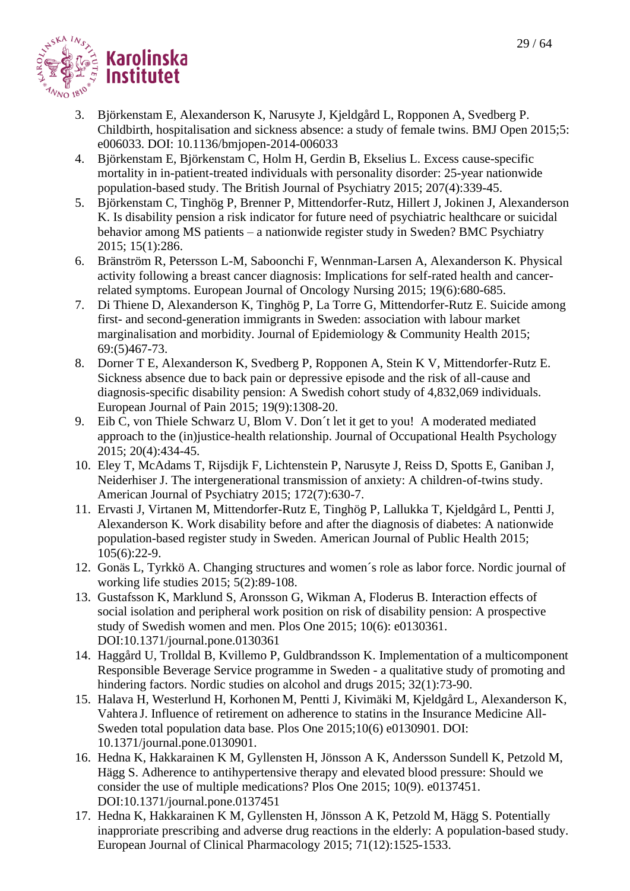

- 3. Björkenstam E, Alexanderson K, Narusyte J, Kjeldgård L, Ropponen A, Svedberg P. Childbirth, hospitalisation and sickness absence: a study of female twins. BMJ Open 2015;5: e006033. DOI: 10.1136/bmjopen-2014-006033
- 4. Björkenstam E, Björkenstam C, Holm H, Gerdin B, Ekselius L. Excess cause-specific mortality in in-patient-treated individuals with personality disorder: 25-year nationwide population-based study. The British Journal of Psychiatry 2015; 207(4):339-45.
- 5. Björkenstam C, Tinghög P, Brenner P, Mittendorfer-Rutz, Hillert J, Jokinen J, Alexanderson K. Is disability pension a risk indicator for future need of psychiatric healthcare or suicidal behavior among MS patients – a nationwide register study in Sweden? BMC Psychiatry 2015; 15(1):286.
- 6. Bränström R, Petersson L-M, Saboonchi F, Wennman-Larsen A, Alexanderson K. Physical activity following a breast cancer diagnosis: Implications for self-rated health and cancerrelated symptoms. European Journal of Oncology Nursing 2015; 19(6):680-685.
- 7. Di Thiene D, Alexanderson K, Tinghög P, La Torre G, Mittendorfer-Rutz E. Suicide among first- and second-generation immigrants in Sweden: association with labour market marginalisation and morbidity. Journal of Epidemiology & Community Health 2015; 69:(5)467-73.
- 8. Dorner T E, Alexanderson K, Svedberg P, Ropponen A, Stein K V, Mittendorfer-Rutz E. Sickness absence due to back pain or depressive episode and the risk of all-cause and diagnosis-specific disability pension: A Swedish cohort study of 4,832,069 individuals. European Journal of Pain 2015; 19(9):1308-20.
- 9. Eib C, von Thiele Schwarz U, Blom V. Don´t let it get to you! A moderated mediated approach to the (in)justice-health relationship. Journal of Occupational Health Psychology 2015; 20(4):434-45.
- 10. Eley T, McAdams T, Rijsdijk F, Lichtenstein P, Narusyte J, Reiss D, Spotts E, Ganiban J, Neiderhiser J. The intergenerational transmission of anxiety: A children-of-twins study. American Journal of Psychiatry 2015; 172(7):630-7.
- 11. Ervasti J, Virtanen M, Mittendorfer-Rutz E, Tinghög P, Lallukka T, Kjeldgård L, Pentti J, Alexanderson K. Work disability before and after the diagnosis of diabetes: A nationwide population-based register study in Sweden. American Journal of Public Health 2015; 105(6):22-9.
- 12. Gonäs L, Tyrkkö A. Changing structures and women´s role as labor force. Nordic journal of working life studies 2015; 5(2):89-108.
- 13. Gustafsson K, Marklund S, Aronsson G, Wikman A, Floderus B. Interaction effects of social isolation and peripheral work position on risk of disability pension: A prospective study of Swedish women and men. Plos One 2015; 10(6): e0130361. DOI:10.1371/journal.pone.0130361
- 14. Haggård U, Trolldal B, Kvillemo P, Guldbrandsson K. Implementation of a multicomponent Responsible Beverage Service programme in Sweden - a qualitative study of promoting and hindering factors. Nordic studies on alcohol and drugs 2015; 32(1):73-90.
- 15. Halava H, Westerlund H, Korhonen M, Pentti J, Kivimäki M, Kjeldgård L, Alexanderson K, Vahtera J. Influence of retirement on adherence to statins in the Insurance Medicine All-Sweden total population data base. Plos One 2015;10(6) e0130901. DOI: 10.1371/journal.pone.0130901.
- 16. Hedna K, Hakkarainen K M, Gyllensten H, Jönsson A K, Andersson Sundell K, Petzold M, Hägg S. Adherence to antihypertensive therapy and elevated blood pressure: Should we consider the use of multiple medications? Plos One 2015; 10(9). e0137451. DOI:10.1371/journal.pone.0137451
- 17. Hedna K, Hakkarainen K M, Gyllensten H, Jönsson A K, Petzold M, Hägg S. Potentially inapproriate prescribing and adverse drug reactions in the elderly: A population-based study. European Journal of Clinical Pharmacology 2015; 71(12):1525-1533.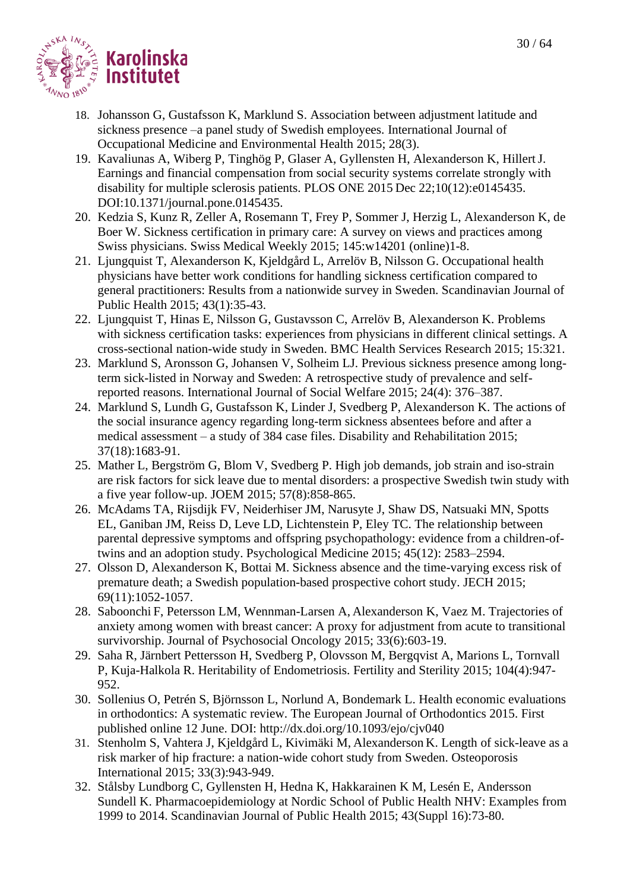

- 18. Johansson G, Gustafsson K, Marklund S. Association between adjustment latitude and sickness presence –a panel study of Swedish employees. International Journal of Occupational Medicine and Environmental Health 2015; 28(3).
- 19. Kavaliunas A, Wiberg P, Tinghög P, Glaser A, Gyllensten H, Alexanderson K, HillertJ. Earnings and financial compensation from social security systems correlate strongly with disability for multiple sclerosis patients. PLOS ONE 2015 Dec 22;10(12):e0145435. DOI:10.1371/journal.pone.0145435.
- 20. Kedzia S, Kunz R, Zeller A, Rosemann T, Frey P, Sommer J, Herzig L, Alexanderson K, de Boer W. Sickness certification in primary care: A survey on views and practices among Swiss physicians. Swiss Medical Weekly 2015; 145:w14201 (online)1-8.
- 21. Ljungquist T, Alexanderson K, Kjeldgård L, Arrelöv B, Nilsson G. Occupational health physicians have better work conditions for handling sickness certification compared to general practitioners: Results from a nationwide survey in Sweden. Scandinavian Journal of Public Health 2015; 43(1):35-43.
- 22. Ljungquist T, Hinas E, Nilsson G, Gustavsson C, Arrelöv B, Alexanderson K. Problems with sickness certification tasks: experiences from physicians in different clinical settings. A cross-sectional nation-wide study in Sweden. BMC Health Services Research 2015; 15:321.
- 23. Marklund S, Aronsson G, Johansen V, Solheim LJ. Previous sickness presence among longterm sick-listed in Norway and Sweden: A retrospective study of prevalence and selfreported reasons. International Journal of Social Welfare 2015; 24(4): 376–387.
- 24. Marklund S, Lundh G, Gustafsson K, Linder J, Svedberg P, Alexanderson K. The actions of the social insurance agency regarding long-term sickness absentees before and after a medical assessment – a study of 384 case files. Disability and Rehabilitation 2015; 37(18):1683-91.
- 25. Mather L, Bergström G, Blom V, Svedberg P. High job demands, job strain and iso-strain are risk factors for sick leave due to mental disorders: a prospective Swedish twin study with a five year follow-up. JOEM 2015; 57(8):858-865.
- 26. McAdams TA, Rijsdijk FV, Neiderhiser JM, Narusyte J, Shaw DS, Natsuaki MN, Spotts EL, Ganiban JM, Reiss D, Leve LD, Lichtenstein P, Eley TC. The relationship between parental depressive symptoms and offspring psychopathology: evidence from a children-oftwins and an adoption study. Psychological Medicine 2015; 45(12): 2583–2594.
- 27. Olsson D, Alexanderson K, Bottai M. Sickness absence and the time-varying excess risk of premature death; a Swedish population-based prospective cohort study. JECH 2015; 69(11):1052-1057.
- 28. Saboonchi F, Petersson LM, Wennman-Larsen A, Alexanderson K, Vaez M. Trajectories of anxiety among women with breast cancer: A proxy for adjustment from acute to transitional survivorship. Journal of Psychosocial Oncology 2015; 33(6):603-19.
- 29. Saha R, Järnbert Pettersson H, Svedberg P, Olovsson M, Bergqvist A, Marions L, Tornvall P, Kuja-Halkola R. Heritability of Endometriosis. Fertility and Sterility 2015; 104(4):947- 952.
- 30. Sollenius O, Petrén S, Björnsson L, Norlund A, Bondemark L. Health economic evaluations in orthodontics: A systematic review. The European Journal of Orthodontics 2015. First published online 12 June. DOI: <http://dx.doi.org/10.1093/ejo/cjv040>
- 31. Stenholm S, Vahtera J, Kjeldgård L, Kivimäki M, Alexanderson K. Length of sick-leave as a risk marker of hip fracture: a nation-wide cohort study from Sweden. Osteoporosis International 2015; 33(3):943-949.
- 32. Stålsby Lundborg C, Gyllensten H, Hedna K, Hakkarainen K M, Lesén E, Andersson Sundell K. Pharmacoepidemiology at Nordic School of Public Health NHV: Examples from 1999 to 2014. Scandinavian Journal of Public Health 2015; 43(Suppl 16):73-80.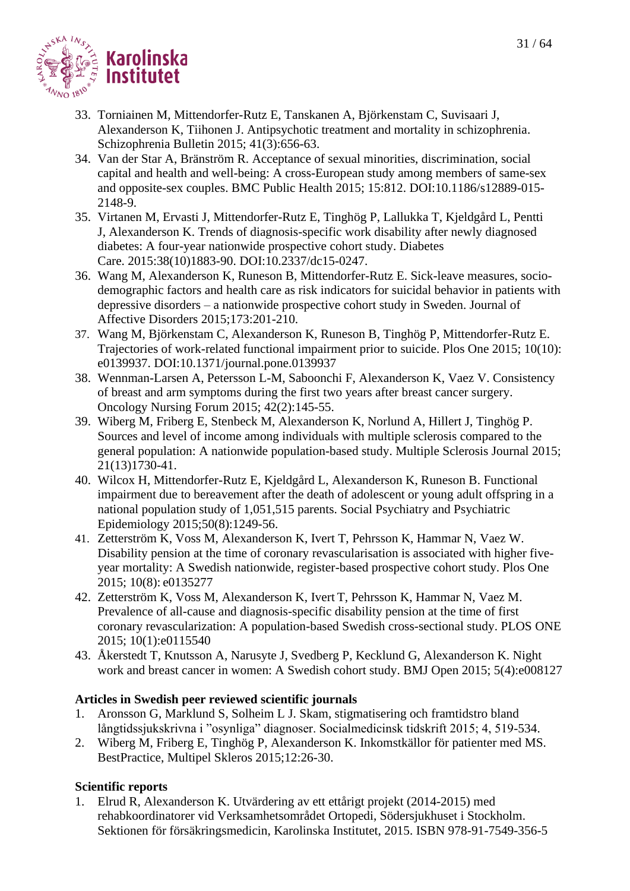

- 33. Torniainen M, Mittendorfer-Rutz E, Tanskanen A, Björkenstam C, Suvisaari J, Alexanderson K, Tiihonen J. Antipsychotic treatment and mortality in schizophrenia. Schizophrenia Bulletin 2015; 41(3):656-63.
- 34. Van der Star A, Bränström R. Acceptance of sexual minorities, discrimination, social capital and health and well-being: A cross-European study among members of same-sex and opposite-sex couples. BMC Public Health 2015; 15:812. DOI:10.1186/s12889-015- 2148-9.
- 35. [Virtanen M,](http://www.ncbi.nlm.nih.gov/pubmed/?term=Virtanen%20M%5BAuthor%5D&cauthor=true&cauthor_uid=26251407) [Ervasti J,](http://www.ncbi.nlm.nih.gov/pubmed/?term=Ervasti%20J%5BAuthor%5D&cauthor=true&cauthor_uid=26251407) [Mittendorfer-Rutz E,](http://www.ncbi.nlm.nih.gov/pubmed/?term=Mittendorfer-Rutz%20E%5BAuthor%5D&cauthor=true&cauthor_uid=26251407) [Tinghög P,](http://www.ncbi.nlm.nih.gov/pubmed/?term=Tingh%C3%B6g%20P%5BAuthor%5D&cauthor=true&cauthor_uid=26251407) [Lallukka T,](http://www.ncbi.nlm.nih.gov/pubmed/?term=Lallukka%20T%5BAuthor%5D&cauthor=true&cauthor_uid=26251407) [Kjeldgård L,](http://www.ncbi.nlm.nih.gov/pubmed/?term=Kjeldg%C3%A5rd%20L%5BAuthor%5D&cauthor=true&cauthor_uid=26251407) [Pentti](http://www.ncbi.nlm.nih.gov/pubmed/?term=Pentti%20J%5BAuthor%5D&cauthor=true&cauthor_uid=26251407)  [J,](http://www.ncbi.nlm.nih.gov/pubmed/?term=Pentti%20J%5BAuthor%5D&cauthor=true&cauthor_uid=26251407) [Alexanderson K.](http://www.ncbi.nlm.nih.gov/pubmed/?term=Alexanderson%20K%5BAuthor%5D&cauthor=true&cauthor_uid=26251407) Trends of diagnosis-specific work disability after newly diagnosed diabetes: A four-year nationwide prospective cohort study. [Diabetes](http://www.ncbi.nlm.nih.gov/pubmed/26251407)  [Care.](http://www.ncbi.nlm.nih.gov/pubmed/26251407) 2015:38(10)1883-90. DOI:10.2337/dc15-0247.
- 36. Wang M, Alexanderson K, Runeson B, Mittendorfer-Rutz E. Sick-leave measures, sociodemographic factors and health care as risk indicators for suicidal behavior in patients with depressive disorders – a nationwide prospective cohort study in Sweden. Journal of Affective Disorders 2015;173:201-210.
- 37. Wang M, Björkenstam C, Alexanderson K, Runeson B, Tinghög P, Mittendorfer-Rutz E. Trajectories of work-related functional impairment prior to suicide. Plos One 2015; 10(10): e0139937. DOI:10.1371/journal.pone.0139937
- 38. Wennman-Larsen A, Petersson L-M, Saboonchi F, Alexanderson K, Vaez V. Consistency of breast and arm symptoms during the first two years after breast cancer surgery. Oncology Nursing Forum 2015; 42(2):145-55.
- 39. Wiberg M, Friberg E, Stenbeck M, Alexanderson K, Norlund A, Hillert J, Tinghög P. Sources and level of income among individuals with multiple sclerosis compared to the general population: A nationwide population-based study. Multiple Sclerosis Journal 2015; 21(13)1730-41.
- 40. Wilcox H, Mittendorfer-Rutz E, Kjeldgård L, Alexanderson K, Runeson B. Functional impairment due to bereavement after the death of adolescent or young adult offspring in a national population study of 1,051,515 parents. Social Psychiatry and Psychiatric Epidemiology 2015;50(8):1249-56.
- 41. Zetterström K, Voss M, Alexanderson K, Ivert T, Pehrsson K, Hammar N, Vaez W. Disability pension at the time of coronary revascularisation is associated with higher fiveyear mortality: A Swedish nationwide, register-based prospective cohort study. Plos One 2015; 10(8): e0135277
- 42. Zetterström K, Voss M, Alexanderson K, Ivert T, Pehrsson K, Hammar N, Vaez M. Prevalence of all-cause and diagnosis-specific disability pension at the time of first coronary revascularization: A population-based Swedish cross-sectional study. PLOS ONE 2015; 10(1):e0115540
- 43. Åkerstedt T, Knutsson A, Narusyte J, Svedberg P, Kecklund G, Alexanderson K. Night work and breast cancer in women: A Swedish cohort study. BMJ Open 2015; 5(4):e008127

# **Articles in Swedish peer reviewed scientific journals**

- 1. Aronsson G, Marklund S, Solheim L J. Skam, stigmatisering och framtidstro bland långtidssjukskrivna i "osynliga" diagnoser. Socialmedicinsk tidskrift 2015; 4, 519-534.
- 2. Wiberg M, Friberg E, Tinghög P, Alexanderson K. Inkomstkällor för patienter med MS. BestPractice, Multipel Skleros 2015;12:26-30.

# **Scientific reports**

1. Elrud R, Alexanderson K. Utvärdering av ett ettårigt projekt (2014-2015) med rehabkoordinatorer vid Verksamhetsområdet Ortopedi, Södersjukhuset i Stockholm. Sektionen för försäkringsmedicin, Karolinska Institutet, 2015. ISBN 978-91-7549-356-5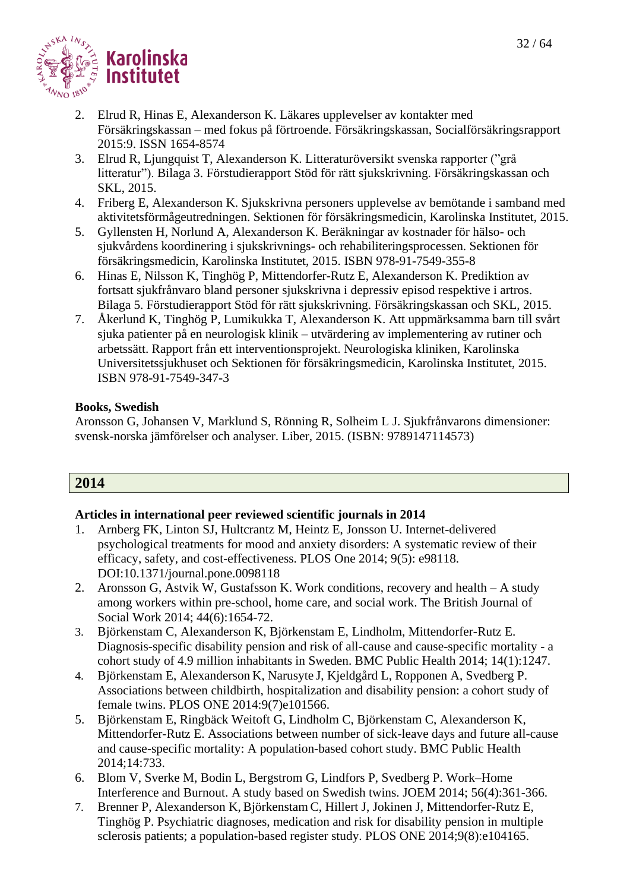

- 2. Elrud R, Hinas E, Alexanderson K. Läkares upplevelser av kontakter med Försäkringskassan – med fokus på förtroende. Försäkringskassan, Socialförsäkringsrapport 2015:9. ISSN 1654-8574
- 3. Elrud R, Ljungquist T, Alexanderson K. Litteraturöversikt svenska rapporter ("grå litteratur"). Bilaga 3. Förstudierapport Stöd för rätt sjukskrivning. Försäkringskassan och SKL, 2015.
- 4. Friberg E, Alexanderson K. Sjukskrivna personers upplevelse av bemötande i samband med aktivitetsförmågeutredningen. Sektionen för försäkringsmedicin, Karolinska Institutet, 2015.
- 5. Gyllensten H, Norlund A, Alexanderson K. Beräkningar av kostnader för hälso- och sjukvårdens koordinering i sjukskrivnings- och rehabiliteringsprocessen. Sektionen för försäkringsmedicin, Karolinska Institutet, 2015. ISBN 978-91-7549-355-8
- 6. Hinas E, Nilsson K, Tinghög P, Mittendorfer-Rutz E, Alexanderson K. Prediktion av fortsatt sjukfrånvaro bland personer sjukskrivna i depressiv episod respektive i artros. Bilaga 5. Förstudierapport Stöd för rätt sjukskrivning. Försäkringskassan och SKL, 2015.
- 7. Åkerlund K, Tinghög P, Lumikukka T, Alexanderson K. Att uppmärksamma barn till svårt sjuka patienter på en neurologisk klinik – utvärdering av implementering av rutiner och arbetssätt. Rapport från ett interventionsprojekt. Neurologiska kliniken, Karolinska Universitetssjukhuset och Sektionen för försäkringsmedicin, Karolinska Institutet, 2015. ISBN 978-91-7549-347-3

#### **Books, Swedish**

Aronsson G, Johansen V, Marklund S, Rönning R, Solheim L J. Sjukfrånvarons dimensioner: svensk-norska jämförelser och analyser. Liber, 2015. (ISBN: 9789147114573)

# **2014**

- 1. Arnberg FK, Linton SJ, Hultcrantz M, Heintz E, Jonsson U. Internet-delivered psychological treatments for mood and anxiety disorders: A systematic review of their efficacy, safety, and cost-effectiveness. PLOS One 2014; 9(5): e98118. DOI:10.1371/journal.pone.0098118
- 2. Aronsson G, Astvik W, Gustafsson K. Work conditions, recovery and health A study among workers within pre-school, home care, and social work. The British Journal of Social Work 2014; 44(6):1654-72.
- 3. Björkenstam C, Alexanderson K, Björkenstam E, Lindholm, Mittendorfer-Rutz E. Diagnosis-specific disability pension and risk of all-cause and cause-specific mortality - a cohort study of 4.9 million inhabitants in Sweden. BMC Public Health 2014; 14(1):1247.
- 4. Björkenstam E, Alexanderson K, Narusyte J, Kjeldgård L, Ropponen A, Svedberg P. Associations between childbirth, hospitalization and disability pension: a cohort study of female twins. PLOS ONE 2014:9(7)e101566.
- 5. Björkenstam E, Ringbäck Weitoft G, Lindholm C, Björkenstam C, Alexanderson K, Mittendorfer-Rutz E. Associations between number of sick-leave days and future all-cause and cause-specific mortality: A population-based cohort study. BMC Public Health 2014;14:733.
- 6. Blom V, Sverke M, Bodin L, Bergstrom G, Lindfors P, Svedberg P. Work–Home Interference and Burnout. A study based on Swedish twins. JOEM 2014; 56(4):361-366.
- 7. Brenner P, Alexanderson K, Björkenstam C, Hillert J, Jokinen J, Mittendorfer-Rutz E, Tinghög P. Psychiatric diagnoses, medication and risk for disability pension in multiple sclerosis patients; a population-based register study. PLOS ONE 2014;9(8):e104165.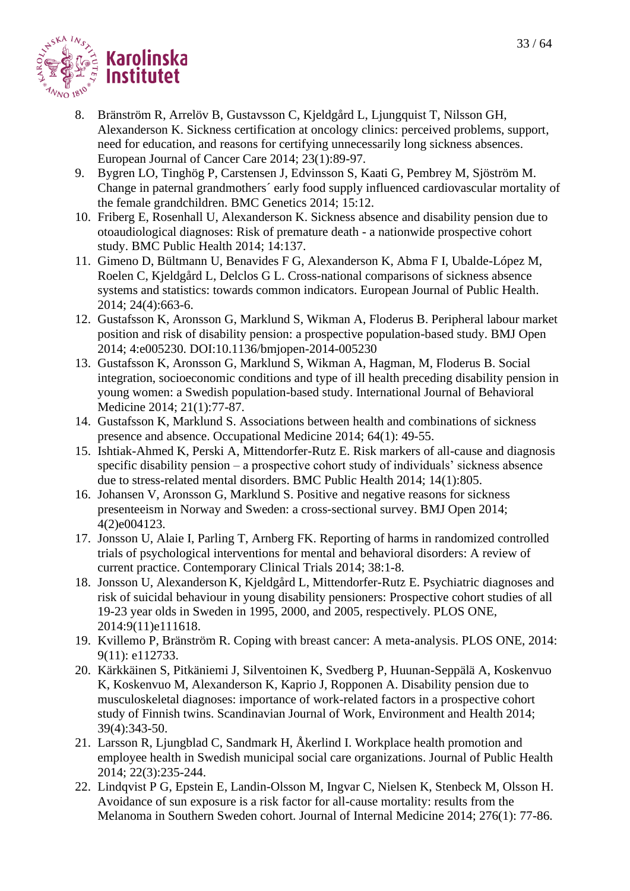

- 8. Bränström R, Arrelöv B, Gustavsson C, Kjeldgård L, Ljungquist T, Nilsson GH, Alexanderson K. Sickness certification at oncology clinics: perceived problems, support, need for education, and reasons for certifying unnecessarily long sickness absences. European Journal of Cancer Care 2014; 23(1):89-97.
- 9. Bygren LO, Tinghög P, Carstensen J, Edvinsson S, Kaati G, Pembrey M, Sjöström M. Change in paternal grandmothers´ early food supply influenced cardiovascular mortality of the female grandchildren. BMC Genetics 2014; 15:12.
- 10. Friberg E, Rosenhall U, Alexanderson K. Sickness absence and disability pension due to otoaudiological diagnoses: Risk of premature death - a nationwide prospective cohort study. BMC Public Health 2014; 14:137.
- 11. Gimeno D, Bültmann U, Benavides F G, Alexanderson K, Abma F I, Ubalde-López M, Roelen C, Kjeldgård L, Delclos G L. Cross-national comparisons of sickness absence systems and statistics: towards common indicators. European Journal of Public Health. 2014; 24(4):663-6.
- 12. Gustafsson K, Aronsson G, Marklund S, Wikman A, Floderus B. Peripheral labour market position and risk of disability pension: a prospective population-based study. BMJ Open 2014; 4:e005230. DOI:10.1136/bmjopen-2014-005230
- 13. Gustafsson K, Aronsson G, Marklund S, Wikman A, Hagman, M, Floderus B. Social integration, socioeconomic conditions and type of ill health preceding disability pension in young women: a Swedish population-based study. International Journal of Behavioral Medicine 2014; 21(1):77-87.
- 14. Gustafsson K, Marklund S. Associations between health and combinations of sickness presence and absence. Occupational Medicine 2014; 64(1): 49-55.
- 15. Ishtiak-Ahmed K, Perski A, Mittendorfer-Rutz E. Risk markers of all-cause and diagnosis specific disability pension – a prospective cohort study of individuals' sickness absence due to stress-related mental disorders. BMC Public Health 2014; 14(1):805.
- 16. Johansen V, Aronsson G, Marklund S. Positive and negative reasons for sickness presenteeism in Norway and Sweden: a cross-sectional survey. BMJ Open 2014; 4(2)e004123.
- 17. Jonsson U, Alaie I, Parling T, Arnberg FK. Reporting of harms in randomized controlled trials of psychological interventions for mental and behavioral disorders: A review of current practice. Contemporary Clinical Trials 2014; 38:1-8.
- 18. Jonsson U, Alexanderson K, Kjeldgård L, Mittendorfer-Rutz E. Psychiatric diagnoses and risk of suicidal behaviour in young disability pensioners: Prospective cohort studies of all 19-23 year olds in Sweden in 1995, 2000, and 2005, respectively. PLOS ONE, 2014:9(11)e111618.
- 19. Kvillemo P, Bränström R. Coping with breast cancer: A meta-analysis. PLOS ONE, 2014: 9(11): e112733.
- 20. Kärkkäinen S, Pitkäniemi J, Silventoinen K, Svedberg P, Huunan-Seppälä A, Koskenvuo K, Koskenvuo M, Alexanderson K, Kaprio J, Ropponen A. Disability pension due to musculoskeletal diagnoses: importance of work-related factors in a prospective cohort study of Finnish twins. Scandinavian Journal of Work, Environment and Health 2014; 39(4):343-50.
- 21. Larsson R, Ljungblad C, Sandmark H, Åkerlind I. Workplace health promotion and employee health in Swedish municipal social care organizations. Journal of Public Health 2014; 22(3):235-244.
- 22. Lindqvist P G, Epstein E, Landin-Olsson M, Ingvar C, Nielsen K, Stenbeck M, Olsson H. Avoidance of sun exposure is a risk factor for all-cause mortality: results from the Melanoma in Southern Sweden cohort. Journal of Internal Medicine 2014; 276(1): 77-86.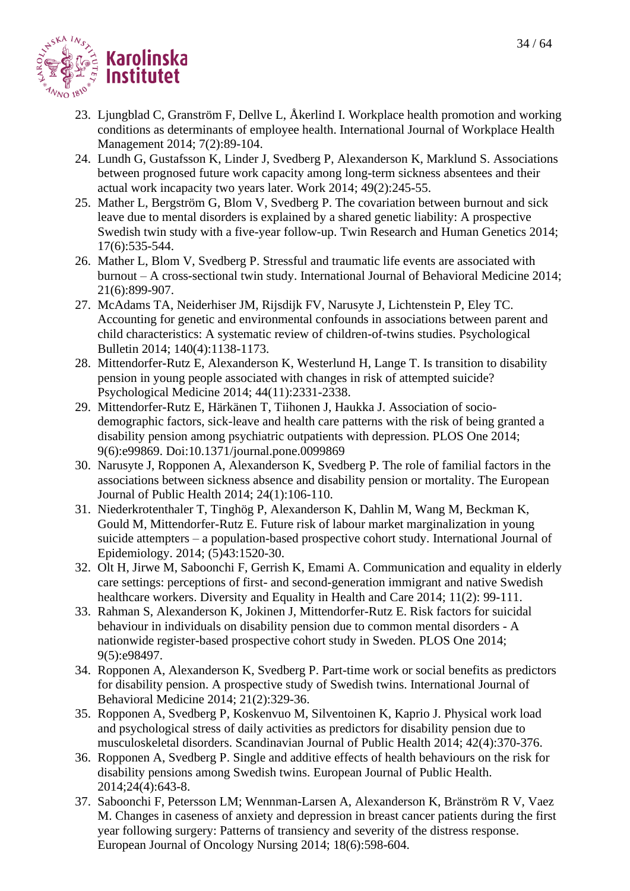- 23. Ljungblad C, Granström F, Dellve L, Åkerlind I. Workplace health promotion and working conditions as determinants of employee health. International Journal of Workplace Health Management 2014; 7(2):89-104.
- 24. Lundh G, Gustafsson K, Linder J, Svedberg P, Alexanderson K, Marklund S. Associations between prognosed future work capacity among long-term sickness absentees and their actual work incapacity two years later. Work 2014; 49(2):245-55.
- 25. Mather L, Bergström G, Blom V, Svedberg P. The covariation between burnout and sick leave due to mental disorders is explained by a shared genetic liability: A prospective Swedish twin study with a five-year follow-up. Twin Research and Human Genetics 2014; 17(6):535-544.
- 26. Mather L, Blom V, Svedberg P. Stressful and traumatic life events are associated with burnout – A cross-sectional twin study. International Journal of Behavioral Medicine 2014; 21(6):899-907.
- 27. McAdams TA, Neiderhiser JM, Rijsdijk FV, Narusyte J, Lichtenstein P, Eley TC. Accounting for genetic and environmental confounds in associations between parent and child characteristics: A systematic review of children-of-twins studies. Psychological Bulletin 2014; 140(4):1138-1173.
- 28. Mittendorfer-Rutz E, Alexanderson K, Westerlund H, Lange T. Is transition to disability pension in young people associated with changes in risk of attempted suicide? Psychological Medicine 2014; 44(11):2331-2338.
- 29. Mittendorfer-Rutz E, Härkänen T, Tiihonen J, Haukka J. Association of sociodemographic factors, sick-leave and health care patterns with the risk of being granted a disability pension among psychiatric outpatients with depression. PLOS One 2014; 9(6):e99869. Doi:10.1371/journal.pone.0099869
- 30. Narusyte J, Ropponen A, Alexanderson K, Svedberg P. The role of familial factors in the associations between sickness absence and disability pension or mortality. The European Journal of Public Health 2014; 24(1):106-110.
- 31. Niederkrotenthaler T, Tinghög P, Alexanderson K, Dahlin M, Wang M, Beckman K, Gould M, Mittendorfer-Rutz E. Future risk of labour market marginalization in young suicide attempters – a population-based prospective cohort study. International Journal of Epidemiology. 2014; (5)43:1520-30.
- 32. Olt H, Jirwe M, Saboonchi F, Gerrish K, Emami A. Communication and equality in elderly care settings: perceptions of first- and second-generation immigrant and native Swedish healthcare workers. Diversity and Equality in Health and Care 2014; 11(2): 99-111.
- 33. Rahman S, Alexanderson K, Jokinen J, Mittendorfer-Rutz E. Risk factors for suicidal behaviour in individuals on disability pension due to common mental disorders - A nationwide register-based prospective cohort study in Sweden. PLOS One 2014; 9(5):e98497.
- 34. Ropponen A, Alexanderson K, Svedberg P. Part-time work or social benefits as predictors for disability pension. A prospective study of Swedish twins. International Journal of Behavioral Medicine 2014; 21(2):329-36.
- 35. Ropponen A, Svedberg P, Koskenvuo M, Silventoinen K, Kaprio J. Physical work load and psychological stress of daily activities as predictors for disability pension due to musculoskeletal disorders. Scandinavian Journal of Public Health 2014; 42(4):370-376.
- 36. Ropponen A, Svedberg P. Single and additive effects of health behaviours on the risk for disability pensions among Swedish twins. European Journal of Public Health. 2014;24(4):643-8.
- 37. Saboonchi F, Petersson LM; Wennman-Larsen A, Alexanderson K, Bränström R V, Vaez M. Changes in caseness of anxiety and depression in breast cancer patients during the first year following surgery: Patterns of transiency and severity of the distress response. European Journal of Oncology Nursing 2014; 18(6):598-604.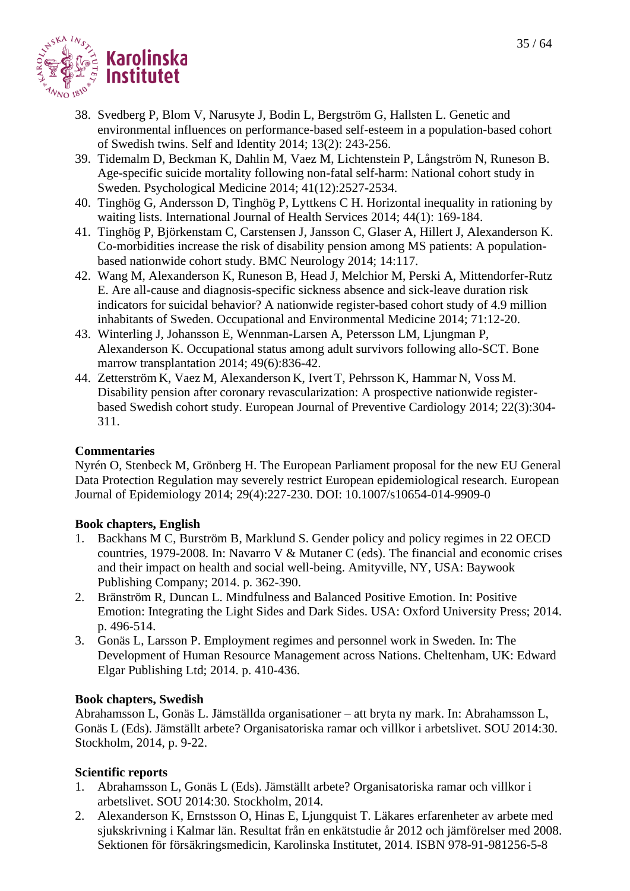

- 38. Svedberg P, Blom V, Narusyte J, Bodin L, Bergström G, Hallsten L. Genetic and environmental influences on performance-based self-esteem in a population-based cohort of Swedish twins. Self and Identity 2014; 13(2): 243-256.
- 39. Tidemalm D, Beckman K, Dahlin M, Vaez M, Lichtenstein P, Långström N, Runeson B. Age-specific suicide mortality following non-fatal self-harm: National cohort study in Sweden. Psychological Medicine 2014; 41(12):2527-2534.
- 40. Tinghög G, Andersson D, Tinghög P, Lyttkens C H. Horizontal inequality in rationing by waiting lists. International Journal of Health Services 2014; 44(1): 169-184.
- 41. Tinghög P, Björkenstam C, Carstensen J, Jansson C, Glaser A, Hillert J, Alexanderson K. Co-morbidities increase the risk of disability pension among MS patients: A populationbased nationwide cohort study. BMC Neurology 2014; 14:117.
- 42. Wang M, Alexanderson K, Runeson B, Head J, Melchior M, Perski A, Mittendorfer-Rutz E. Are all-cause and diagnosis-specific sickness absence and sick-leave duration risk indicators for suicidal behavior? A nationwide register-based cohort study of 4.9 million inhabitants of Sweden. Occupational and Environmental Medicine 2014; 71:12-20.
- 43. Winterling J, Johansson E, Wennman-Larsen A, Petersson LM, Ljungman P, Alexanderson K. [Occupational status among adult survivors following allo-SCT.](http://www.ncbi.nlm.nih.gov/pubmed/24614841?otool=karolib&tool=karolinska) Bone marrow transplantation 2014; 49(6):836-42.
- 44. Zetterström K, Vaez M, Alexanderson K, Ivert T, Pehrsson K, Hammar N, Voss M. Disability pension after coronary revascularization: A prospective nationwide registerbased Swedish cohort study. European Journal of Preventive Cardiology 2014; 22(3):304- 311.

# **Commentaries**

Nyrén O, Stenbeck M, Grönberg H. The European Parliament proposal for the new EU General Data Protection Regulation may severely restrict European epidemiological research. European Journal of Epidemiology 2014; 29(4):227-230. DOI: 10.1007/s10654-014-9909-0

#### **Book chapters, English**

- 1. Backhans M C, Burström B, Marklund S. Gender policy and policy regimes in 22 OECD countries, 1979-2008. In: Navarro V & Mutaner C (eds). The financial and economic crises and their impact on health and social well-being. Amityville, NY, USA: Baywook Publishing Company; 2014. p. 362-390.
- 2. Bränström R, Duncan L. Mindfulness and Balanced Positive Emotion. In: Positive Emotion: Integrating the Light Sides and Dark Sides. USA: Oxford University Press; 2014. p. 496-514.
- 3. Gonäs L, Larsson P. Employment regimes and personnel work in Sweden*.* In: The Development of Human Resource Management across Nations. Cheltenham, UK: Edward Elgar Publishing Ltd; 2014. p. 410-436.

#### **Book chapters, Swedish**

Abrahamsson L, Gonäs L. Jämställda organisationer – att bryta ny mark. In: Abrahamsson L, Gonäs L (Eds). Jämställt arbete? Organisatoriska ramar och villkor i arbetslivet. SOU 2014:30. Stockholm, 2014, p. 9-22.

# **Scientific reports**

- 1. Abrahamsson L, Gonäs L (Eds). Jämställt arbete? Organisatoriska ramar och villkor i arbetslivet. SOU 2014:30. Stockholm, 2014.
- 2. Alexanderson K, Ernstsson O, Hinas E, Ljungquist T. Läkares erfarenheter av arbete med sjukskrivning i Kalmar län. Resultat från en enkätstudie år 2012 och jämförelser med 2008. Sektionen för försäkringsmedicin, Karolinska Institutet, 2014. ISBN 978-91-981256-5-8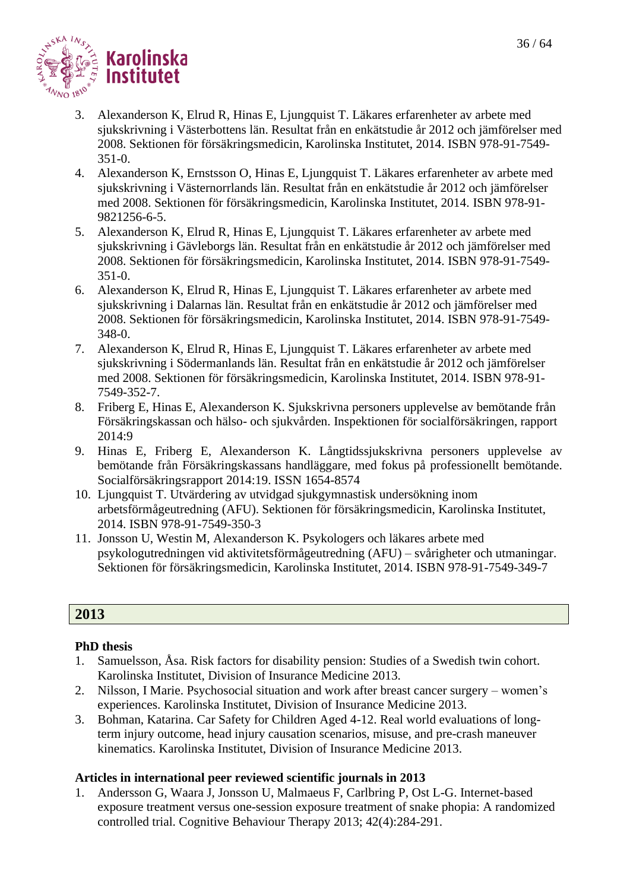

- 3. Alexanderson K, Elrud R, Hinas E, Ljungquist T. Läkares erfarenheter av arbete med sjukskrivning i Västerbottens län. Resultat från en enkätstudie år 2012 och jämförelser med 2008. Sektionen för försäkringsmedicin, Karolinska Institutet, 2014. ISBN 978-91-7549- 351-0.
- 4. Alexanderson K, Ernstsson O, Hinas E, Ljungquist T. Läkares erfarenheter av arbete med sjukskrivning i Västernorrlands län. Resultat från en enkätstudie år 2012 och jämförelser med 2008. Sektionen för försäkringsmedicin, Karolinska Institutet, 2014. ISBN 978-91- 9821256-6-5.
- 5. Alexanderson K, Elrud R, Hinas E, Ljungquist T. Läkares erfarenheter av arbete med sjukskrivning i Gävleborgs län. Resultat från en enkätstudie år 2012 och jämförelser med 2008. Sektionen för försäkringsmedicin, Karolinska Institutet, 2014. ISBN 978-91-7549- 351-0.
- 6. Alexanderson K, Elrud R, Hinas E, Ljungquist T. Läkares erfarenheter av arbete med sjukskrivning i Dalarnas län. Resultat från en enkätstudie år 2012 och jämförelser med 2008. Sektionen för försäkringsmedicin, Karolinska Institutet, 2014. ISBN 978-91-7549- 348-0.
- 7. Alexanderson K, Elrud R, Hinas E, Ljungquist T. Läkares erfarenheter av arbete med sjukskrivning i Södermanlands län. Resultat från en enkätstudie år 2012 och jämförelser med 2008. Sektionen för försäkringsmedicin, Karolinska Institutet, 2014. ISBN 978-91- 7549-352-7.
- 8. Friberg E, Hinas E, Alexanderson K. Sjukskrivna personers upplevelse av bemötande från Försäkringskassan och hälso- och sjukvården. Inspektionen för socialförsäkringen, rapport 2014:9
- 9. Hinas E, Friberg E, Alexanderson K. Långtidssjukskrivna personers upplevelse av bemötande från Försäkringskassans handläggare, med fokus på professionellt bemötande. Socialförsäkringsrapport 2014:19. ISSN 1654-8574
- 10. Ljungquist T. Utvärdering av utvidgad sjukgymnastisk undersökning inom arbetsförmågeutredning (AFU). Sektionen för försäkringsmedicin, Karolinska Institutet, 2014. ISBN 978-91-7549-350-3
- 11. Jonsson U, Westin M, Alexanderson K. Psykologers och läkares arbete med psykologutredningen vid aktivitetsförmågeutredning (AFU) – svårigheter och utmaningar. Sektionen för försäkringsmedicin, Karolinska Institutet, 2014. ISBN 978-91-7549-349-7

# **2013**

# **PhD thesis**

- 1. Samuelsson, Åsa. Risk factors for disability pension: Studies of a Swedish twin cohort. Karolinska Institutet, Division of Insurance Medicine 2013.
- 2. Nilsson, I Marie. Psychosocial situation and work after breast cancer surgery women's experiences. Karolinska Institutet, Division of Insurance Medicine 2013.
- 3. Bohman, Katarina. Car Safety for Children Aged 4-12. Real world evaluations of longterm injury outcome, head injury causation scenarios, misuse, and pre-crash maneuver kinematics. Karolinska Institutet, Division of Insurance Medicine 2013.

# **Articles in international peer reviewed scientific journals in 2013**

1. Andersson G, Waara J, Jonsson U, Malmaeus F, Carlbring P, Ost L-G. Internet-based exposure treatment versus one-session exposure treatment of snake phopia: A randomized controlled trial. Cognitive Behaviour Therapy 2013; 42(4):284-291.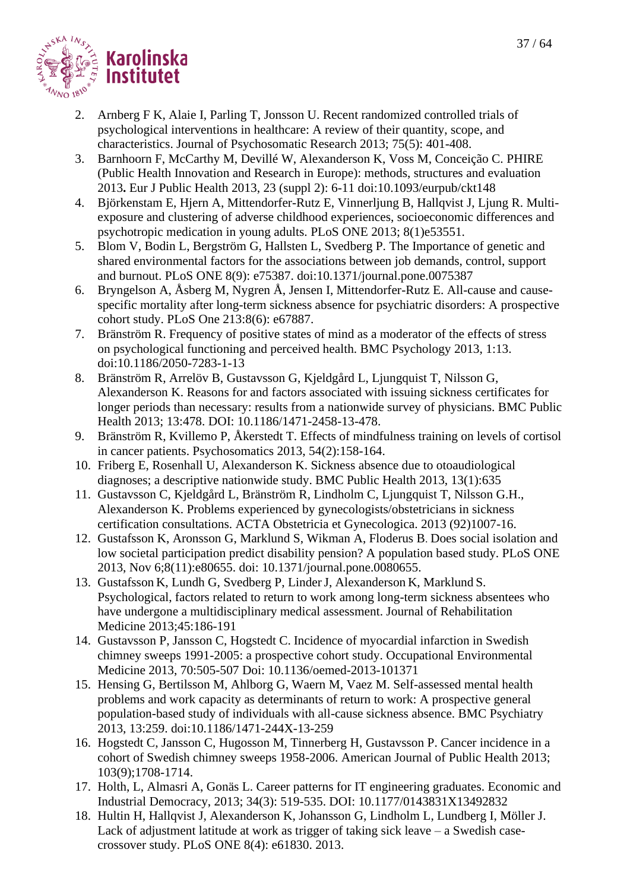

- 2. Arnberg F K, Alaie I, Parling T, Jonsson U. Recent randomized controlled trials of psychological interventions in healthcare: A review of their quantity, scope, and characteristics. Journal of Psychosomatic Research 2013; 75(5): 401-408.
- 3. Barnhoorn F, McCarthy M, Devillé W, Alexanderson K, Voss M, Conceição C. PHIRE (Public Health Innovation and Research in Europe): methods, structures and evaluation 2013**.** Eur J Public Health 2013, 23 (suppl 2): 6-11 doi:10.1093/eurpub/ckt148
- 4. Björkenstam E, Hjern A, Mittendorfer-Rutz E, Vinnerljung B, Hallqvist J, Ljung R. Multiexposure and clustering of adverse childhood experiences, socioeconomic differences and psychotropic medication in young adults. PLoS ONE 2013; 8(1)e53551.
- 5. Blom V, Bodin L, Bergström G, Hallsten L, Svedberg P. The Importance of genetic and shared environmental factors for the associations between job demands, control, support and burnout. PLoS ONE 8(9): e75387. doi:10.1371/journal.pone.0075387
- 6. Bryngelson A, Åsberg M, Nygren Å, Jensen I, Mittendorfer-Rutz E. All-cause and causespecific mortality after long-term sickness absence for psychiatric disorders: A prospective cohort study. PLoS One 213:8(6): e67887.
- 7. Bränström R. Frequency of positive states of mind as a moderator of the effects of stress on psychological functioning and perceived health. BMC Psychology 2013, 1:13. doi:10.1186/2050-7283-1-13
- 8. Bränström R, Arrelöv B, Gustavsson G, Kjeldgård L, Ljungquist T, Nilsson G, Alexanderson K. Reasons for and factors associated with issuing sickness certificates for longer periods than necessary: results from a nationwide survey of physicians. BMC Public Health 2013; 13:478. DOI: 10.1186/1471-2458-13-478.
- 9. Bränström R, Kvillemo P, Åkerstedt T. Effects of mindfulness training on levels of cortisol in cancer patients. Psychosomatics 2013, 54(2):158-164.
- 10. Friberg E, Rosenhall U, Alexanderson K. Sickness absence due to otoaudiological diagnoses; a descriptive nationwide study. BMC Public Health 2013, 13(1):635
- 11. Gustavsson C, Kjeldgård L, Bränström R, Lindholm C, Ljungquist T, Nilsson G.H., Alexanderson K. Problems experienced by gynecologists/obstetricians in sickness certification consultations. ACTA Obstetricia et Gynecologica. 2013 (92)1007-16.
- 12. Gustafsson K, Aronsson G, Marklund S, Wikman A, Floderus B. Does social isolation and low societal participation predict disability pension? A population based study. PLoS ONE 2013, Nov 6;8(11):e80655. doi: 10.1371/journal.pone.0080655.
- 13. Gustafsson K, Lundh G, Svedberg P, LinderJ, Alexanderson K, Marklund S. Psychological, factors related to return to work among long-term sickness absentees who have undergone a multidisciplinary medical assessment. Journal of Rehabilitation Medicine 2013;45:186-191
- 14. Gustavsson P, Jansson C, Hogstedt C. Incidence of myocardial infarction in Swedish chimney sweeps 1991-2005: a prospective cohort study. Occupational Environmental Medicine 2013, 70:505-507 Doi: 10.1136/oemed-2013-101371
- 15. Hensing G, Bertilsson M, Ahlborg G, Waern M, Vaez M. Self-assessed mental health problems and work capacity as determinants of return to work: A prospective general population-based study of individuals with all-cause sickness absence. BMC Psychiatry 2013, 13:259. doi:10.1186/1471-244X-13-259
- 16. Hogstedt C, Jansson C, Hugosson M, Tinnerberg H, Gustavsson P. Cancer incidence in a cohort of Swedish chimney sweeps 1958-2006. American Journal of Public Health 2013; 103(9);1708-1714.
- 17. Holth, L, Almasri A, Gonäs L. Career patterns for IT engineering graduates. Economic and Industrial Democracy, 2013; 34(3): 519-535. DOI: 10.1177/0143831X13492832
- 18. Hultin H, Hallqvist J, Alexanderson K, Johansson G, Lindholm L, Lundberg I, Möller J. Lack of adjustment latitude at work as trigger of taking sick leave – a Swedish casecrossover study. PLoS ONE 8(4): e61830. 2013.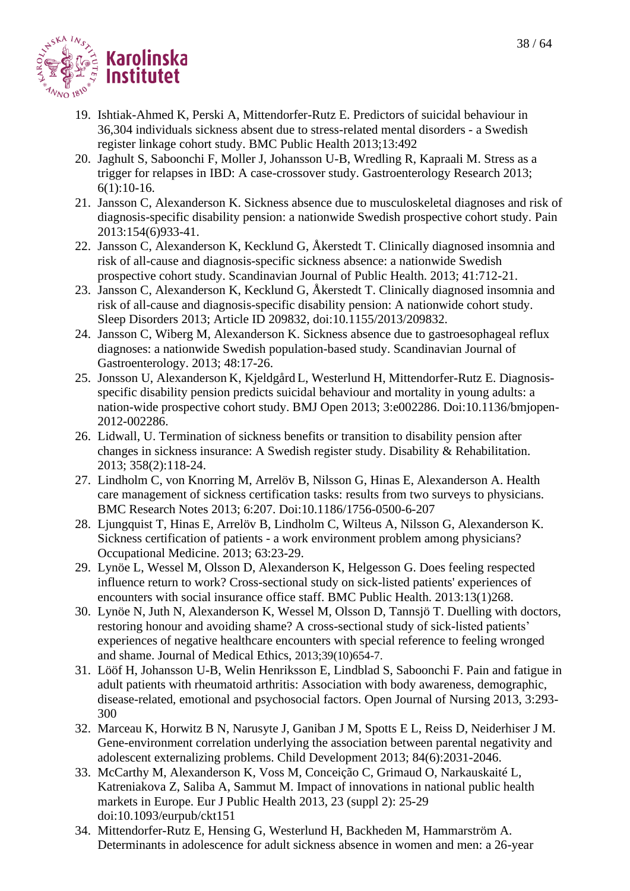

- 19. Ishtiak-Ahmed K, Perski A, Mittendorfer-Rutz E. Predictors of suicidal behaviour in 36,304 individuals sickness absent due to stress-related mental disorders - a Swedish register linkage cohort study. BMC Public Health 2013;13:492
- 20. Jaghult S, Saboonchi F, Moller J, Johansson U-B, Wredling R, Kapraali M. Stress as a trigger for relapses in IBD: A case-crossover study. Gastroenterology Research 2013; 6(1):10-16.
- 21. Jansson C, Alexanderson K. Sickness absence due to musculoskeletal diagnoses and risk of diagnosis-specific disability pension: a nationwide Swedish prospective cohort study. Pain 2013:154(6)933-41.
- 22. Jansson C, Alexanderson K, Kecklund G, Åkerstedt T. Clinically diagnosed insomnia and risk of all-cause and diagnosis-specific sickness absence: a nationwide Swedish prospective cohort study. Scandinavian Journal of Public Health. 2013; 41:712-21.
- 23. Jansson C, Alexanderson K, Kecklund G, Åkerstedt T. Clinically diagnosed insomnia and risk of all-cause and diagnosis-specific disability pension: A nationwide cohort study. Sleep Disorders 2013; Article ID 209832, doi:10.1155/2013/209832.
- 24. Jansson C, Wiberg M, Alexanderson K. Sickness absence due to gastroesophageal reflux diagnoses: a nationwide Swedish population-based study. Scandinavian Journal of Gastroenterology. 2013; 48:17-26.
- 25. Jonsson U, Alexanderson K, Kjeldgård L, Westerlund H, Mittendorfer-Rutz E. Diagnosisspecific disability pension predicts suicidal behaviour and mortality in young adults: a nation-wide prospective cohort study. BMJ Open 2013; 3:e002286. Doi:10.1136/bmjopen-2012-002286.
- 26. Lidwall, U. Termination of sickness benefits or transition to disability pension after changes in sickness insurance: A Swedish register study. Disability & Rehabilitation. 2013; 358(2):118-24.
- 27. Lindholm C, von Knorring M, Arrelöv B, Nilsson G, Hinas E, Alexanderson A. Health care management of sickness certification tasks: results from two surveys to physicians. BMC Research Notes 2013; 6:207. Doi:10.1186/1756-0500-6-207
- 28. Ljungquist T, Hinas E, Arrelöv B, Lindholm C, Wilteus A, Nilsson G, Alexanderson K. Sickness certification of patients - a work environment problem among physicians? Occupational Medicine. 2013; 63:23-29.
- 29. Lynöe L, Wessel M, Olsson D, Alexanderson K, Helgesson G. Does feeling respected influence return to work? Cross-sectional study on sick-listed patients' experiences of encounters with social insurance office staff. BMC Public Health. 2013:13(1)268.
- 30. Lynöe N, Juth N, Alexanderson K, Wessel M, Olsson D, Tannsjö T. Duelling with doctors, restoring honour and avoiding shame? A cross-sectional study of sick-listed patients' experiences of negative healthcare encounters with special reference to feeling wronged and shame. Journal of Medical Ethics, 2013;39(10)654-7.
- 31. Lööf H, Johansson U-B, Welin Henriksson E, Lindblad S, Saboonchi F. Pain and fatigue in adult patients with rheumatoid arthritis: Association with body awareness, demographic, disease-related, emotional and psychosocial factors. Open Journal of Nursing 2013, 3:293- 300
- 32. Marceau K, Horwitz B N, Narusyte J, Ganiban J M, Spotts E L, Reiss D, Neiderhiser J M. Gene-environment correlation underlying the association between parental negativity and adolescent externalizing problems. Child Development 2013; 84(6):2031-2046.
- 33. McCarthy M, Alexanderson K, Voss M, Conceição C, Grimaud O, Narkauskaité L, Katreniakova Z, Saliba A, Sammut M. Impact of innovations in national public health markets in Europe. Eur J Public Health 2013, 23 (suppl 2): 25-29 doi:10.1093/eurpub/ckt151
- 34. Mittendorfer-Rutz E, Hensing G, Westerlund H, Backheden M, Hammarström A. Determinants in adolescence for adult sickness absence in women and men: a 26-year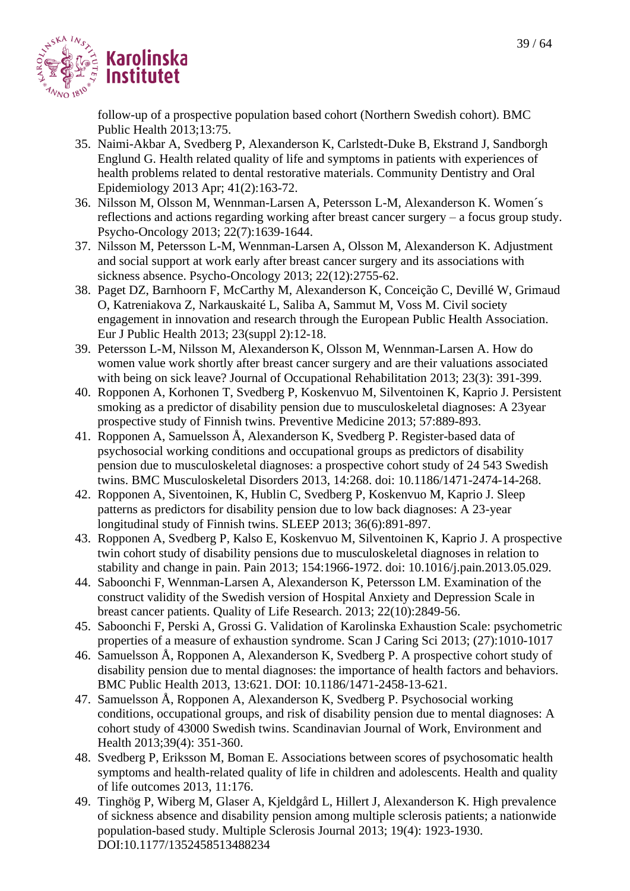

follow-up of a prospective population based cohort (Northern Swedish cohort). BMC Public Health 2013;13:75.

- 35. Naimi-Akbar A, Svedberg P, Alexanderson K, Carlstedt-Duke B, Ekstrand J, Sandborgh Englund G. Health related quality of life and symptoms in patients with experiences of health problems related to dental restorative materials. Community Dentistry and Oral Epidemiology 2013 Apr; 41(2):163-72.
- 36. Nilsson M, Olsson M, Wennman-Larsen A, Petersson L-M, Alexanderson K. Women´s reflections and actions regarding working after breast cancer surgery – a focus group study. Psycho-Oncology 2013; 22(7):1639-1644.
- 37. Nilsson M, Petersson L-M, Wennman-Larsen A, Olsson M, Alexanderson K. Adjustment and social support at work early after breast cancer surgery and its associations with sickness absence. Psycho-Oncology 2013; 22(12):2755-62.
- 38. Paget DZ, Barnhoorn F, McCarthy M, Alexanderson K, Conceição C, Devillé W, Grimaud O, Katreniakova Z, Narkauskaité L, Saliba A, Sammut M, Voss M. Civil society engagement in innovation and research through the European Public Health Association. Eur J Public Health 2013; 23(suppl 2):12-18.
- 39. Petersson L-M, Nilsson M, Alexanderson K, Olsson M, Wennman-Larsen A. How do women value work shortly after breast cancer surgery and are their valuations associated with being on sick leave? Journal of Occupational Rehabilitation 2013; 23(3): 391-399.
- 40. Ropponen A, Korhonen T, Svedberg P, Koskenvuo M, Silventoinen K, Kaprio J. Persistent smoking as a predictor of disability pension due to musculoskeletal diagnoses: A 23year prospective study of Finnish twins. Preventive Medicine 2013; 57:889-893.
- 41. Ropponen A, Samuelsson Å, Alexanderson K, Svedberg P. Register-based data of psychosocial working conditions and occupational groups as predictors of disability pension due to musculoskeletal diagnoses: a prospective cohort study of 24 543 Swedish twins. BMC Musculoskeletal Disorders 2013, 14:268. doi: 10.1186/1471-2474-14-268.
- 42. Ropponen A, Siventoinen, K, Hublin C, Svedberg P, Koskenvuo M, Kaprio J. Sleep patterns as predictors for disability pension due to low back diagnoses: A 23-year longitudinal study of Finnish twins. SLEEP 2013; 36(6):891-897.
- 43. [Ropponen A,](http://www.ncbi.nlm.nih.gov/pubmed?term=Ropponen%20A%5BAuthor%5D&cauthor=true&cauthor_uid=23711476) [Svedberg P,](http://www.ncbi.nlm.nih.gov/pubmed?term=Svedberg%20P%5BAuthor%5D&cauthor=true&cauthor_uid=23711476) [Kalso E,](http://www.ncbi.nlm.nih.gov/pubmed?term=Kalso%20E%5BAuthor%5D&cauthor=true&cauthor_uid=23711476) [Koskenvuo M,](http://www.ncbi.nlm.nih.gov/pubmed?term=Koskenvuo%20M%5BAuthor%5D&cauthor=true&cauthor_uid=23711476) [Silventoinen K,](http://www.ncbi.nlm.nih.gov/pubmed?term=Silventoinen%20K%5BAuthor%5D&cauthor=true&cauthor_uid=23711476) [Kaprio J.](http://www.ncbi.nlm.nih.gov/pubmed?term=Kaprio%20J%5BAuthor%5D&cauthor=true&cauthor_uid=23711476) A prospective twin cohort study of disability pensions due to musculoskeletal diagnoses in relation to stability and change in pain. Pain 2013; 154:1966-1972. doi: 10.1016/j.pain.2013.05.029.
- 44. Saboonchi F, Wennman-Larsen A, Alexanderson K, Petersson LM. Examination of the construct validity of the Swedish version of Hospital Anxiety and Depression Scale in breast cancer patients. Quality of Life Research. 2013; 22(10):2849-56.
- 45. Saboonchi F, Perski A, Grossi G. Validation of Karolinska Exhaustion Scale: psychometric properties of a measure of exhaustion syndrome. Scan J Caring Sci 2013; (27):1010-1017
- 46. Samuelsson Å, Ropponen A, Alexanderson K, Svedberg P. A prospective cohort study of disability pension due to mental diagnoses: the importance of health factors and behaviors. BMC Public Health 2013, 13:621. DOI: 10.1186/1471-2458-13-621.
- 47. Samuelsson Å, Ropponen A, Alexanderson K, Svedberg P. Psychosocial working conditions, occupational groups, and risk of disability pension due to mental diagnoses: A cohort study of 43000 Swedish twins. Scandinavian Journal of Work, Environment and Health 2013;39(4): 351-360.
- 48. Svedberg P, Eriksson M, Boman E. Associations between scores of psychosomatic health symptoms and health-related quality of life in children and adolescents. Health and quality of life outcomes 2013, 11:176.
- 49. Tinghög P, Wiberg M, Glaser A, Kjeldgård L, Hillert J, Alexanderson K. High prevalence of sickness absence and disability pension among multiple sclerosis patients; a nationwide population-based study. Multiple Sclerosis Journal 2013; 19(4): 1923-1930. DOI:10.1177/1352458513488234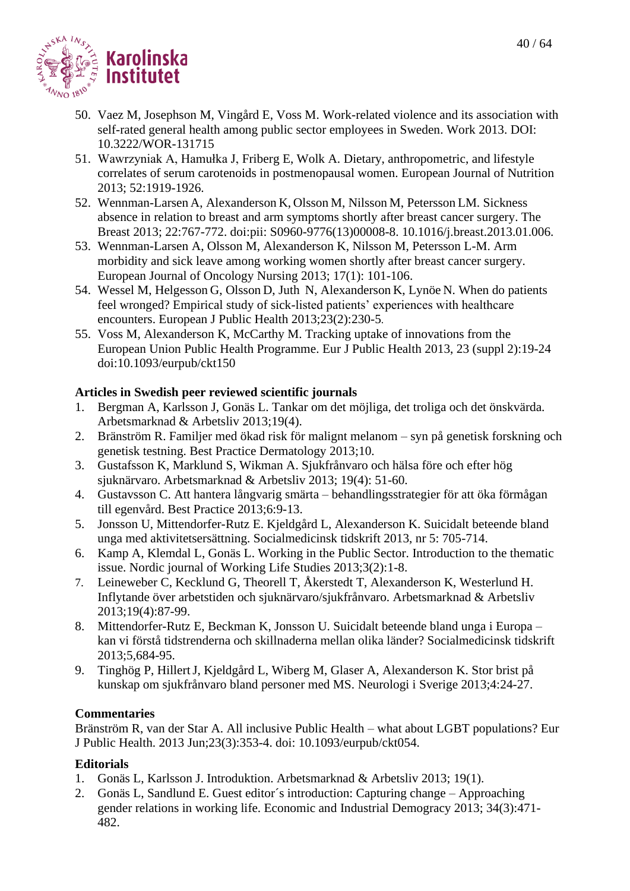- 50. Vaez M, Josephson M, Vingård E, Voss M. Work-related violence and its association with self-rated general health among public sector employees in Sweden. Work 2013. DOI: 10.3222/WOR-131715
- 51. Wawrzyniak A, Hamułka J, Friberg E, Wolk A. Dietary, anthropometric, and lifestyle correlates of serum carotenoids in postmenopausal women. European Journal of Nutrition 2013; 52:1919-1926.
- 52. Wennman-Larsen A, Alexanderson K, Olsson M, Nilsson M, Petersson LM. Sickness absence in relation to breast and arm symptoms shortly after breast cancer surgery. The Breast 2013; 22:767-772. doi:pii: S0960-9776(13)00008-8. 10.1016/j.breast.2013.01.006.
- 53. Wennman-Larsen A, Olsson M, Alexanderson K, Nilsson M, Petersson L-M. Arm morbidity and sick leave among working women shortly after breast cancer surgery. European Journal of Oncology Nursing 2013; 17(1): 101-106.
- 54. Wessel M, Helgesson G, Olsson D, Juth N, Alexanderson K, Lynöe N. When do patients feel wronged? Empirical study of sick-listed patients' experiences with healthcare encounters. European J Public Health 2013;23(2):230-5.
- 55. Voss M, Alexanderson K, McCarthy M. Tracking uptake of innovations from the European Union Public Health Programme. Eur J Public Health 2013, 23 (suppl 2):19-24 doi:10.1093/eurpub/ckt150

# **Articles in Swedish peer reviewed scientific journals**

- 1. Bergman A, Karlsson J, Gonäs L. Tankar om det möjliga, det troliga och det önskvärda. Arbetsmarknad & Arbetsliv 2013;19(4).
- 2. Bränström R. Familjer med ökad risk för malignt melanom syn på genetisk forskning och genetisk testning. Best Practice Dermatology 2013;10.
- 3. Gustafsson K, Marklund S, Wikman A. Sjukfrånvaro och hälsa före och efter hög sjuknärvaro. Arbetsmarknad & Arbetsliv 2013; 19(4): 51-60.
- 4. Gustavsson C. Att hantera långvarig smärta behandlingsstrategier för att öka förmågan till egenvård. Best Practice 2013;6:9-13.
- 5. Jonsson U, Mittendorfer-Rutz E. Kjeldgård L, Alexanderson K. Suicidalt beteende bland unga med aktivitetsersättning. Socialmedicinsk tidskrift 2013, nr 5: 705-714.
- 6. Kamp A, Klemdal L, Gonäs L. Working in the Public Sector. Introduction to the thematic issue. Nordic journal of Working Life Studies 2013;3(2):1-8.
- 7. Leineweber C, Kecklund G, Theorell T, Åkerstedt T, Alexanderson K, Westerlund H. Inflytande över arbetstiden och sjuknärvaro/sjukfrånvaro. Arbetsmarknad & Arbetsliv 2013;19(4):87-99.
- 8. Mittendorfer-Rutz E, Beckman K, Jonsson U. Suicidalt beteende bland unga i Europa kan vi förstå tidstrenderna och skillnaderna mellan olika länder? Socialmedicinsk tidskrift 2013;5,684-95.
- 9. Tinghög P, HillertJ, Kjeldgård L, Wiberg M, Glaser A, Alexanderson K. Stor brist på kunskap om sjukfrånvaro bland personer med MS. Neurologi i Sverige 2013;4:24-27.

# **Commentaries**

Bränström R, van der Star A. All inclusive Public Health – what about LGBT populations? Eur J Public Health. 2013 Jun;23(3):353-4. doi: 10.1093/eurpub/ckt054.

# **Editorials**

- 1. Gonäs L, Karlsson J. Introduktion. Arbetsmarknad & Arbetsliv 2013; 19(1).
- 2. Gonäs L, Sandlund E. Guest editor´s introduction: Capturing change Approaching gender relations in working life. Economic and Industrial Demogracy 2013; 34(3):471- 482.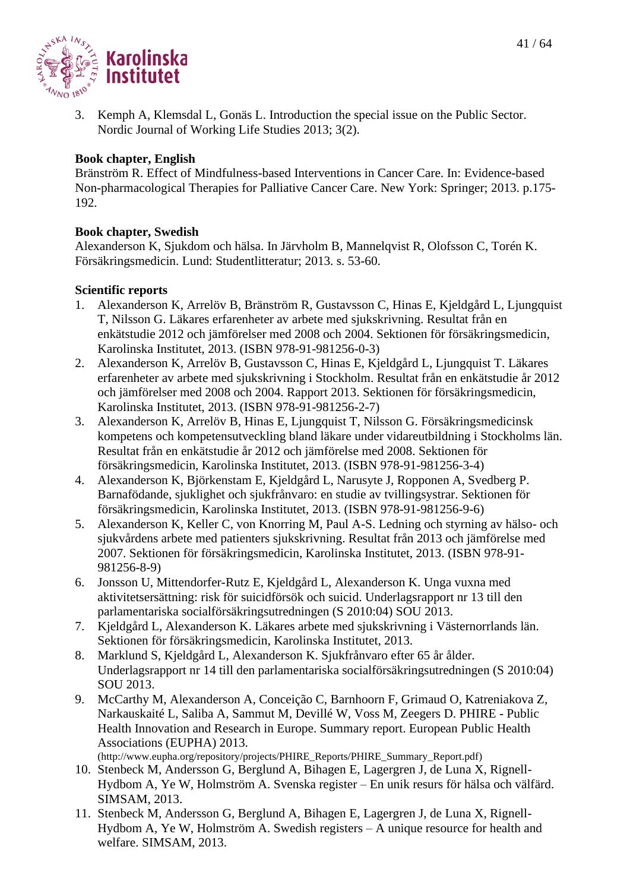

3. Kemph A, Klemsdal L, Gonäs L. Introduction the special issue on the Public Sector. Nordic Journal of Working Life Studies 2013; 3(2).

#### **Book chapter, English**

Bränström R. Effect of Mindfulness-based Interventions in Cancer Care. In: Evidence-based Non-pharmacological Therapies for Palliative Cancer Care. New York: Springer; 2013. p.175- 192.

#### **Book chapter, Swedish**

Alexanderson K, Sjukdom och hälsa. In Järvholm B, Mannelqvist R, Olofsson C, Torén K. Försäkringsmedicin. Lund: Studentlitteratur; 2013. s. 53-60.

#### **Scientific reports**

- 1. Alexanderson K, Arrelöv B, Bränström R, Gustavsson C, Hinas E, Kjeldgård L, Ljungquist T, Nilsson G. Läkares erfarenheter av arbete med sjukskrivning. Resultat från en enkätstudie 2012 och jämförelser med 2008 och 2004. Sektionen för försäkringsmedicin, Karolinska Institutet, 2013. (ISBN 978-91-981256-0-3)
- 2. Alexanderson K, Arrelöv B, Gustavsson C, Hinas E, Kjeldgård L, Ljungquist T. Läkares erfarenheter av arbete med sjukskrivning i Stockholm. Resultat från en enkätstudie år 2012 och jämförelser med 2008 och 2004. Rapport 2013. Sektionen för försäkringsmedicin, Karolinska Institutet, 2013. (ISBN 978-91-981256-2-7)
- 3. Alexanderson K, Arrelöv B, Hinas E, Ljungquist T, Nilsson G. Försäkringsmedicinsk kompetens och kompetensutveckling bland läkare under vidareutbildning i Stockholms län. Resultat från en enkätstudie år 2012 och jämförelse med 2008. Sektionen för försäkringsmedicin, Karolinska Institutet, 2013. (ISBN 978-91-981256-3-4)
- 4. Alexanderson K, Björkenstam E, Kjeldgård L, Narusyte J, Ropponen A, Svedberg P. Barnafödande, sjuklighet och sjukfrånvaro: en studie av tvillingsystrar. Sektionen för försäkringsmedicin, Karolinska Institutet, 2013. (ISBN 978-91-981256-9-6)
- 5. Alexanderson K, Keller C, von Knorring M, Paul A-S. Ledning och styrning av hälso- och sjukvårdens arbete med patienters sjukskrivning. Resultat från 2013 och jämförelse med 2007. Sektionen för försäkringsmedicin, Karolinska Institutet, 2013. (ISBN 978-91- 981256-8-9)
- 6. Jonsson U, Mittendorfer-Rutz E, Kjeldgård L, Alexanderson K. Unga vuxna med aktivitetsersättning: risk för suicidförsök och suicid. Underlagsrapport nr 13 till den parlamentariska socialförsäkringsutredningen (S 2010:04) SOU 2013.
- 7. Kjeldgård L, Alexanderson K. Läkares arbete med sjukskrivning i Västernorrlands län. Sektionen för försäkringsmedicin, Karolinska Institutet, 2013.
- 8. Marklund S, Kjeldgård L, Alexanderson K. Sjukfrånvaro efter 65 år ålder. Underlagsrapport nr 14 till den parlamentariska socialförsäkringsutredningen (S 2010:04) SOU 2013.
- 9. McCarthy M, Alexanderson A, Conceição C, Barnhoorn F, Grimaud O, Katreniakova Z, Narkauskaité L, Saliba A, Sammut M, Devillé W, Voss M, Zeegers D. PHIRE - Public Health Innovation and Research in Europe. Summary report. European Public Health Associations (EUPHA) 2013. [\(http://www.eupha.org/repository/projects/PHIRE\\_Reports/PHIRE\\_Summary\\_Report.pdf\)](http://www.eupha.org/repository/projects/PHIRE_Reports/PHIRE_Summary_Report.pdf)
- 10. Stenbeck M, Andersson G, Berglund A, Bihagen E, Lagergren J, de Luna X, Rignell-Hydbom A, Ye W, Holmström A. Svenska register – En unik resurs för hälsa och välfärd. SIMSAM, 2013.
- 11. Stenbeck M, Andersson G, Berglund A, Bihagen E, Lagergren J, de Luna X, Rignell-Hydbom A, Ye W, Holmström A. Swedish registers – A unique resource for health and welfare. SIMSAM, 2013.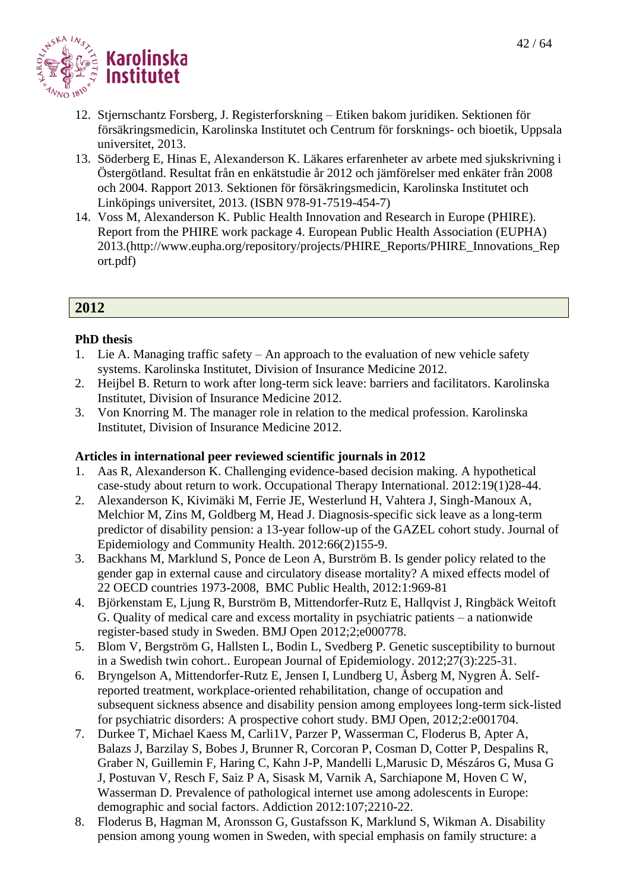

- 12. Stjernschantz Forsberg, J. Registerforskning Etiken bakom juridiken. Sektionen för försäkringsmedicin, Karolinska Institutet och Centrum för forsknings- och bioetik, Uppsala universitet, 2013.
- 13. Söderberg E, Hinas E, Alexanderson K. Läkares erfarenheter av arbete med sjukskrivning i Östergötland. Resultat från en enkätstudie år 2012 och jämförelser med enkäter från 2008 och 2004. Rapport 2013. Sektionen för försäkringsmedicin, Karolinska Institutet och Linköpings universitet, 2013. (ISBN 978-91-7519-454-7)
- 14. Voss M, Alexanderson K. Public Health Innovation and Research in Europe (PHIRE). Report from the PHIRE work package 4. European Public Health Association (EUPHA) 2013.[\(http://www.eupha.org/repository/projects/PHIRE\\_Reports/PHIRE\\_Innovations\\_Rep](http://www.eupha.org/repository/projects/PHIRE_Reports/PHIRE_Innovations_Report.pdf) [ort.pdf\)](http://www.eupha.org/repository/projects/PHIRE_Reports/PHIRE_Innovations_Report.pdf)

# **2012**

#### **PhD thesis**

- 1. Lie A. Managing traffic safety An approach to the evaluation of new vehicle safety systems. Karolinska Institutet, Division of Insurance Medicine 2012.
- 2. Heijbel B. Return to work after long-term sick leave: barriers and facilitators. Karolinska Institutet, Division of Insurance Medicine 2012.
- 3. Von Knorring M. The manager role in relation to the medical profession. Karolinska Institutet, Division of Insurance Medicine 2012.

- 1. Aas R, Alexanderson K. Challenging evidence-based decision making. A hypothetical case-study about return to work. Occupational Therapy International. 2012:19(1)28-44.
- 2. Alexanderson K, Kivimäki M, Ferrie JE, Westerlund H, Vahtera J, Singh-Manoux A, Melchior M, Zins M, Goldberg M, Head J. Diagnosis-specific sick leave as a long-term predictor of disability pension: a 13-year follow-up of the GAZEL cohort study. Journal of Epidemiology and Community Health. 2012:66(2)155-9.
- 3. Backhans M, Marklund S, Ponce de Leon A, Burström B. Is gender policy related to the gender gap in external cause and circulatory disease mortality? A mixed effects model of 22 OECD countries 1973-2008, BMC Public Health, 2012:1:969-81
- 4. Björkenstam E, Ljung R, Burström B, Mittendorfer-Rutz E, Hallqvist J, Ringbäck Weitoft G. Quality of medical care and excess mortality in psychiatric patients – a nationwide register-based study in Sweden. BMJ Open 2012;2;e000778.
- 5. Blom V, Bergström G, Hallsten L, Bodin L, Svedberg P. Genetic susceptibility to burnout in a Swedish twin cohort.. European Journal of Epidemiology. 2012;27(3):225-31.
- 6. Bryngelson A, Mittendorfer-Rutz E, Jensen I, Lundberg U, Åsberg M, Nygren Å. Selfreported treatment, workplace-oriented rehabilitation, change of occupation and subsequent sickness absence and disability pension among employees long-term sick-listed for psychiatric disorders: A prospective cohort study. BMJ Open, 2012;2:e001704.
- 7. Durkee T, Michael Kaess M, Carli1V, Parzer P, Wasserman C, Floderus B, Apter A, Balazs J, Barzilay S, Bobes J, Brunner R, Corcoran P, Cosman D, Cotter P, Despalins R, Graber N, Guillemin F, Haring C, Kahn J-P, Mandelli L,Marusic D, Mészáros G, Musa G J, Postuvan V, Resch F, Saiz P A, Sisask M, Varnik A, Sarchiapone M, Hoven C W, Wasserman D. Prevalence of pathological internet use among adolescents in Europe: demographic and social factors. Addiction 2012:107;2210-22.
- 8. Floderus B, Hagman M, Aronsson G, Gustafsson K, Marklund S, Wikman A. Disability pension among young women in Sweden, with special emphasis on family structure: a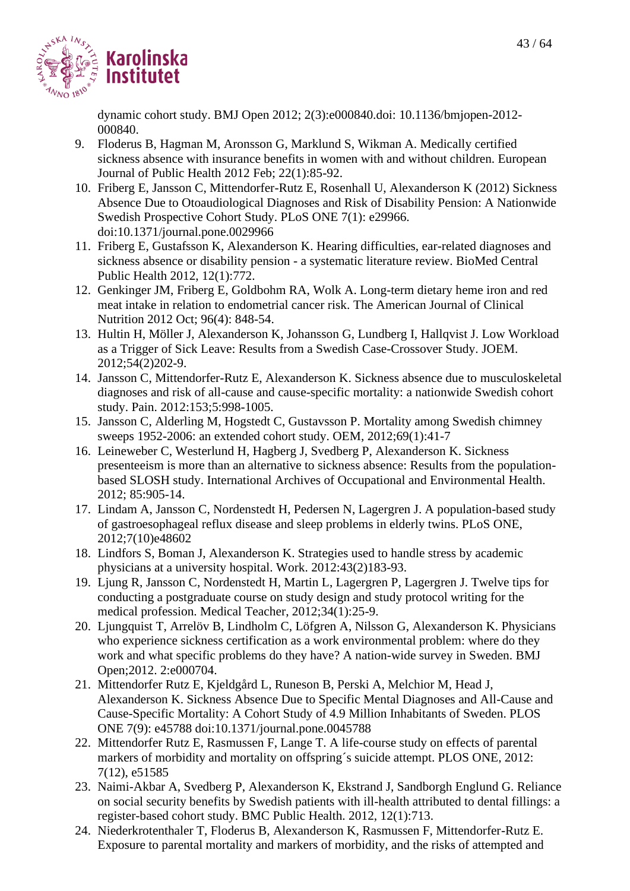

dynamic cohort study. BMJ Open 2012; 2(3):e000840.doi: 10.1136/bmjopen-2012- 000840.

- 9. Floderus B, Hagman M, Aronsson G, Marklund S, Wikman A. Medically certified sickness absence with insurance benefits in women with and without children. European Journal of Public Health 2012 Feb; 22(1):85-92.
- 10. Friberg E, Jansson C, Mittendorfer-Rutz E, Rosenhall U, Alexanderson K (2012) Sickness Absence Due to Otoaudiological Diagnoses and Risk of Disability Pension: A Nationwide Swedish Prospective Cohort Study. PLoS ONE 7(1): e29966. doi:10.1371/journal.pone.0029966
- 11. Friberg E, Gustafsson K, Alexanderson K. Hearing difficulties, ear-related diagnoses and sickness absence or disability pension - a systematic literature review. BioMed Central Public Health 2012, 12(1):772.
- 12. Genkinger JM, Friberg E, Goldbohm RA, Wolk A. Long-term dietary heme iron and red meat intake in relation to endometrial cancer risk. The American Journal of Clinical Nutrition 2012 Oct; 96(4): 848-54.
- 13. Hultin H, Möller J, Alexanderson K, Johansson G, Lundberg I, Hallqvist J. Low Workload as a Trigger of Sick Leave: Results from a Swedish Case-Crossover Study. JOEM. 2012;54(2)202-9.
- 14. Jansson C, Mittendorfer-Rutz E, Alexanderson K. Sickness absence due to musculoskeletal diagnoses and risk of all-cause and cause-specific mortality: a nationwide Swedish cohort study. Pain. 2012:153;5:998-1005.
- 15. Jansson C, Alderling M, Hogstedt C, Gustavsson P. Mortality among Swedish chimney sweeps 1952-2006: an extended cohort study. OEM, 2012;69(1):41-7
- 16. Leineweber C, Westerlund H, Hagberg J, Svedberg P, Alexanderson K. Sickness presenteeism is more than an alternative to sickness absence: Results from the populationbased SLOSH study. International Archives of Occupational and Environmental Health. 2012; 85:905-14.
- 17. Lindam A, Jansson C, Nordenstedt H, Pedersen N, Lagergren J. A population-based study of gastroesophageal reflux disease and sleep problems in elderly twins. PLoS ONE, 2012;7(10)e48602
- 18. Lindfors S, Boman J, Alexanderson K. Strategies used to handle stress by academic physicians at a university hospital. Work. 2012:43(2)183-93.
- 19. Ljung R, Jansson C, Nordenstedt H, Martin L, Lagergren P, Lagergren J. Twelve tips for conducting a postgraduate course on study design and study protocol writing for the medical profession. Medical Teacher, 2012;34(1):25-9.
- 20. Ljungquist T, Arrelöv B, Lindholm C, Löfgren A, Nilsson G, Alexanderson K. Physicians who experience sickness certification as a work environmental problem: where do they work and what specific problems do they have? A nation-wide survey in Sweden. BMJ Open;2012. 2:e000704.
- 21. Mittendorfer Rutz E, Kjeldgård L, Runeson B, Perski A, Melchior M, Head J, Alexanderson K. Sickness Absence Due to Specific Mental Diagnoses and All-Cause and Cause-Specific Mortality: A Cohort Study of 4.9 Million Inhabitants of Sweden. PLOS ONE 7(9): e45788 doi:10.1371/journal.pone.0045788
- 22. Mittendorfer Rutz E, Rasmussen F, Lange T. A life-course study on effects of parental markers of morbidity and mortality on offspring´s suicide attempt. PLOS ONE, 2012: 7(12), e51585
- 23. Naimi-Akbar A, Svedberg P, Alexanderson K, Ekstrand J, Sandborgh Englund G. Reliance on social security benefits by Swedish patients with ill-health attributed to dental fillings: a register-based cohort study. BMC Public Health. 2012, 12(1):713.
- 24. Niederkrotenthaler T, Floderus B, Alexanderson K, Rasmussen F, Mittendorfer-Rutz E. Exposure to parental mortality and markers of morbidity, and the risks of attempted and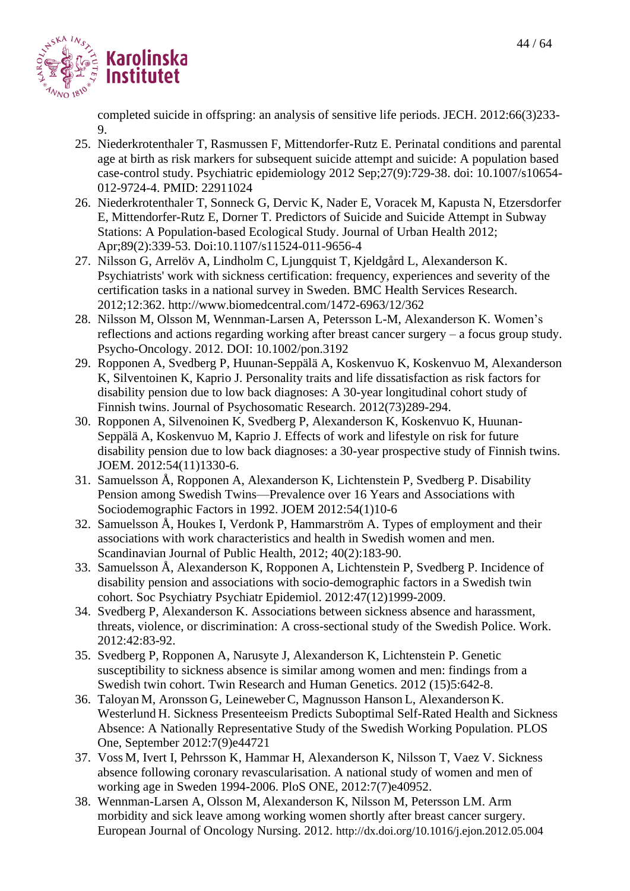

completed suicide in offspring: an analysis of sensitive life periods. JECH. 2012:66(3)233- 9.

- 25. Niederkrotenthaler T, Rasmussen F, Mittendorfer-Rutz E. Perinatal conditions and parental age at birth as risk markers for subsequent suicide attempt and suicide: A population based case-control study. Psychiatric epidemiology 2012 Sep;27(9):729-38. doi: 10.1007/s10654- 012-9724-4. PMID: 22911024
- 26. Niederkrotenthaler T, Sonneck G, Dervic K, Nader E, Voracek M, Kapusta N, Etzersdorfer E, Mittendorfer-Rutz E, Dorner T. Predictors of Suicide and Suicide Attempt in Subway Stations: A Population-based Ecological Study. Journal of Urban Health 2012; Apr;89(2):339-53. Doi:10.1107/s11524-011-9656-4
- 27. Nilsson G, Arrelöv A, Lindholm C, Ljungquist T, Kjeldgård L, Alexanderson K. Psychiatrists' work with sickness certification: frequency, experiences and severity of the certification tasks in a national survey in Sweden. BMC Health Services Research. 2012;12:362.<http://www.biomedcentral.com/1472-6963/12/362>
- 28. Nilsson M, Olsson M, Wennman-Larsen A, Petersson L-M, Alexanderson K. Women's reflections and actions regarding working after breast cancer surgery – a focus group study. Psycho-Oncology. 2012. DOI: 10.1002/pon.3192
- 29. Ropponen A, Svedberg P, Huunan-Seppälä A, Koskenvuo K, Koskenvuo M, Alexanderson K, Silventoinen K, Kaprio J. Personality traits and life dissatisfaction as risk factors for disability pension due to low back diagnoses: A 30-year longitudinal cohort study of Finnish twins. Journal of Psychosomatic Research. 2012(73)289-294.
- 30. Ropponen A, Silvenoinen K, Svedberg P, Alexanderson K, Koskenvuo K, Huunan-Seppälä A, Koskenvuo M, Kaprio J. Effects of work and lifestyle on risk for future disability pension due to low back diagnoses: a 30-year prospective study of Finnish twins. JOEM. 2012:54(11)1330-6.
- 31. Samuelsson Å, Ropponen A, Alexanderson K, Lichtenstein P, Svedberg P. Disability Pension among Swedish Twins—Prevalence over 16 Years and Associations with Sociodemographic Factors in 1992. JOEM 2012:54(1)10-6
- 32. Samuelsson Å, Houkes I, Verdonk P, Hammarström A. Types of employment and their associations with work characteristics and health in Swedish women and men. Scandinavian Journal of Public Health, 2012; 40(2):183-90.
- 33. Samuelsson Å, Alexanderson K, Ropponen A, Lichtenstein P, Svedberg P. Incidence of disability pension and associations with socio-demographic factors in a Swedish twin cohort. Soc Psychiatry Psychiatr Epidemiol. 2012:47(12)1999-2009.
- 34. Svedberg P, Alexanderson K. Associations between sickness absence and harassment, threats, violence, or discrimination: A cross-sectional study of the Swedish Police. Work. 2012:42:83-92.
- 35. Svedberg P, Ropponen A, Narusyte J, Alexanderson K, Lichtenstein P. Genetic susceptibility to sickness absence is similar among women and men: findings from a Swedish twin cohort. Twin Research and Human Genetics. 2012 (15)5:642-8.
- 36. Taloyan M, Aronsson G, Leineweber C, Magnusson Hanson L, Alexanderson K. Westerlund H. Sickness Presenteeism Predicts Suboptimal Self-Rated Health and Sickness Absence: A Nationally Representative Study of the Swedish Working Population. PLOS One, September 2012:7(9)e44721
- 37. Voss M, Ivert I, Pehrsson K, Hammar H, Alexanderson K, Nilsson T, Vaez V. Sickness absence following coronary revascularisation. A national study of women and men of working age in Sweden 1994-2006. PloS ONE, 2012:7(7)e40952.
- 38. Wennman-Larsen A, Olsson M, Alexanderson K, Nilsson M, Petersson LM. Arm morbidity and sick leave among working women shortly after breast cancer surgery. European Journal of Oncology Nursing. 2012. <http://dx.doi.org/10.1016/j.ejon.2012.05.004>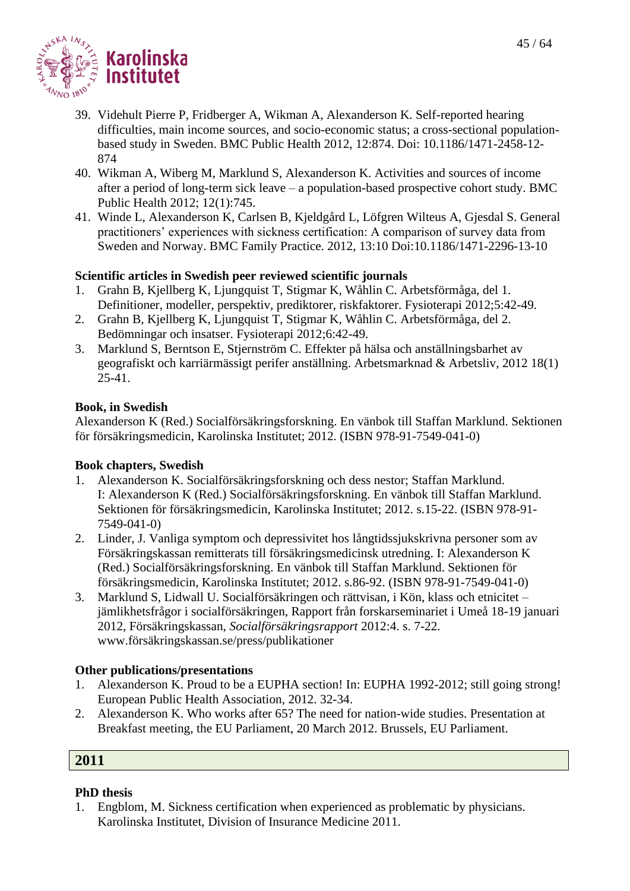

- 39. Videhult Pierre P, Fridberger A, Wikman A, Alexanderson K. Self-reported hearing difficulties, main income sources, and socio-economic status; a cross-sectional populationbased study in Sweden. BMC Public Health 2012, 12:874. Doi: 10.1186/1471-2458-12- 874
- 40. Wikman A, Wiberg M, Marklund S, Alexanderson K. Activities and sources of income after a period of long-term sick leave – a population-based prospective cohort study. BMC Public Health 2012; 12(1):745.
- 41. Winde L, Alexanderson K, Carlsen B, Kjeldgård L, Löfgren Wilteus A, Gjesdal S. General practitioners' experiences with sickness certification: A comparison of survey data from Sweden and Norway. BMC Family Practice. 2012, 13:10 Doi:10.1186/1471-2296-13-10

#### **Scientific articles in Swedish peer reviewed scientific journals**

- 1. Grahn B, Kjellberg K, Ljungquist T, Stigmar K, Wåhlin C. Arbetsförmåga, del 1. Definitioner, modeller, perspektiv, prediktorer, riskfaktorer. Fysioterapi 2012;5:42-49.
- 2. Grahn B, Kjellberg K, Ljungquist T, Stigmar K, Wåhlin C. Arbetsförmåga, del 2. Bedömningar och insatser. Fysioterapi 2012;6:42-49.
- 3. Marklund S, Berntson E, Stjernström C. Effekter på hälsa och anställningsbarhet av geografiskt och karriärmässigt perifer anställning. Arbetsmarknad & Arbetsliv, 2012 18(1) 25-41.

#### **Book, in Swedish**

Alexanderson K (Red.) Socialförsäkringsforskning. En vänbok till Staffan Marklund. Sektionen för försäkringsmedicin, Karolinska Institutet; 2012. (ISBN 978-91-7549-041-0)

#### **Book chapters, Swedish**

- 1. Alexanderson K. Socialförsäkringsforskning och dess nestor; Staffan Marklund. I: Alexanderson K (Red.) Socialförsäkringsforskning. En vänbok till Staffan Marklund. Sektionen för försäkringsmedicin, Karolinska Institutet; 2012. s.15-22. (ISBN 978-91- 7549-041-0)
- 2. Linder, J. Vanliga symptom och depressivitet hos långtidssjukskrivna personer som av Försäkringskassan remitterats till försäkringsmedicinsk utredning. I: Alexanderson K (Red.) Socialförsäkringsforskning. En vänbok till Staffan Marklund. Sektionen för försäkringsmedicin, Karolinska Institutet; 2012. s.86-92. (ISBN 978-91-7549-041-0)
- 3. Marklund S, Lidwall U. Socialförsäkringen och rättvisan, i Kön, klass och etnicitet jämlikhetsfrågor i socialförsäkringen, Rapport från forskarseminariet i Umeå 18-19 januari 2012, Försäkringskassan, *Socialförsäkringsrapport* 2012:4. s. 7-22. [www.försäkringskassan.se/press/publikationer](http://www.försäkringskassan.se/press/publikationer)

#### **Other publications/presentations**

- 1. Alexanderson K. Proud to be a EUPHA section! In: EUPHA 1992-2012; still going strong! European Public Health Association, 2012. 32-34.
- 2. Alexanderson K. Who works after 65? The need for nation-wide studies. Presentation at Breakfast meeting, the EU Parliament, 20 March 2012. Brussels, EU Parliament.

# **2011**

#### **PhD thesis**

1. Engblom, M. Sickness certification when experienced as problematic by physicians. Karolinska Institutet, Division of Insurance Medicine 2011.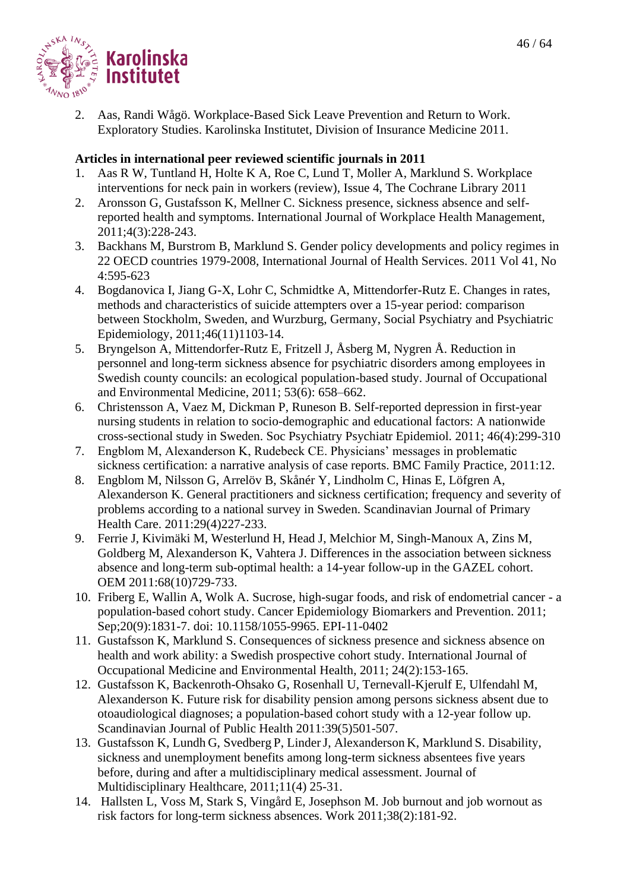2. Aas, Randi Wågö. Workplace-Based Sick Leave Prevention and Return to Work. Exploratory Studies. Karolinska Institutet, Division of Insurance Medicine 2011.

- 1. Aas R W, Tuntland H, Holte K A, Roe C, Lund T, Moller A, Marklund S. Workplace interventions for neck pain in workers (review), Issue 4, The Cochrane Library 2011
- 2. Aronsson G, Gustafsson K, Mellner C. Sickness presence, sickness absence and selfreported health and symptoms. International Journal of Workplace Health Management, 2011;4(3):228-243.
- 3. Backhans M, Burstrom B, Marklund S. Gender policy developments and policy regimes in 22 OECD countries 1979-2008, International Journal of Health Services. 2011 Vol 41, No 4:595-623
- 4. Bogdanovica I, Jiang G-X, Lohr C, Schmidtke A, Mittendorfer-Rutz E. Changes in rates, methods and characteristics of suicide attempters over a 15-year period: comparison between Stockholm, Sweden, and Wurzburg, Germany, Social Psychiatry and Psychiatric Epidemiology, 2011;46(11)1103-14.
- 5. Bryngelson A, Mittendorfer-Rutz E, Fritzell J, Åsberg M, Nygren Å. Reduction in personnel and long-term sickness absence for psychiatric disorders among employees in Swedish county councils: an ecological population-based study. Journal of Occupational and Environmental Medicine, 2011; 53(6): 658–662.
- 6. Christensson A, Vaez M, Dickman P, Runeson B. Self-reported depression in first-year nursing students in relation to socio-demographic and educational factors: A nationwide cross-sectional study in Sweden. [Soc Psychiatry Psychiatr Epidemiol.](javascript:AL_get(this,%20) 2011; 46(4):299-310
- 7. Engblom M, Alexanderson K, Rudebeck CE. Physicians' messages in problematic sickness certification: a narrative analysis of case reports. BMC Family Practice, 2011:12.
- 8. Engblom M, Nilsson G, Arrelöv B, Skånér Y, Lindholm C, Hinas E, Löfgren A, Alexanderson K. General practitioners and sickness certification; frequency and severity of problems according to a national survey in Sweden. Scandinavian Journal of Primary Health Care. 2011:29(4)227-233.
- 9. Ferrie J, Kivimäki M, Westerlund H, Head J, Melchior M, Singh-Manoux A, Zins M, Goldberg M, Alexanderson K, Vahtera J. Differences in the association between sickness absence and long-term sub-optimal health: a 14-year follow-up in the GAZEL cohort. OEM 2011:68(10)729-733.
- 10. Friberg E, Wallin A, Wolk A. Sucrose, high-sugar foods, and risk of endometrial cancer a population-based cohort study. Cancer Epidemiology Biomarkers and Prevention. 2011; Sep;20(9):1831-7. doi: 10.1158/1055-9965. EPI-11-0402
- 11. Gustafsson K, Marklund S. Consequences of sickness presence and sickness absence on health and work ability: a Swedish prospective cohort study. International Journal of Occupational Medicine and Environmental Health, 2011; 24(2):153-165.
- 12. Gustafsson K, Backenroth-Ohsako G, Rosenhall U, Ternevall-Kjerulf E, Ulfendahl M, Alexanderson K. Future risk for disability pension among persons sickness absent due to otoaudiological diagnoses; a population-based cohort study with a 12-year follow up. Scandinavian Journal of Public Health 2011:39(5)501-507.
- 13. Gustafsson K, Lundh G, Svedberg P, LinderJ, Alexanderson K, Marklund S. Disability, sickness and unemployment benefits among long-term sickness absentees five years before, during and after a multidisciplinary medical assessment. Journal of Multidisciplinary Healthcare, 2011;11(4) 25-31.
- 14. Hallsten L, Voss M, Stark S, Vingård E, Josephson M. Job burnout and job wornout as risk factors for long-term sickness absences. Work 2011;38(2):181-92.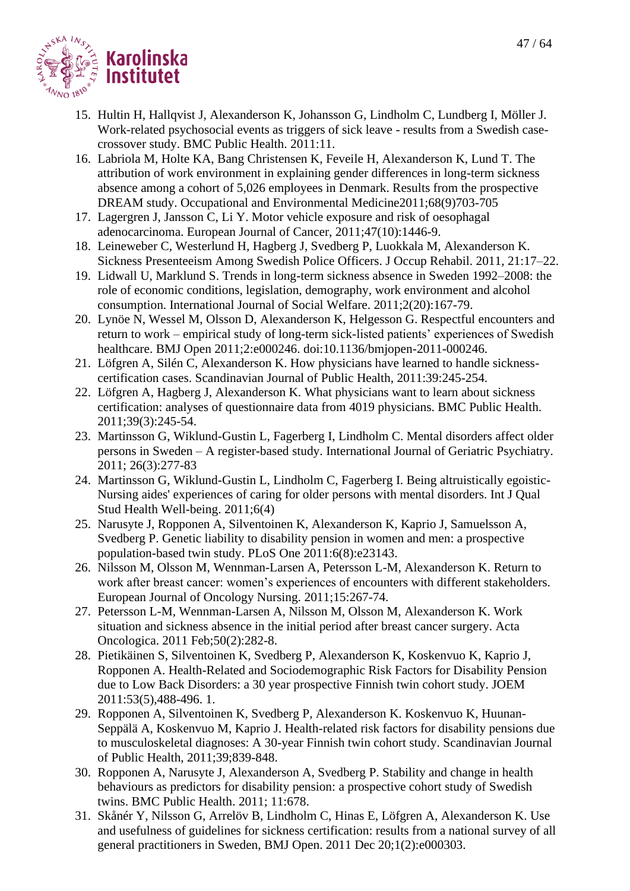

- 15. Hultin H, Hallqvist J, Alexanderson K, Johansson G, Lindholm C, Lundberg I, Möller J. Work-related psychosocial events as triggers of sick leave - results from a Swedish casecrossover study. BMC Public Health. 2011:11.
- 16. Labriola M, Holte KA, Bang Christensen K, Feveile H, Alexanderson K, Lund T. The attribution of work environment in explaining gender differences in long-term sickness absence among a cohort of 5,026 employees in Denmark. Results from the prospective DREAM study. Occupational and Environmental Medicine2011;68(9)703-705
- 17. Lagergren J, Jansson C, Li Y. Motor vehicle exposure and risk of oesophagal adenocarcinoma. European Journal of Cancer, 2011;47(10):1446-9.
- 18. Leineweber C, Westerlund H, Hagberg J, Svedberg P, Luokkala M, Alexanderson K. Sickness Presenteeism Among Swedish Police Officers. J Occup Rehabil. 2011, 21:17–22.
- 19. Lidwall U, Marklund S. Trends in long-term sickness absence in Sweden 1992–2008: the role of economic conditions, legislation, demography, work environment and alcohol consumption. International Journal of Social Welfare. 2011;2(20):167-79.
- 20. Lynöe N, Wessel M, Olsson D, Alexanderson K, Helgesson G. Respectful encounters and return to work – empirical study of long-term sick-listed patients' experiences of Swedish healthcare. BMJ Open 2011;2:e000246. doi:10.1136/bmjopen-2011-000246.
- 21. Löfgren A, Silén C, Alexanderson K. How physicians have learned to handle sicknesscertification cases. Scandinavian Journal of Public Health, 2011:39:245-254.
- 22. Löfgren A, Hagberg J, Alexanderson K. What physicians want to learn about sickness certification: analyses of questionnaire data from 4019 physicians. BMC Public Health. 2011;39(3):245-54.
- 23. Martinsson G, Wiklund-Gustin L, Fagerberg I, Lindholm C. Mental disorders affect older persons in Sweden – A register-based study. International Journal of Geriatric Psychiatry. 2011; 26(3):277-83
- 24. Martinsson G, Wiklund-Gustin L, Lindholm C, Fagerberg I. Being altruistically egoistic-Nursing aides' experiences of caring for older persons with mental disorders. Int J Qual Stud Health Well-being. 2011;6(4)
- 25. Narusyte J, Ropponen A, Silventoinen K, Alexanderson K, Kaprio J, Samuelsson A, Svedberg P. Genetic liability to disability pension in women and men: a prospective population-based twin study. PLoS One 2011:6(8):e23143.
- 26. Nilsson M, Olsson M, Wennman-Larsen A, Petersson L-M, Alexanderson K. Return to work after breast cancer: women's experiences of encounters with different stakeholders. European Journal of Oncology Nursing. 2011;15:267-74.
- 27. Petersson L-M, Wennman-Larsen A, Nilsson M, Olsson M, Alexanderson K. Work situation and sickness absence in the initial period after breast cancer surgery. Acta Oncologica. 2011 Feb;50(2):282-8.
- 28. Pietikäinen S, Silventoinen K, Svedberg P, Alexanderson K, Koskenvuo K, Kaprio J, Ropponen A. Health-Related and Sociodemographic Risk Factors for Disability Pension due to Low Back Disorders: a 30 year prospective Finnish twin cohort study. JOEM 2011:53(5),488-496. 1.
- 29. Ropponen A, Silventoinen K, Svedberg P, Alexanderson K. Koskenvuo K, Huunan-Seppälä A, Koskenvuo M, Kaprio J. Health-related risk factors for disability pensions due to musculoskeletal diagnoses: A 30-year Finnish twin cohort study. Scandinavian Journal of Public Health, 2011;39;839-848.
- 30. Ropponen A, Narusyte J, Alexanderson A, Svedberg P. Stability and change in health behaviours as predictors for disability pension: a prospective cohort study of Swedish twins. BMC Public Health. 2011; 11:678.
- 31. Skånér Y, Nilsson G, Arrelöv B, Lindholm C, Hinas E, Löfgren A, Alexanderson K. Use and usefulness of guidelines for sickness certification: results from a national survey of all general practitioners in Sweden, BMJ Open. 2011 Dec 20;1(2):e000303.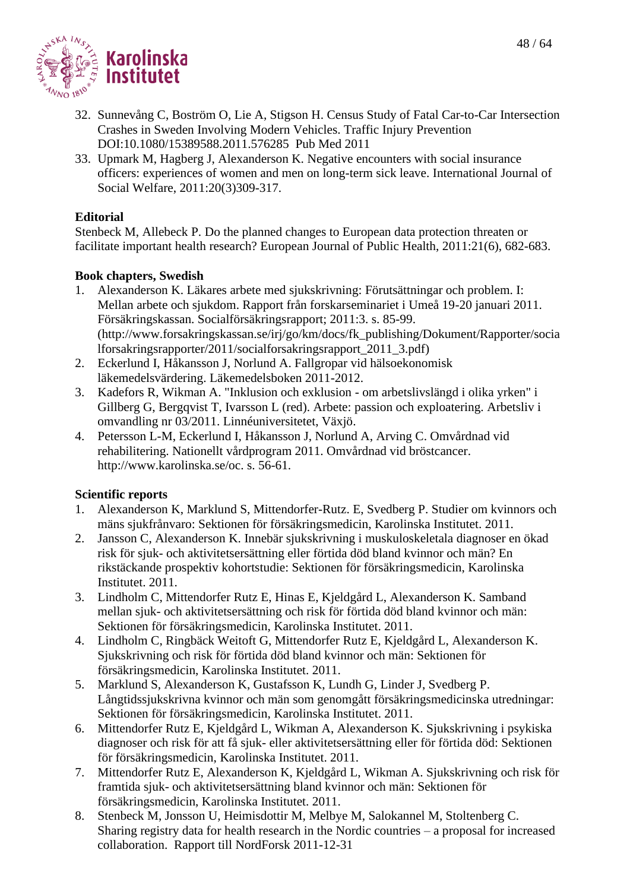

- 32. Sunnevång C, Boström O, Lie A, Stigson H. Census Study of Fatal Car-to-Car Intersection Crashes in Sweden Involving Modern Vehicles. Traffic Injury Prevention DOI:10.1080/15389588.2011.576285 Pub Med 2011
- 33. Upmark M, Hagberg J, Alexanderson K. Negative encounters with social insurance officers: experiences of women and men on long-term sick leave. International Journal of Social Welfare, 2011:20(3)309-317.

#### **Editorial**

Stenbeck M, Allebeck P. Do the planned changes to European data protection threaten or facilitate important health research? European Journal of Public Health, 2011:21(6), 682-683.

#### **Book chapters, Swedish**

- 1. Alexanderson K. Läkares arbete med sjukskrivning: Förutsättningar och problem. I: Mellan arbete och sjukdom. Rapport från forskarseminariet i Umeå 19-20 januari 2011. Försäkringskassan. Socialförsäkringsrapport; 2011:3. s. 85-99. [\(http://www.forsakringskassan.se/irj/go/km/docs/fk\\_publishing/Dokument/Rapporter/socia](http://www.forsakringskassan.se/irj/go/km/docs/fk_publishing/Dokument/Rapporter/socialforsakringsrapporter/2011/socialforsakringsrapport_2011_3.pdf) [lforsakringsrapporter/2011/socialforsakringsrapport\\_2011\\_3.pdf\)](http://www.forsakringskassan.se/irj/go/km/docs/fk_publishing/Dokument/Rapporter/socialforsakringsrapporter/2011/socialforsakringsrapport_2011_3.pdf)
- 2. Eckerlund I, Håkansson J, Norlund A. Fallgropar vid hälsoekonomisk läkemedelsvärdering. Läkemedelsboken 2011-2012.
- 3. Kadefors R, Wikman A. "Inklusion och exklusion om arbetslivslängd i olika yrken" i Gillberg G, Bergqvist T, Ivarsson L (red). Arbete: passion och exploatering. Arbetsliv i omvandling nr 03/2011. Linnéuniversitetet, Växjö.
- 4. Petersson L-M, Eckerlund I, Håkansson J, Norlund A, Arving C. Omvårdnad vid rehabilitering. Nationellt vårdprogram 2011. Omvårdnad vid bröstcancer. [http://www.karolinska.se/oc.](http://www.karolinska.se/oc) s. 56-61.

# **Scientific reports**

- 1. Alexanderson K, Marklund S, Mittendorfer-Rutz. E, Svedberg P. Studier om kvinnors och mäns sjukfrånvaro: Sektionen för försäkringsmedicin, Karolinska Institutet. 2011.
- 2. Jansson C, Alexanderson K. Innebär sjukskrivning i muskuloskeletala diagnoser en ökad risk för sjuk- och aktivitetsersättning eller förtida död bland kvinnor och män? En rikstäckande prospektiv kohortstudie: Sektionen för försäkringsmedicin, Karolinska Institutet. 2011.
- 3. Lindholm C, Mittendorfer Rutz E, Hinas E, Kjeldgård L, Alexanderson K. Samband mellan sjuk- och aktivitetsersättning och risk för förtida död bland kvinnor och män: Sektionen för försäkringsmedicin, Karolinska Institutet. 2011.
- 4. Lindholm C, Ringbäck Weitoft G, Mittendorfer Rutz E, Kjeldgård L, Alexanderson K. Sjukskrivning och risk för förtida död bland kvinnor och män: Sektionen för försäkringsmedicin, Karolinska Institutet. 2011.
- 5. Marklund S, Alexanderson K, Gustafsson K, Lundh G, Linder J, Svedberg P. Långtidssjukskrivna kvinnor och män som genomgått försäkringsmedicinska utredningar: Sektionen för försäkringsmedicin, Karolinska Institutet. 2011.
- 6. Mittendorfer Rutz E, Kjeldgård L, Wikman A, Alexanderson K. Sjukskrivning i psykiska diagnoser och risk för att få sjuk- eller aktivitetsersättning eller för förtida död: Sektionen för försäkringsmedicin, Karolinska Institutet. 2011.
- 7. Mittendorfer Rutz E, Alexanderson K, Kjeldgård L, Wikman A. Sjukskrivning och risk för framtida sjuk- och aktivitetsersättning bland kvinnor och män: Sektionen för försäkringsmedicin, Karolinska Institutet. 2011.
- 8. Stenbeck M, Jonsson U, Heimisdottir M, Melbye M, Salokannel M, Stoltenberg C. Sharing registry data for health research in the Nordic countries – a proposal for increased collaboration. Rapport till NordForsk 2011-12-31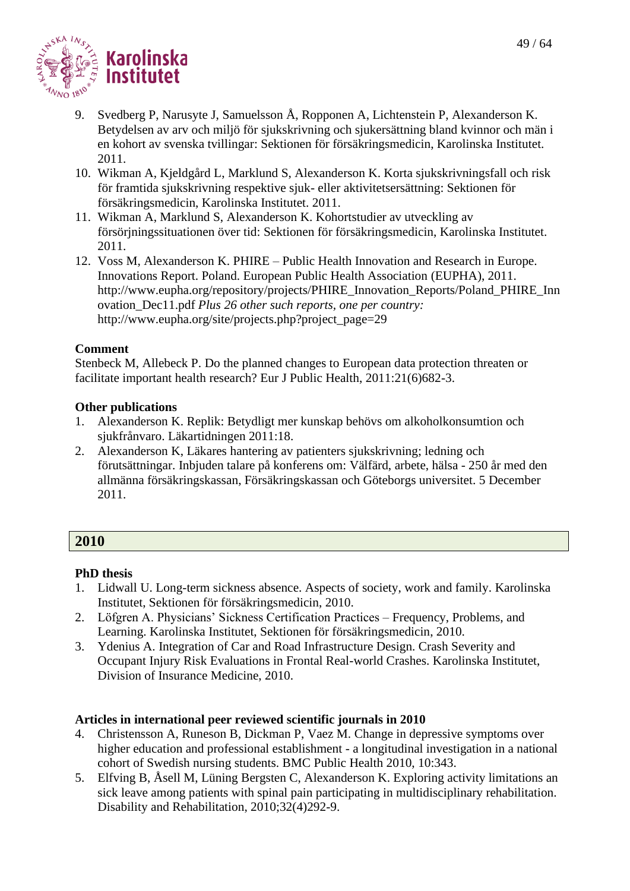

- 9. Svedberg P, Narusyte J, Samuelsson Å, Ropponen A, Lichtenstein P, Alexanderson K. Betydelsen av arv och miljö för sjukskrivning och sjukersättning bland kvinnor och män i en kohort av svenska tvillingar: Sektionen för försäkringsmedicin, Karolinska Institutet. 2011.
- 10. Wikman A, Kjeldgård L, Marklund S, Alexanderson K. Korta sjukskrivningsfall och risk för framtida sjukskrivning respektive sjuk- eller aktivitetsersättning: Sektionen för försäkringsmedicin, Karolinska Institutet. 2011.
- 11. Wikman A, Marklund S, Alexanderson K. Kohortstudier av utveckling av försörjningssituationen över tid: Sektionen för försäkringsmedicin, Karolinska Institutet. 2011.
- 12. Voss M, Alexanderson K. PHIRE Public Health Innovation and Research in Europe. Innovations Report. Poland. European Public Health Association (EUPHA), 2011. [http://www.eupha.org/repository/projects/PHIRE\\_Innovation\\_Reports/Poland\\_PHIRE\\_Inn](http://www.eupha.org/repository/projects/PHIRE_Innovation_Reports/Poland_PHIRE_Innovation_Dec11.pdf) [ovation\\_Dec11.pdf](http://www.eupha.org/repository/projects/PHIRE_Innovation_Reports/Poland_PHIRE_Innovation_Dec11.pdf) *Plus 26 other such reports, one per country:* http://www.eupha.org/site/projects.php?project\_page=29

# **Comment**

Stenbeck M, Allebeck P. Do the planned changes to European data protection threaten or facilitate important health research? Eur J Public Health, 2011:21(6)682-3.

# **Other publications**

- 1. Alexanderson K. Replik: Betydligt mer kunskap behövs om alkoholkonsumtion och sjukfrånvaro. Läkartidningen 2011:18.
- 2. Alexanderson K, Läkares hantering av patienters sjukskrivning; ledning och förutsättningar. Inbjuden talare på konferens om: Välfärd, arbete, hälsa - 250 år med den allmänna försäkringskassan, Försäkringskassan och Göteborgs universitet. 5 December 2011.

# **2010**

# **PhD thesis**

- 1. Lidwall U. Long-term sickness absence. Aspects of society, work and family. Karolinska Institutet, Sektionen för försäkringsmedicin, 2010.
- 2. Löfgren A. Physicians' Sickness Certification Practices Frequency, Problems, and Learning. Karolinska Institutet, Sektionen för försäkringsmedicin, 2010.
- 3. Ydenius A. Integration of Car and Road Infrastructure Design. Crash Severity and Occupant Injury Risk Evaluations in Frontal Real-world Crashes. Karolinska Institutet, Division of Insurance Medicine, 2010.

- 4. Christensson A, Runeson B, Dickman P, Vaez M. Change in depressive symptoms over higher education and professional establishment - a longitudinal investigation in a national cohort of Swedish nursing students. BMC Public Health 2010, 10:343.
- 5. Elfving B, Åsell M, Lüning Bergsten C, Alexanderson K. Exploring activity limitations an sick leave among patients with spinal pain participating in multidisciplinary rehabilitation. Disability and Rehabilitation, 2010;32(4)292-9.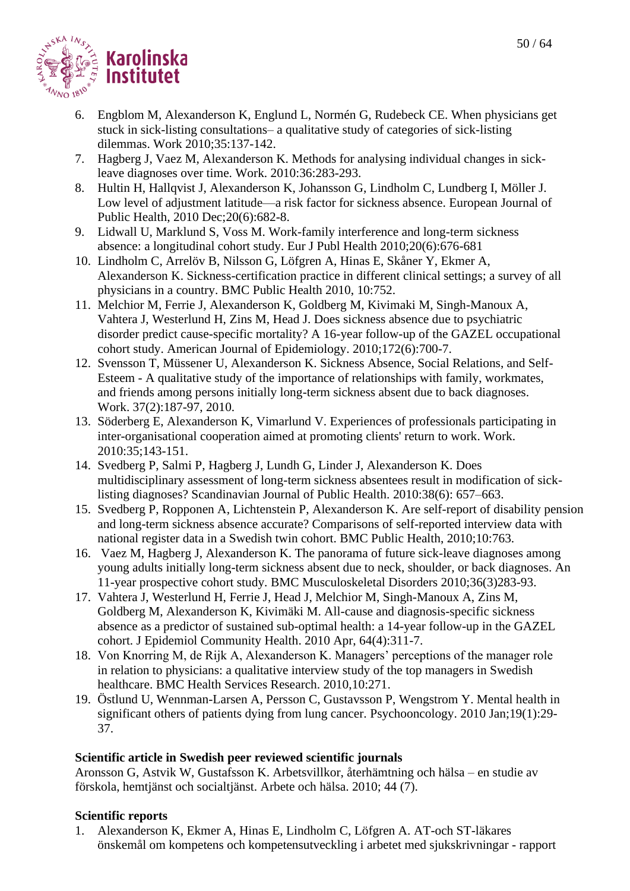

- 6. Engblom M, Alexanderson K, Englund L, Normén G, Rudebeck CE. When physicians get stuck in sick-listing consultations– a qualitative study of categories of sick-listing dilemmas. Work 2010;35:137-142.
- 7. Hagberg J, Vaez M, Alexanderson K. Methods for analysing individual changes in sickleave diagnoses over time. Work. 2010:36:283-293.
- 8. Hultin H, Hallqvist J, Alexanderson K, Johansson G, Lindholm C, Lundberg I, Möller J. Low level of adjustment latitude—a risk factor for sickness absence. European Journal of Public Health, 2010 Dec;20(6):682-8.
- 9. Lidwall U, Marklund S, Voss M. Work-family interference and long-term sickness absence: a longitudinal cohort study. Eur J Publ Health 2010;20(6):676-681
- 10. Lindholm C, Arrelöv B, Nilsson G, Löfgren A, Hinas E, Skåner Y, Ekmer A, Alexanderson K. Sickness-certification practice in different clinical settings; a survey of all physicians in a country. BMC Public Health 2010, 10:752.
- 11. Melchior M, Ferrie J, Alexanderson K, Goldberg M, Kivimaki M, Singh-Manoux A, Vahtera J, Westerlund H, Zins M, Head J. Does sickness absence due to psychiatric disorder predict cause-specific mortality? A 16-year follow-up of the GAZEL occupational cohort study. American Journal of Epidemiology. 2010;172(6):700-7.
- 12. Svensson T, Müssener U, Alexanderson K. Sickness Absence, Social Relations, and Self-Esteem - A qualitative study of the importance of relationships with family, workmates, and friends among persons initially long-term sickness absent due to back diagnoses. Work. 37(2):187-97, 2010.
- 13. Söderberg E, Alexanderson K, Vimarlund V. Experiences of professionals participating in inter-organisational cooperation aimed at promoting clients' return to work. Work. 2010:35;143-151.
- 14. Svedberg P, Salmi P, Hagberg J, Lundh G, Linder J, Alexanderson K. Does multidisciplinary assessment of long-term sickness absentees result in modification of sicklisting diagnoses? Scandinavian Journal of Public Health. 2010:38(6): 657–663.
- 15. Svedberg P, Ropponen A, Lichtenstein P, Alexanderson K. Are self-report of disability pension and long-term sickness absence accurate? Comparisons of self-reported interview data with national register data in a Swedish twin cohort. BMC Public Health, 2010;10:763.
- 16. Vaez M, Hagberg J, Alexanderson K. The panorama of future sick-leave diagnoses among young adults initially long-term sickness absent due to neck, shoulder, or back diagnoses. An 11-year prospective cohort study. BMC Musculoskeletal Disorders 2010;36(3)283-93.
- 17. Vahtera J, Westerlund H, Ferrie J, Head J, Melchior M, Singh-Manoux A, Zins M, Goldberg M, Alexanderson K, Kivimäki M. All-cause and diagnosis-specific sickness absence as a predictor of sustained sub-optimal health: a 14-year follow-up in the GAZEL cohort. J Epidemiol Community Health. 2010 Apr, 64(4):311-7.
- 18. Von Knorring M, de Rijk A, Alexanderson K. Managers' perceptions of the manager role in relation to physicians: a qualitative interview study of the top managers in Swedish healthcare. BMC Health Services Research. 2010,10:271.
- 19. Östlund U, Wennman-Larsen A, Persson C, Gustavsson P, Wengstrom Y. Mental health in significant others of patients dying from lung cancer. Psychooncology. 2010 Jan;19(1):29- 37.

# **Scientific article in Swedish peer reviewed scientific journals**

Aronsson G, Astvik W, Gustafsson K. Arbetsvillkor, återhämtning och hälsa – en studie av förskola, hemtjänst och socialtjänst. Arbete och hälsa. 2010; 44 (7).

# **Scientific reports**

1. Alexanderson K, Ekmer A, Hinas E, Lindholm C, Löfgren A. AT-och ST-läkares önskemål om kompetens och kompetensutveckling i arbetet med sjukskrivningar - rapport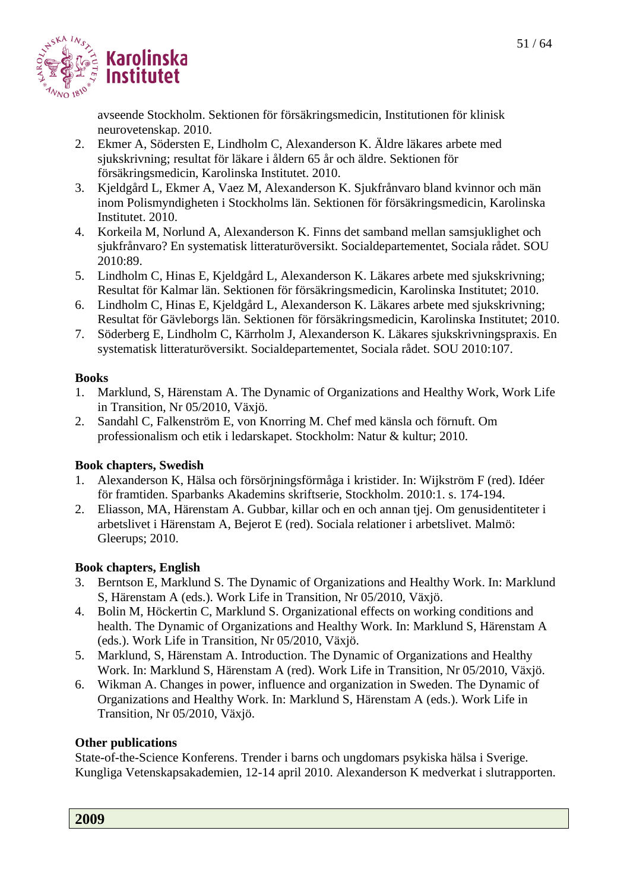

avseende Stockholm. Sektionen för försäkringsmedicin, Institutionen för klinisk neurovetenskap. 2010.

- 2. Ekmer A, Södersten E, Lindholm C, Alexanderson K. Äldre läkares arbete med sjukskrivning; resultat för läkare i åldern 65 år och äldre. Sektionen för försäkringsmedicin, Karolinska Institutet. 2010.
- 3. Kjeldgård L, Ekmer A, Vaez M, Alexanderson K. Sjukfrånvaro bland kvinnor och män inom Polismyndigheten i Stockholms län. Sektionen för försäkringsmedicin, Karolinska Institutet. 2010.
- 4. Korkeila M, Norlund A, Alexanderson K. Finns det samband mellan samsjuklighet och sjukfrånvaro? En systematisk litteraturöversikt. Socialdepartementet, Sociala rådet. SOU 2010:89.
- 5. Lindholm C, Hinas E, Kjeldgård L, Alexanderson K. Läkares arbete med sjukskrivning; Resultat för Kalmar län. Sektionen för försäkringsmedicin, Karolinska Institutet; 2010.
- 6. Lindholm C, Hinas E, Kjeldgård L, Alexanderson K. Läkares arbete med sjukskrivning; Resultat för Gävleborgs län. Sektionen för försäkringsmedicin, Karolinska Institutet; 2010.
- 7. Söderberg E, Lindholm C, Kärrholm J, Alexanderson K. Läkares sjukskrivningspraxis. En systematisk litteraturöversikt. Socialdepartementet, Sociala rådet. SOU 2010:107.

# **Books**

- 1. Marklund, S, Härenstam A. The Dynamic of Organizations and Healthy Work, Work Life in Transition, Nr 05/2010, Växjö.
- 2. Sandahl C, Falkenström E, von Knorring M. Chef med känsla och förnuft. Om professionalism och etik i ledarskapet. Stockholm: Natur & kultur; 2010.

# **Book chapters, Swedish**

- 1. Alexanderson K, Hälsa och försörjningsförmåga i kristider. In: Wijkström F (red). Idéer för framtiden. Sparbanks Akademins skriftserie, Stockholm. 2010:1. s. 174-194.
- 2. Eliasson, MA, Härenstam A. Gubbar, killar och en och annan tjej. Om genusidentiteter i arbetslivet i Härenstam A, Bejerot E (red). Sociala relationer i arbetslivet. Malmö: Gleerups; 2010.

# **Book chapters, English**

- 3. Berntson E, Marklund S. The Dynamic of Organizations and Healthy Work. In: Marklund S, Härenstam A (eds.). Work Life in Transition, Nr 05/2010, Växjö.
- 4. Bolin M, Höckertin C, Marklund S. Organizational effects on working conditions and health. The Dynamic of Organizations and Healthy Work. In: Marklund S, Härenstam A (eds.). Work Life in Transition, Nr 05/2010, Växjö.
- 5. Marklund, S, Härenstam A. Introduction. The Dynamic of Organizations and Healthy Work. In: Marklund S, Härenstam A (red). Work Life in Transition, Nr 05/2010, Växjö.
- 6. Wikman A. Changes in power, influence and organization in Sweden. The Dynamic of Organizations and Healthy Work. In: Marklund S, Härenstam A (eds.). Work Life in Transition, Nr 05/2010, Växjö.

#### **Other publications**

State-of-the-Science Konferens. Trender i barns och ungdomars psykiska hälsa i Sverige. Kungliga Vetenskapsakademien, 12-14 april 2010. Alexanderson K medverkat i slutrapporten.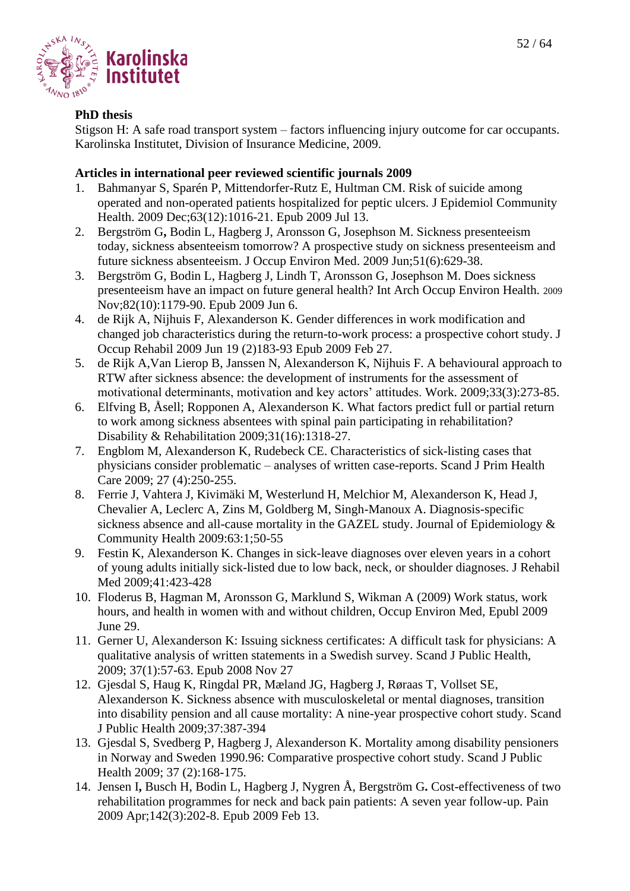



# **PhD thesis**

Stigson H: A safe road transport system – factors influencing injury outcome for car occupants. Karolinska Institutet, Division of Insurance Medicine, 2009.

- 1. Bahmanyar S, Sparén P, Mittendorfer-Rutz E, Hultman CM. Risk of suicide among operated and non-operated patients hospitalized for peptic ulcers. J Epidemiol Community Health. 2009 Dec;63(12):1016-21. Epub 2009 Jul 13.
- 2. Bergström G**,** Bodin L, Hagberg J, Aronsson G, Josephson M. Sickness presenteeism today, sickness absenteeism tomorrow? A prospective study on sickness presenteeism and future sickness absenteeism. J Occup Environ Med. 2009 Jun;51(6):629-38.
- 3. Bergström G, Bodin L, Hagberg J, Lindh T, Aronsson G, Josephson M. Does sickness presenteeism have an impact on future general health? Int Arch Occup Environ Health. 2009 Nov;82(10):1179-90. Epub 2009 Jun 6.
- 4. de Rijk A, Nijhuis F, Alexanderson K. Gender differences in work modification and changed job characteristics during the return-to-work process: a prospective cohort study. J Occup Rehabil 2009 Jun 19 (2)183-93 Epub 2009 Feb 27.
- 5. de Rijk A,Van Lierop B, Janssen N, Alexanderson K, Nijhuis F. A behavioural approach to RTW after sickness absence: the development of instruments for the assessment of motivational determinants, motivation and key actors' attitudes. [Work.](javascript:AL_get(this,%20) 2009;33(3):273-85.
- 6. Elfving B, Åsell; Ropponen A, Alexanderson K. What factors predict full or partial return to work among sickness absentees with spinal pain participating in rehabilitation? Disability & Rehabilitation 2009;31(16):1318-27.
- 7. Engblom M, Alexanderson K, Rudebeck CE. Characteristics of sick-listing cases that physicians consider problematic – analyses of written case-reports. Scand J Prim Health Care 2009; 27 (4):250-255.
- 8. Ferrie J, Vahtera J, Kivimäki M, Westerlund H, Melchior M, Alexanderson K, Head J, Chevalier A, Leclerc A, Zins M, Goldberg M, Singh-Manoux A. Diagnosis-specific sickness absence and all-cause mortality in the GAZEL study. Journal of Epidemiology & Community Health 2009:63:1;50-55
- 9. Festin K, Alexanderson K. Changes in sick-leave diagnoses over eleven years in a cohort of young adults initially sick-listed due to low back, neck, or shoulder diagnoses. J Rehabil Med 2009;41:423-428
- 10. Floderus B, Hagman M, Aronsson G, Marklund S, Wikman A (2009) Work status, work hours, and health in women with and without children, Occup Environ Med, Epubl 2009 June 29.
- 11. Gerner U, Alexanderson K: Issuing sickness certificates: A difficult task for physicians: A qualitative analysis of written statements in a Swedish survey. Scand J Public Health, 2009; 37(1):57-63. Epub 2008 Nov 27
- 12. Gjesdal S, Haug K, Ringdal PR, Mæland JG, Hagberg J, Røraas T, Vollset SE, Alexanderson K. Sickness absence with musculoskeletal or mental diagnoses, transition into disability pension and all cause mortality: A nine-year prospective cohort study. Scand J Public Health 2009;37:387-394
- 13. Gjesdal S, Svedberg P, Hagberg J, Alexanderson K. Mortality among disability pensioners in Norway and Sweden 1990.96: Comparative prospective cohort study. Scand J Public Health 2009; 37 (2):168-175.
- 14. Jensen I**,** Busch H, Bodin L, Hagberg J, Nygren Å, Bergström G**.** Cost-effectiveness of two rehabilitation programmes for neck and back pain patients: A seven year follow-up. Pain 2009 Apr;142(3):202-8. Epub 2009 Feb 13.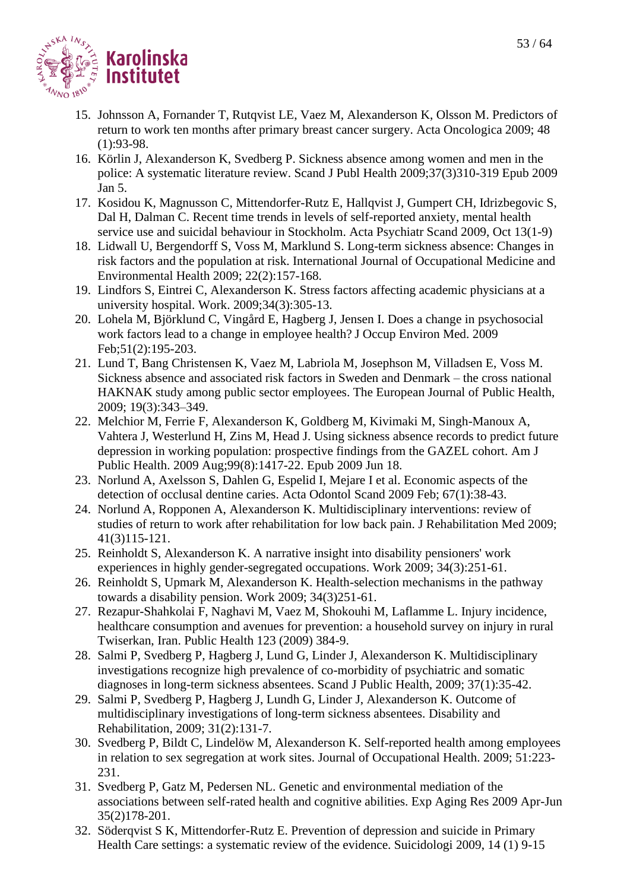

- 15. Johnsson A, Fornander T, Rutqvist LE, Vaez M, Alexanderson K, Olsson M. Predictors of return to work ten months after primary breast cancer surgery. Acta Oncologica 2009; 48 (1):93-98.
- 16. Körlin J, Alexanderson K, Svedberg P. Sickness absence among women and men in the police: A systematic literature review. Scand J Publ Health 2009;37(3)310-319 Epub 2009 Jan 5.
- 17. Kosidou K, Magnusson C, Mittendorfer-Rutz E, Hallqvist J, Gumpert CH, Idrizbegovic S, Dal H, Dalman C. Recent time trends in levels of self-reported anxiety, mental health service use and suicidal behaviour in Stockholm. Acta Psychiatr Scand 2009, Oct 13(1-9)
- 18. Lidwall U, Bergendorff S, Voss M, Marklund S. Long-term sickness absence: Changes in risk factors and the population at risk. International Journal of Occupational Medicine and Environmental Health 2009; 22(2):157-168.
- 19. Lindfors S, Eintrei C, Alexanderson K. Stress factors affecting academic physicians at a university hospital. [Work.](javascript:AL_get(this,%20) 2009;34(3):305-13.
- 20. Lohela M, Björklund C, Vingård E, Hagberg J, Jensen I. Does a change in psychosocial work factors lead to a change in employee health? J Occup Environ Med. 2009 Feb;51(2):195-203.
- 21. Lund T, Bang Christensen K, Vaez M, Labriola M, Josephson M, Villadsen E, Voss M. Sickness absence and associated risk factors in Sweden and Denmark – the cross national HAKNAK study among public sector employees. The European Journal of Public Health, 2009; 19(3):343–349.
- 22. Melchior M, Ferrie F, Alexanderson K, Goldberg M, Kivimaki M, Singh-Manoux A, Vahtera J, Westerlund H, Zins M, Head J. Using sickness absence records to predict future depression in working population: prospective findings from the GAZEL cohort. Am J Public Health. 2009 Aug;99(8):1417-22. Epub 2009 Jun 18.
- 23. Norlund A, Axelsson S, Dahlen G, Espelid I, Mejare I et al. Economic aspects of the detection of occlusal dentine caries. Acta Odontol Scand 2009 Feb; 67(1):38-43.
- 24. Norlund A, Ropponen A, Alexanderson K. Multidisciplinary interventions: review of studies of return to work after rehabilitation for low back pain. J Rehabilitation Med 2009; 41(3)115-121.
- 25. Reinholdt S, Alexanderson K. A narrative insight into disability pensioners' work experiences in highly gender-segregated occupations. Work 2009; 34(3):251-61.
- 26. Reinholdt S, Upmark M, Alexanderson K. Health-selection mechanisms in the pathway towards a disability pension. Work 2009; 34(3)251-61.
- 27. Rezapur-Shahkolai F, Naghavi M, Vaez M, Shokouhi M, Laflamme L. Injury incidence, healthcare consumption and avenues for prevention: a household survey on injury in rural Twiserkan, Iran. Public Health 123 (2009) 384-9.
- 28. Salmi P, Svedberg P, Hagberg J, Lund G, Linder J, Alexanderson K. Multidisciplinary investigations recognize high prevalence of co-morbidity of psychiatric and somatic diagnoses in long-term sickness absentees. Scand J Public Health, 2009; 37(1):35-42.
- 29. Salmi P, Svedberg P, Hagberg J, Lundh G, Linder J, Alexanderson K. Outcome of multidisciplinary investigations of long-term sickness absentees. Disability and Rehabilitation, 2009; 31(2):131-7.
- 30. Svedberg P, Bildt C, Lindelöw M, Alexanderson K. Self-reported health among employees in relation to sex segregation at work sites. Journal of Occupational Health. 2009; 51:223- 231.
- 31. Svedberg P, Gatz M, Pedersen NL. Genetic and environmental mediation of the associations between self-rated health and cognitive abilities. Exp Aging Res 2009 Apr-Jun 35(2)178-201.
- 32. Söderqvist S K, Mittendorfer-Rutz E. Prevention of depression and suicide in Primary Health Care settings: a systematic review of the evidence. Suicidologi 2009, 14 (1) 9-15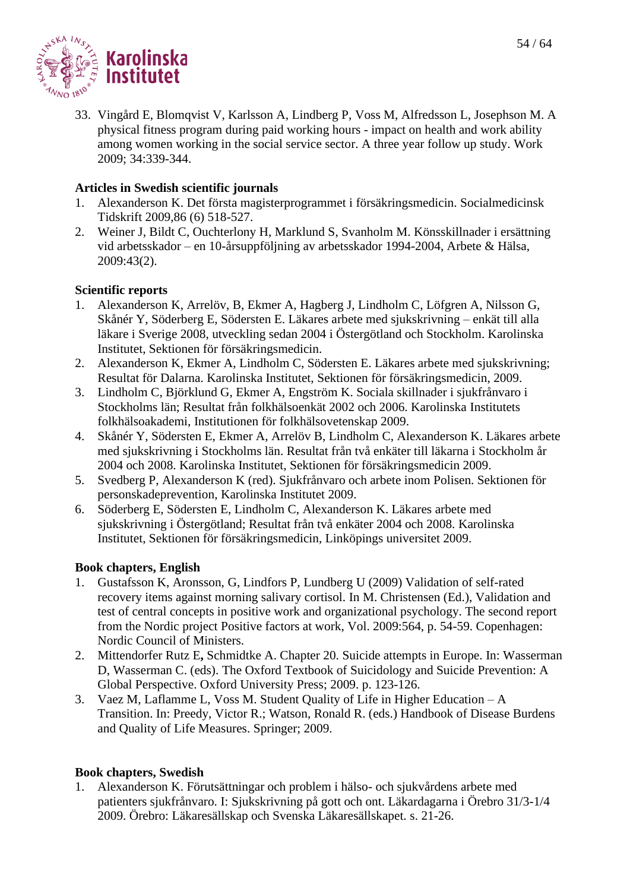

33. Vingård E, Blomqvist V, Karlsson A, Lindberg P, Voss M, Alfredsson L, Josephson M. A physical fitness program during paid working hours - impact on health and work ability among women working in the social service sector. A three year follow up study. Work 2009; 34:339-344.

# **Articles in Swedish scientific journals**

- 1. Alexanderson K. Det första magisterprogrammet i försäkringsmedicin. Socialmedicinsk Tidskrift 2009,86 (6) 518-527.
- 2. Weiner J, Bildt C, Ouchterlony H, Marklund S, Svanholm M. Könsskillnader i ersättning vid arbetsskador – en 10-årsuppföljning av arbetsskador 1994-2004, Arbete & Hälsa, 2009:43(2).

# **Scientific reports**

- 1. Alexanderson K, Arrelöv, B, Ekmer A, Hagberg J, Lindholm C, Löfgren A, Nilsson G, Skånér Y, Söderberg E, Södersten E. Läkares arbete med sjukskrivning – enkät till alla läkare i Sverige 2008, utveckling sedan 2004 i Östergötland och Stockholm. Karolinska Institutet, Sektionen för försäkringsmedicin.
- 2. Alexanderson K, Ekmer A, Lindholm C, Södersten E. Läkares arbete med sjukskrivning; Resultat för Dalarna. Karolinska Institutet, Sektionen för försäkringsmedicin, 2009.
- 3. Lindholm C, Björklund G, Ekmer A, Engström K. Sociala skillnader i sjukfrånvaro i Stockholms län; Resultat från folkhälsoenkät 2002 och 2006. Karolinska Institutets folkhälsoakademi, Institutionen för folkhälsovetenskap 2009.
- 4. Skånér Y, Södersten E, Ekmer A, Arrelöv B, Lindholm C, Alexanderson K. Läkares arbete med sjukskrivning i Stockholms län. Resultat från två enkäter till läkarna i Stockholm år 2004 och 2008. Karolinska Institutet, Sektionen för försäkringsmedicin 2009.
- 5. Svedberg P, Alexanderson K (red). Sjukfrånvaro och arbete inom Polisen. Sektionen för personskadeprevention, Karolinska Institutet 2009.
- 6. Söderberg E, Södersten E, Lindholm C, Alexanderson K. Läkares arbete med sjukskrivning i Östergötland; Resultat från två enkäter 2004 och 2008. Karolinska Institutet, Sektionen för försäkringsmedicin, Linköpings universitet 2009.

# **Book chapters, English**

- 1. Gustafsson K, Aronsson, G, Lindfors P, Lundberg U (2009) Validation of self-rated recovery items against morning salivary cortisol. In M. Christensen (Ed.), Validation and test of central concepts in positive work and organizational psychology. The second report from the Nordic project Positive factors at work, Vol. 2009:564, p. 54-59. Copenhagen: Nordic Council of Ministers.
- 2. Mittendorfer Rutz E**,** Schmidtke A. Chapter 20. Suicide attempts in Europe. In: Wasserman D, Wasserman C. (eds). The Oxford Textbook of Suicidology and Suicide Prevention: A Global Perspective. Oxford University Press; 2009. p. 123-126.
- 3. Vaez M, Laflamme L, Voss M. Student Quality of Life in Higher Education A Transition. In: Preedy, Victor R.; Watson, Ronald R. (eds.) Handbook of Disease Burdens and Quality of Life Measures. Springer; 2009.

# **Book chapters, Swedish**

1. Alexanderson K. Förutsättningar och problem i hälso- och sjukvårdens arbete med patienters sjukfrånvaro. I: Sjukskrivning på gott och ont. Läkardagarna i Örebro 31/3-1/4 2009. Örebro: Läkaresällskap och Svenska Läkaresällskapet. s. 21-26.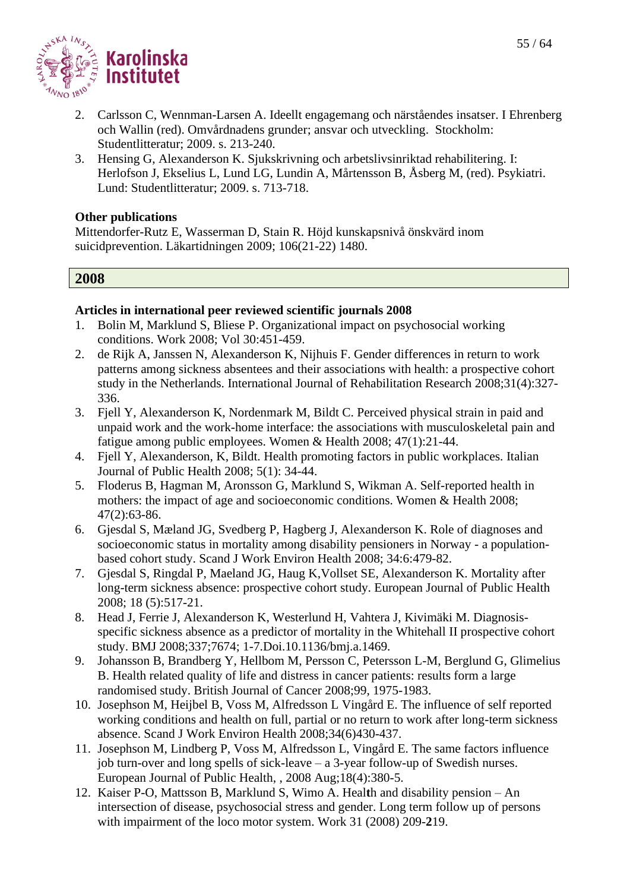

- 2. Carlsson C, Wennman-Larsen A. Ideellt engagemang och närståendes insatser. I Ehrenberg och Wallin (red). Omvårdnadens grunder; ansvar och utveckling. Stockholm: Studentlitteratur; 2009. s. 213-240.
- 3. Hensing G, Alexanderson K. Sjukskrivning och arbetslivsinriktad rehabilitering. I: Herlofson J, Ekselius L, Lund LG, Lundin A, Mårtensson B, Åsberg M, (red). Psykiatri. Lund: Studentlitteratur; 2009. s. 713-718.

#### **Other publications**

Mittendorfer-Rutz E, Wasserman D, Stain R. Höjd kunskapsnivå önskvärd inom suicidprevention. Läkartidningen 2009; 106(21-22) 1480.

#### **2008**

- 1. Bolin M, Marklund S, Bliese P. Organizational impact on psychosocial working conditions. Work 2008; Vol 30:451-459.
- 2. de Rijk A, Janssen N, Alexanderson K, Nijhuis F. Gender differences in return to work patterns among sickness absentees and their associations with health: a prospective cohort study in the Netherlands. International Journal of Rehabilitation Research 2008;31(4):327- 336.
- 3. Fjell Y, Alexanderson K, Nordenmark M, Bildt C. Perceived physical strain in paid and unpaid work and the work-home interface: the associations with musculoskeletal pain and fatigue among public employees. Women & Health 2008; 47(1):21-44.
- 4. Fjell Y, Alexanderson, K, Bildt. Health promoting factors in public workplaces. Italian Journal of Public Health 2008; 5(1): 34-44.
- 5. Floderus B, Hagman M, Aronsson G, Marklund S, Wikman A. Self-reported health in mothers: the impact of age and socioeconomic conditions. Women & Health 2008; 47(2):63-86.
- 6. Gjesdal S, Mæland JG, Svedberg P, Hagberg J, Alexanderson K. Role of diagnoses and socioeconomic status in mortality among disability pensioners in Norway - a populationbased cohort study. Scand J Work Environ Health 2008; 34:6:479-82.
- 7. Gjesdal S, Ringdal P, Maeland JG, Haug K,Vollset SE, Alexanderson K. Mortality after long-term sickness absence: prospective cohort study. European Journal of Public Health 2008; 18 (5):517-21.
- 8. Head J, Ferrie J, Alexanderson K, Westerlund H, Vahtera J, Kivimäki M. Diagnosisspecific sickness absence as a predictor of mortality in the Whitehall II prospective cohort study. BMJ 2008;337;7674; 1-7.Doi.10.1136/bmj.a.1469.
- 9. Johansson B, Brandberg Y, Hellbom M, Persson C, Petersson L-M, Berglund G, Glimelius B. Health related quality of life and distress in cancer patients: results form a large randomised study. British Journal of Cancer 2008;99, 1975-1983.
- 10. Josephson M, Heijbel B, Voss M, Alfredsson L Vingård E. The influence of self reported working conditions and health on full, partial or no return to work after long-term sickness absence. Scand J Work Environ Health 2008;34(6)430-437.
- 11. Josephson M, Lindberg P, Voss M, Alfredsson L, Vingård E. The same factors influence job turn-over and long spells of sick-leave – a 3-year follow-up of Swedish nurses. European Journal of Public Health, , 2008 Aug;18(4):380-5.
- 12. Kaiser P-O, Mattsson B, Marklund S, Wimo A. Heal**t**h and disability pension An intersection of disease, psychosocial stress and gender. Long term follow up of persons with impairment of the loco motor system. Work 31 (2008) 209-**2**19.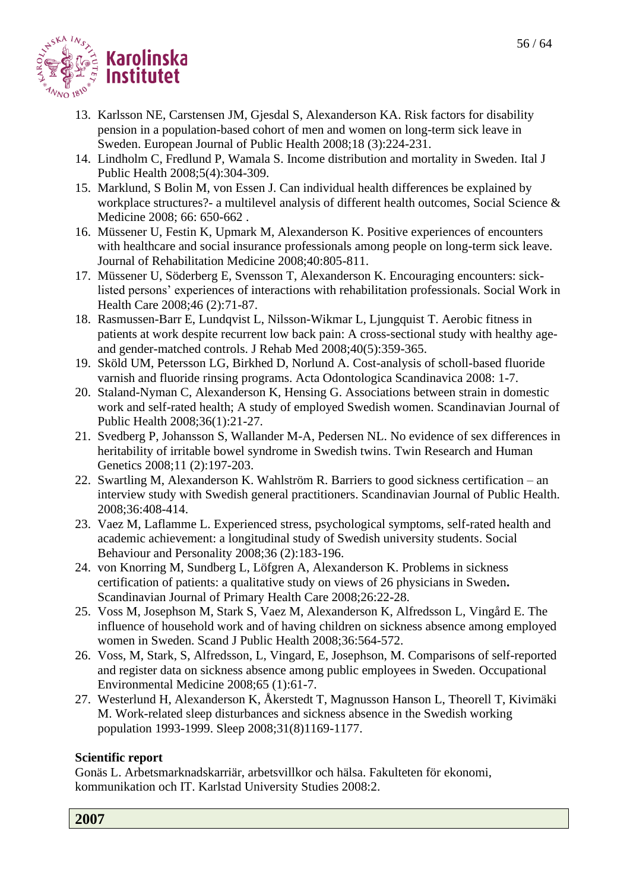

- 13. [Karlsson NE, Carstensen JM, Gjesdal S, Alexanderson KA.](http://www.ncbi.nlm.nih.gov/pubmed/18245150?ordinalpos=8&itool=EntrezSystem2.PEntrez.Pubmed.Pubmed_ResultsPanel.Pubmed_RVDocSum) Risk factors for disability pension in a population-based cohort of men and women on long-term sick leave in Sweden. European Journal of Public Health 2008;18 (3):224-231.
- 14. Lindholm C, Fredlund P, Wamala S. Income distribution and mortality in Sweden. Ital J Public Health 2008;5(4):304-309.
- 15. Marklund, S Bolin M, von Essen J. Can individual health differences be explained by workplace structures?- a multilevel analysis of different health outcomes, Social Science & Medicine 2008; 66: 650-662 .
- 16. Müssener U, Festin K, Upmark M, Alexanderson K. Positive experiences of encounters with healthcare and social insurance professionals among people on long-term sick leave. Journal of Rehabilitation Medicine 2008;40:805-811.
- 17. Müssener U, Söderberg E, Svensson T, Alexanderson K. Encouraging encounters: sicklisted persons' experiences of interactions with rehabilitation professionals. Social Work in Health Care 2008;46 (2):71-87.
- 18. Rasmussen-Barr E, Lundqvist L, Nilsson-Wikmar L, Ljungquist T. Aerobic fitness in patients at work despite recurrent low back pain: A cross-sectional study with healthy ageand gender-matched controls. J Rehab Med 2008;40(5):359-365.
- 19. Sköld UM, Petersson LG, Birkhed D, Norlund A. Cost-analysis of scholl-based fluoride varnish and fluoride rinsing programs. Acta Odontologica Scandinavica 2008: 1-7.
- 20. Staland-Nyman C, Alexanderson K, Hensing G. Associations between strain in domestic work and self-rated health; A study of employed Swedish women. Scandinavian Journal of Public Health 2008;36(1):21-27.
- 21. Svedberg P, Johansson S, Wallander M-A, Pedersen NL. No evidence of sex differences in heritability of irritable bowel syndrome in Swedish twins. Twin Research and Human Genetics 2008;11 (2):197-203.
- 22. Swartling M, Alexanderson K. Wahlström R. Barriers to good sickness certification an interview study with Swedish general practitioners. Scandinavian Journal of Public Health. 2008;36:408-414.
- 23. Vaez M, Laflamme L. Experienced stress, psychological symptoms, self-rated health and academic achievement: a longitudinal study of Swedish university students. Social Behaviour and Personality 2008;36 (2):183-196.
- 24. von Knorring M, Sundberg L, Löfgren A, Alexanderson K. Problems in sickness certification of patients: a qualitative study on views of 26 physicians in Sweden**.** Scandinavian Journal of Primary Health Care 2008;26:22-28.
- 25. Voss M, Josephson M, Stark S, Vaez M, Alexanderson K, Alfredsson L, Vingård E. The influence of household work and of having children on sickness absence among employed women in Sweden. Scand J Public Health 2008;36:564-572.
- 26. Voss, M, Stark, S, Alfredsson, L, Vingard, E, Josephson, M. Comparisons of self-reported and register data on sickness absence among public employees in Sweden. Occupational Environmental Medicine 2008;65 (1):61-7.
- 27. Westerlund H, Alexanderson K, Åkerstedt T, Magnusson Hanson L, Theorell T, Kivimäki M. Work-related sleep disturbances and sickness absence in the Swedish working population 1993-1999. Sleep 2008;31(8)1169-1177.

# **Scientific report**

Gonäs L. Arbetsmarknadskarriär, arbetsvillkor och hälsa. Fakulteten för ekonomi, kommunikation och IT. Karlstad University Studies 2008:2.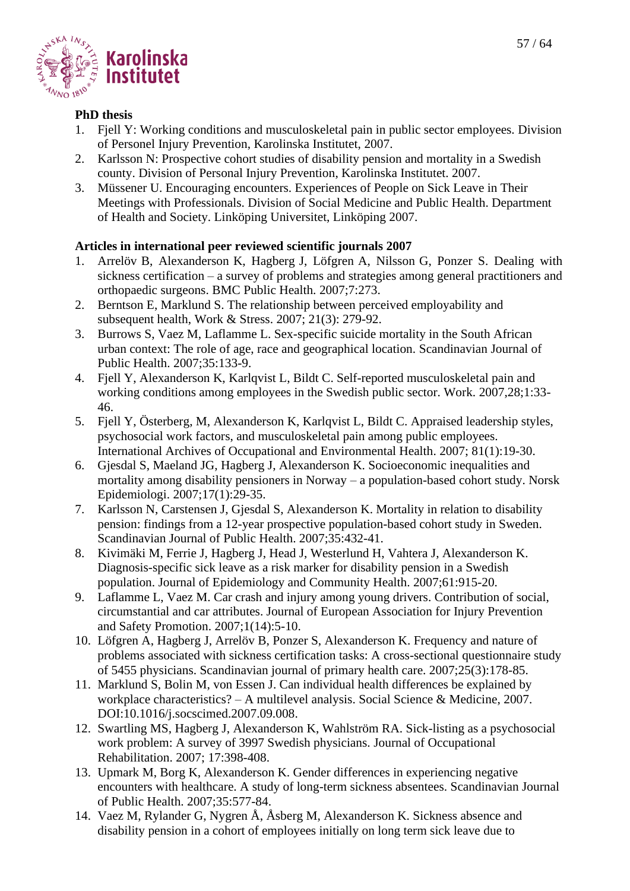

#### **PhD thesis**

- 1. Fjell Y: Working conditions and musculoskeletal pain in public sector employees. Division of Personel Injury Prevention, Karolinska Institutet, 2007.
- 2. Karlsson N: Prospective cohort studies of disability pension and mortality in a Swedish county. Division of Personal Injury Prevention, Karolinska Institutet. 2007.
- 3. Müssener U. Encouraging encounters. Experiences of People on Sick Leave in Their Meetings with Professionals. Division of Social Medicine and Public Health. Department of Health and Society. Linköping Universitet, Linköping 2007.

- 1. Arrelöv B, Alexanderson K, Hagberg J, Löfgren A, Nilsson G, Ponzer S. Dealing with sickness certification – a survey of problems and strategies among general practitioners and orthopaedic surgeons. BMC Public Health. 2007;7:273.
- 2. Berntson E, Marklund S. The relationship between perceived employability and subsequent health, Work & Stress. 2007; 21(3): 279-92.
- 3. Burrows S, Vaez M, Laflamme L. Sex-specific suicide mortality in the South African urban context: The role of age, race and geographical location. Scandinavian Journal of Public Health. 2007;35:133-9.
- 4. Fjell Y, Alexanderson K, Karlqvist L, Bildt C. Self-reported musculoskeletal pain and working conditions among employees in the Swedish public sector. Work. 2007,28;1:33- 46.
- 5. Fjell Y, Österberg, M, Alexanderson K, Karlqvist L, Bildt C. Appraised leadership styles, psychosocial work factors, and musculoskeletal pain among public employees. International Archives of Occupational and Environmental Health. 2007; 81(1):19-30.
- 6. Gjesdal S, Maeland JG, Hagberg J, Alexanderson K. Socioeconomic inequalities and mortality among disability pensioners in Norway – a population-based cohort study. Norsk Epidemiologi. 2007;17(1):29-35.
- 7. Karlsson N, Carstensen J, Gjesdal S, Alexanderson K. Mortality in relation to disability pension: findings from a 12-year prospective population-based cohort study in Sweden. Scandinavian Journal of Public Health. 2007;35:432-41.
- 8. Kivimäki M, Ferrie J, Hagberg J, Head J, Westerlund H, Vahtera J, Alexanderson K. Diagnosis-specific sick leave as a risk marker for disability pension in a Swedish population. Journal of Epidemiology and Community Health. 2007;61:915-20.
- 9. Laflamme L, Vaez M. Car crash and injury among young drivers. Contribution of social, circumstantial and car attributes. Journal of European Association for Injury Prevention and Safety Promotion. 2007;1(14):5-10.
- 10. Löfgren A, Hagberg J, Arrelöv B, Ponzer S, Alexanderson K. Frequency and nature of problems associated with sickness certification tasks: A cross-sectional questionnaire study of 5455 physicians. Scandinavian journal of primary health care. 2007;25(3):178-85.
- 11. Marklund S, Bolin M, von Essen J. Can individual health differences be explained by workplace characteristics? – A multilevel analysis. Social Science & Medicine, 2007. DOI:10.1016/j.socscimed.2007.09.008.
- 12. Swartling MS, Hagberg J, Alexanderson K, Wahlström RA. Sick-listing as a psychosocial work problem: A survey of 3997 Swedish physicians. Journal of Occupational Rehabilitation. 2007; 17:398-408.
- 13. Upmark M, Borg K, Alexanderson K. Gender differences in experiencing negative encounters with healthcare. A study of long-term sickness absentees. Scandinavian Journal of Public Health. 2007;35:577-84.
- 14. Vaez M, Rylander G, Nygren Å, Åsberg M, Alexanderson K. Sickness absence and disability pension in a cohort of employees initially on long term sick leave due to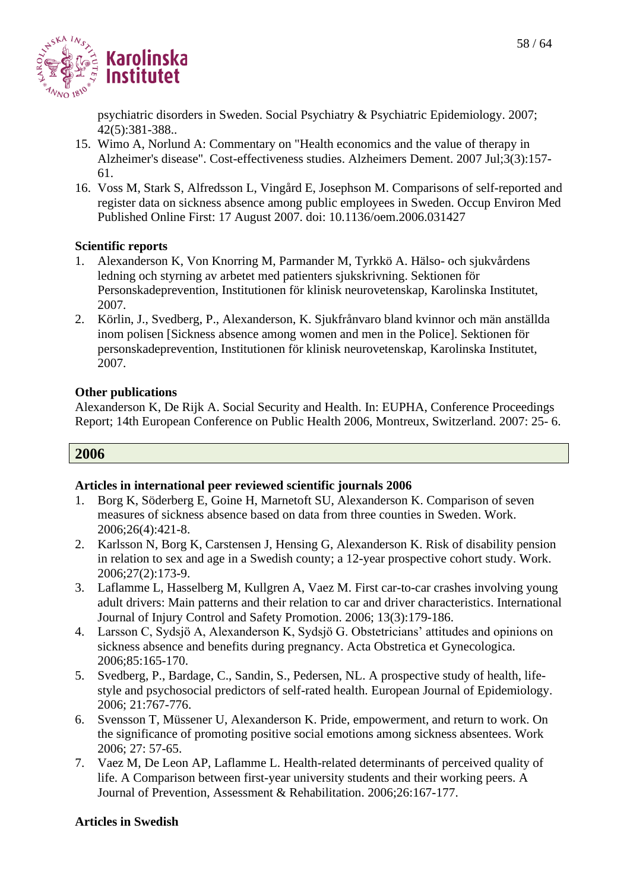

psychiatric disorders in Sweden. Social Psychiatry & Psychiatric Epidemiology. 2007; 42(5):381-388..

- 15. Wimo A, Norlund A: Commentary on "Health economics and the value of therapy in Alzheimer's disease". Cost-effectiveness studies. Alzheimers Dement. 2007 Jul;3(3):157- 61.
- 16. Voss M, Stark S, Alfredsson L, Vingård E, Josephson M. Comparisons of self-reported and register data on sickness absence among public employees in Sweden. Occup Environ Med Published Online First: 17 August 2007. doi: 10.1136/oem.2006.031427

# **Scientific reports**

- 1. Alexanderson K, Von Knorring M, Parmander M, Tyrkkö A. Hälso- och sjukvårdens ledning och styrning av arbetet med patienters sjukskrivning. Sektionen för Personskadeprevention, Institutionen för klinisk neurovetenskap, Karolinska Institutet, 2007.
- 2. Körlin, J., Svedberg, P., Alexanderson, K. Sjukfrånvaro bland kvinnor och män anställda inom polisen [Sickness absence among women and men in the Police]. Sektionen för personskadeprevention, Institutionen för klinisk neurovetenskap, Karolinska Institutet, 2007.

# **Other publications**

Alexanderson K, De Rijk A. Social Security and Health. In: EUPHA, Conference Proceedings Report; 14th European Conference on Public Health 2006, Montreux, Switzerland. 2007: 25- 6.

# **2006**

#### **Articles in international peer reviewed scientific journals 2006**

- 1. Borg K, Söderberg E, Goine H, Marnetoft SU, Alexanderson K. Comparison of seven measures of sickness absence based on data from three counties in Sweden. Work. 2006;26(4):421-8.
- 2. Karlsson N, Borg K, Carstensen J, Hensing G, Alexanderson K. Risk of disability pension in relation to sex and age in a Swedish county; a 12-year prospective cohort study. Work. 2006;27(2):173-9.
- 3. Laflamme L, Hasselberg M, Kullgren A, Vaez M. First car-to-car crashes involving young adult drivers: Main patterns and their relation to car and driver characteristics. International Journal of Injury Control and Safety Promotion. 2006; 13(3):179-186.
- 4. Larsson C, Sydsjö A, Alexanderson K, Sydsjö G. Obstetricians' attitudes and opinions on sickness absence and benefits during pregnancy. Acta Obstretica et Gynecologica. 2006;85:165-170.
- 5. Svedberg, P., Bardage, C., Sandin, S., Pedersen, NL. A prospective study of health, lifestyle and psychosocial predictors of self-rated health. European Journal of Epidemiology. 2006; 21:767-776.
- 6. Svensson T, Müssener U, Alexanderson K. Pride, empowerment, and return to work. On the significance of promoting positive social emotions among sickness absentees. Work 2006; 27: 57-65.
- 7. Vaez M, De Leon AP, Laflamme L. Health-related determinants of perceived quality of life. A Comparison between first-year university students and their working peers. A Journal of Prevention, Assessment & Rehabilitation. 2006;26:167-177.

#### **Articles in Swedish**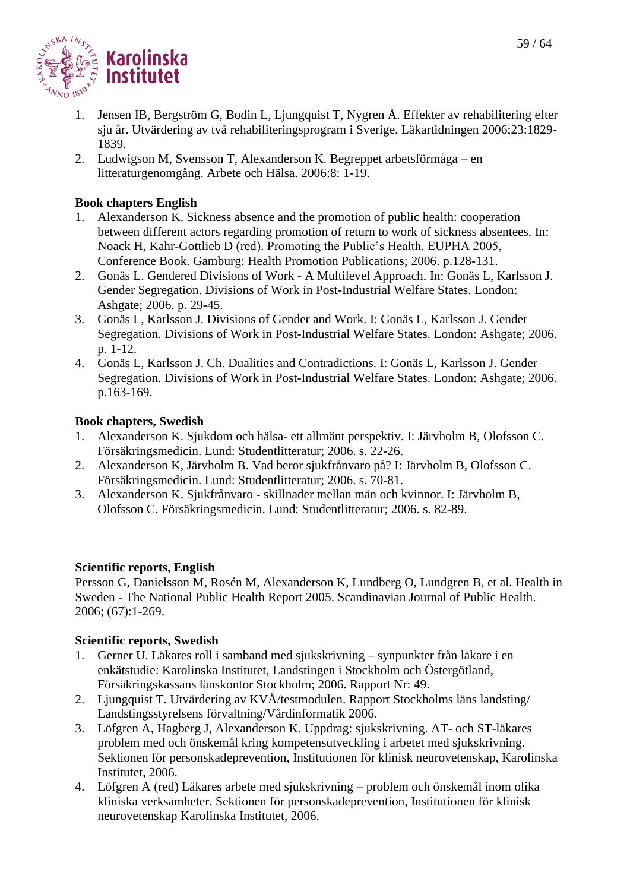

- 1. Jensen IB, Bergström G, Bodin L, Ljungquist T, Nygren Å. Effekter av rehabilitering efter sju år. Utvärdering av två rehabiliteringsprogram i Sverige. Läkartidningen 2006;23:1829- 1839.
- 2. Ludwigson M, Svensson T, Alexanderson K. Begreppet arbetsförmåga en litteraturgenomgång. Arbete och Hälsa. 2006:8: 1-19.

# **Book chapters English**

- 1. Alexanderson K. Sickness absence and the promotion of public health: cooperation between different actors regarding promotion of return to work of sickness absentees. In: Noack H, Kahr-Gottlieb D (red). Promoting the Public's Health. EUPHA 2005, Conference Book. Gamburg: Health Promotion Publications; 2006. p.128-131.
- 2. Gonäs L. Gendered Divisions of Work A Multilevel Approach. In: Gonäs L, Karlsson J. Gender Segregation. Divisions of Work in Post-Industrial Welfare States. London: Ashgate; 2006. p. 29-45.
- 3. Gonäs L, Karlsson J. Divisions of Gender and Work. I: Gonäs L, Karlsson J. Gender Segregation. Divisions of Work in Post-Industrial Welfare States. London: Ashgate; 2006. p. 1-12.
- 4. Gonäs L, Karlsson J. Ch. Dualities and Contradictions. I: Gonäs L, Karlsson J. Gender Segregation. Divisions of Work in Post-Industrial Welfare States. London: Ashgate; 2006. p.163-169.

# **Book chapters, Swedish**

- 1. Alexanderson K. Sjukdom och hälsa- ett allmänt perspektiv. I: Järvholm B, Olofsson C. Försäkringsmedicin. Lund: Studentlitteratur; 2006. s. 22-26.
- 2. Alexanderson K, Järvholm B. Vad beror sjukfrånvaro på? I: Järvholm B, Olofsson C. Försäkringsmedicin. Lund: Studentlitteratur; 2006. s. 70-81.
- 3. Alexanderson K. Sjukfrånvaro skillnader mellan män och kvinnor. I: Järvholm B, Olofsson C. Försäkringsmedicin. Lund: Studentlitteratur; 2006. s. 82-89.

# **Scientific reports, English**

Persson G, Danielsson M, Rosén M, Alexanderson K, Lundberg O, Lundgren B, et al. Health in Sweden - The National Public Health Report 2005. Scandinavian Journal of Public Health. 2006; (67):1-269.

# **Scientific reports, Swedish**

- 1. Gerner U. Läkares roll i samband med sjukskrivning synpunkter från läkare i en enkätstudie: Karolinska Institutet, Landstingen i Stockholm och Östergötland, Försäkringskassans länskontor Stockholm; 2006. Rapport Nr: 49.
- 2. Ljungquist T. Utvärdering av KVÅ/testmodulen. Rapport Stockholms läns landsting/ Landstingsstyrelsens förvaltning/Vårdinformatik 2006.
- 3. Löfgren A, Hagberg J, Alexanderson K. Uppdrag: sjukskrivning. AT- och ST-läkares problem med och önskemål kring kompetensutveckling i arbetet med sjukskrivning. Sektionen för personskadeprevention, Institutionen för klinisk neurovetenskap, Karolinska Institutet, 2006.
- 4. Löfgren A (red) Läkares arbete med sjukskrivning problem och önskemål inom olika kliniska verksamheter. Sektionen för personskadeprevention, Institutionen för klinisk neurovetenskap Karolinska Institutet, 2006.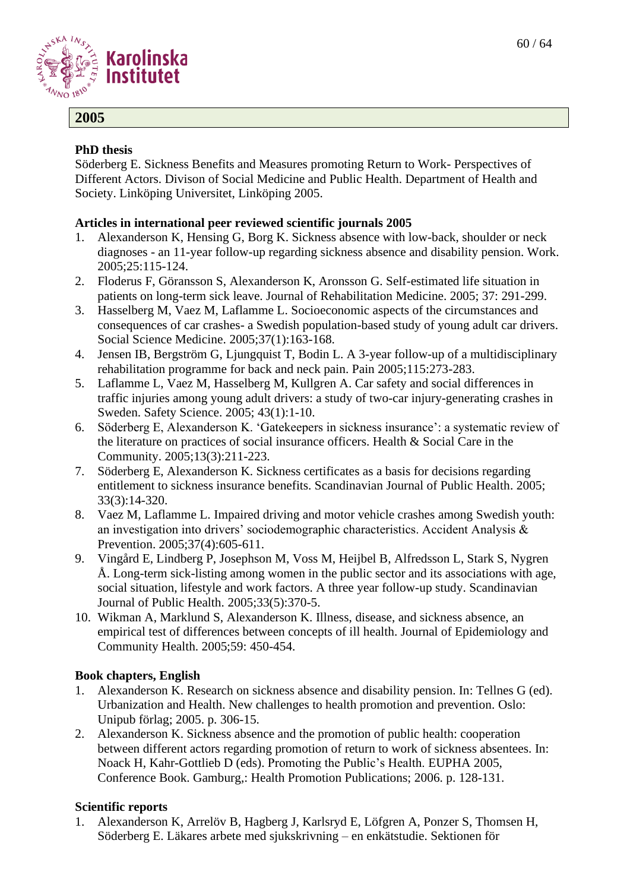

# **2005**

# **PhD thesis**

Söderberg E. Sickness Benefits and Measures promoting Return to Work- Perspectives of Different Actors. Divison of Social Medicine and Public Health. Department of Health and Society. Linköping Universitet, Linköping 2005.

# **Articles in international peer reviewed scientific journals 2005**

- 1. Alexanderson K, Hensing G, Borg K. Sickness absence with low-back, shoulder or neck diagnoses - an 11-year follow-up regarding sickness absence and disability pension. Work. 2005;25:115-124.
- 2. Floderus F, Göransson S, Alexanderson K, Aronsson G. Self-estimated life situation in patients on long-term sick leave. Journal of Rehabilitation Medicine. 2005; 37: 291-299.
- 3. Hasselberg M, Vaez M, Laflamme L. Socioeconomic aspects of the circumstances and consequences of car crashes- a Swedish population-based study of young adult car drivers. Social Science Medicine. 2005;37(1):163-168.
- 4. Jensen IB, Bergström G, Ljungquist T, Bodin L. A 3-year follow-up of a multidisciplinary rehabilitation programme for back and neck pain. Pain 2005;115:273-283.
- 5. Laflamme L, Vaez M, Hasselberg M, Kullgren A. Car safety and social differences in traffic injuries among young adult drivers: a study of two-car injury-generating crashes in Sweden. Safety Science. 2005; 43(1):1-10.
- 6. Söderberg E, Alexanderson K. 'Gatekeepers in sickness insurance': a systematic review of the literature on practices of social insurance officers. Health & Social Care in the Community. 2005;13(3):211-223.
- 7. Söderberg E, Alexanderson K. Sickness certificates as a basis for decisions regarding entitlement to sickness insurance benefits. Scandinavian Journal of Public Health. 2005; 33(3):14-320.
- 8. Vaez M, Laflamme L. Impaired driving and motor vehicle crashes among Swedish youth: an investigation into drivers' sociodemographic characteristics. Accident Analysis & Prevention. 2005;37(4):605-611.
- 9. Vingård E, Lindberg P, Josephson M, Voss M, Heijbel B, Alfredsson L, Stark S, Nygren Å. Long-term sick-listing among women in the public sector and its associations with age, social situation, lifestyle and work factors. A three year follow-up study. Scandinavian Journal of Public Health. 2005;33(5):370-5.
- 10. Wikman A, Marklund S, Alexanderson K. Illness, disease, and sickness absence, an empirical test of differences between concepts of ill health. Journal of Epidemiology and Community Health. 2005;59: 450-454.

# **Book chapters, English**

- 1. Alexanderson K. Research on sickness absence and disability pension. In: Tellnes G (ed). Urbanization and Health. New challenges to health promotion and prevention. Oslo: Unipub förlag; 2005. p. 306-15.
- 2. Alexanderson K. Sickness absence and the promotion of public health: cooperation between different actors regarding promotion of return to work of sickness absentees. In: Noack H, Kahr-Gottlieb D (eds). Promoting the Public's Health. EUPHA 2005, Conference Book. Gamburg,: Health Promotion Publications; 2006. p. 128-131.

# **Scientific reports**

1. Alexanderson K, Arrelöv B, Hagberg J, Karlsryd E, Löfgren A, Ponzer S, Thomsen H, Söderberg E. Läkares arbete med sjukskrivning – en enkätstudie. Sektionen för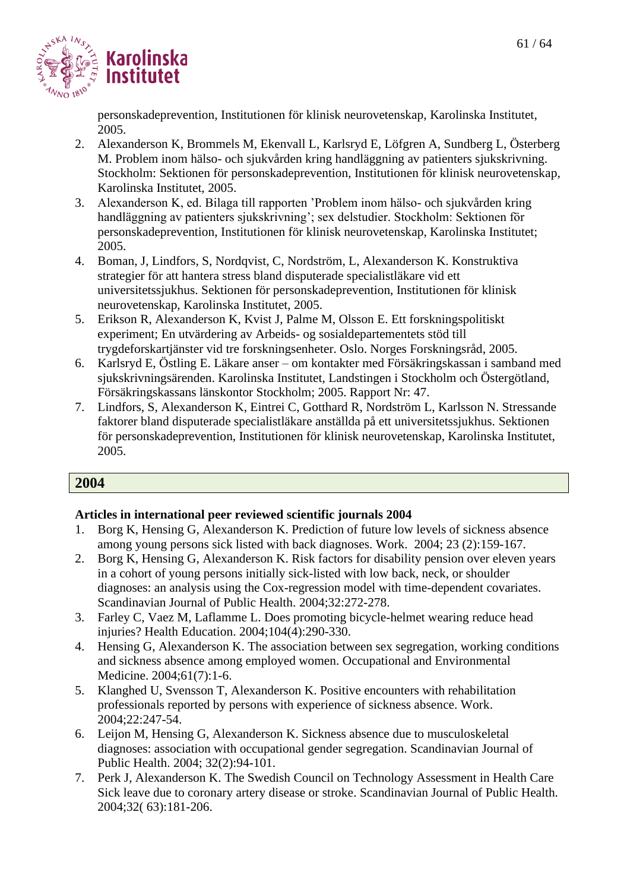

personskadeprevention, Institutionen för klinisk neurovetenskap, Karolinska Institutet, 2005.

- 2. Alexanderson K, Brommels M, Ekenvall L, Karlsryd E, Löfgren A, Sundberg L, Österberg M. Problem inom hälso- och sjukvården kring handläggning av patienters sjukskrivning. Stockholm: Sektionen för personskadeprevention, Institutionen för klinisk neurovetenskap, Karolinska Institutet, 2005.
- 3. Alexanderson K, ed. Bilaga till rapporten 'Problem inom hälso- och sjukvården kring handläggning av patienters sjukskrivning'; sex delstudier. Stockholm: Sektionen för personskadeprevention, Institutionen för klinisk neurovetenskap, Karolinska Institutet; 2005.
- 4. Boman, J, Lindfors, S, Nordqvist, C, Nordström, L, Alexanderson K. Konstruktiva strategier för att hantera stress bland disputerade specialistläkare vid ett universitetssjukhus. Sektionen för personskadeprevention, Institutionen för klinisk neurovetenskap, Karolinska Institutet, 2005.
- 5. Erikson R, Alexanderson K, Kvist J, Palme M, Olsson E. Ett forskningspolitiskt experiment; En utvärdering av Arbeids- og sosialdepartementets stöd till trygdeforskartjänster vid tre forskningsenheter. Oslo. Norges Forskningsråd, 2005.
- 6. Karlsryd E, Östling E. Läkare anser om kontakter med Försäkringskassan i samband med sjukskrivningsärenden. Karolinska Institutet, Landstingen i Stockholm och Östergötland, Försäkringskassans länskontor Stockholm; 2005. Rapport Nr: 47.
- 7. Lindfors, S, Alexanderson K, Eintrei C, Gotthard R, Nordström L, Karlsson N. Stressande faktorer bland disputerade specialistläkare anställda på ett universitetssjukhus. Sektionen för personskadeprevention, Institutionen för klinisk neurovetenskap, Karolinska Institutet, 2005.

# **2004**

- 1. Borg K, Hensing G, Alexanderson K. Prediction of future low levels of sickness absence among young persons sick listed with back diagnoses. Work. 2004; 23 (2):159-167.
- 2. Borg K, Hensing G, Alexanderson K. Risk factors for disability pension over eleven years in a cohort of young persons initially sick-listed with low back, neck, or shoulder diagnoses: an analysis using the Cox-regression model with time-dependent covariates. Scandinavian Journal of Public Health. 2004;32:272-278.
- 3. Farley C, Vaez M, Laflamme L. Does promoting bicycle-helmet wearing reduce head injuries? Health Education. 2004;104(4):290-330.
- 4. Hensing G, Alexanderson K. The association between sex segregation, working conditions and sickness absence among employed women. Occupational and Environmental Medicine. 2004;61(7):1-6.
- 5. Klanghed U, Svensson T, Alexanderson K. Positive encounters with rehabilitation professionals reported by persons with experience of sickness absence. Work. 2004;22:247-54.
- 6. Leijon M, Hensing G, Alexanderson K. Sickness absence due to musculoskeletal diagnoses: association with occupational gender segregation. Scandinavian Journal of Public Health. 2004; 32(2):94-101.
- 7. Perk J, Alexanderson K. The Swedish Council on Technology Assessment in Health Care Sick leave due to coronary artery disease or stroke. Scandinavian Journal of Public Health. 2004;32( 63):181-206.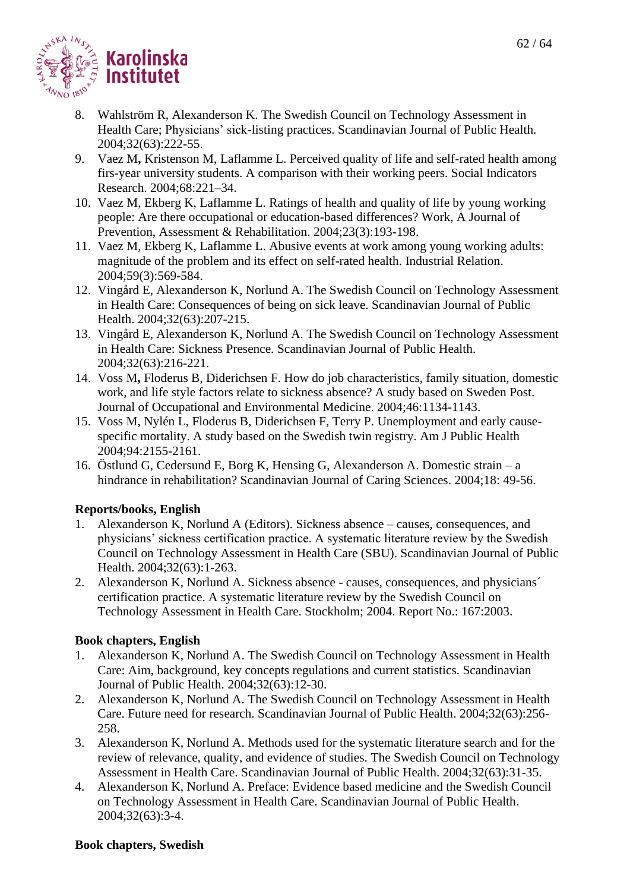

- 8. Wahlström R, Alexanderson K. The Swedish Council on Technology Assessment in Health Care; Physicians' sick-listing practices. Scandinavian Journal of Public Health. 2004;32(63):222-55.
- 9. Vaez M**,** Kristenson M, Laflamme L. Perceived quality of life and self-rated health among firs-year university students. A comparison with their working peers. Social Indicators Research. 2004;68:221–34.
- 10. Vaez M, Ekberg K, Laflamme L. Ratings of health and quality of life by young working people: Are there occupational or education-based differences? Work, A Journal of Prevention, Assessment & Rehabilitation. 2004;23(3):193-198.
- 11. Vaez M, Ekberg K, Laflamme L. Abusive events at work among young working adults: magnitude of the problem and its effect on self-rated health. Industrial Relation. 2004;59(3):569-584.
- 12. Vingård E, Alexanderson K, Norlund A. The Swedish Council on Technology Assessment in Health Care: Consequences of being on sick leave. Scandinavian Journal of Public Health. 2004;32(63):207-215.
- 13. Vingård E, Alexanderson K, Norlund A. The Swedish Council on Technology Assessment in Health Care: Sickness Presence. Scandinavian Journal of Public Health. 2004;32(63):216-221.
- 14. Voss M**,** Floderus B, Diderichsen F. How do job characteristics, family situation, domestic work, and life style factors relate to sickness absence? A study based on Sweden Post. Journal of Occupational and Environmental Medicine. 2004;46:1134-1143.
- 15. Voss M, Nylén L, Floderus B, Diderichsen F, Terry P. Unemployment and early causespecific mortality. A study based on the Swedish twin registry. Am J Public Health 2004;94:2155-2161.
- 16. Östlund G, Cedersund E, Borg K, Hensing G, Alexanderson A. Domestic strain a hindrance in rehabilitation? Scandinavian Journal of Caring Sciences. 2004;18: 49-56.

# **Reports/books, English**

- 1. Alexanderson K, Norlund A (Editors). Sickness absence causes, consequences, and physicians' sickness certification practice. A systematic literature review by the Swedish Council on Technology Assessment in Health Care (SBU). Scandinavian Journal of Public Health. 2004;32(63):1-263.
- 2. Alexanderson K, Norlund A. Sickness absence causes, consequences, and physicians´ certification practice. A systematic literature review by the Swedish Council on Technology Assessment in Health Care. Stockholm; 2004. Report No.: 167:2003.

# **Book chapters, English**

- 1. Alexanderson K, Norlund A. The Swedish Council on Technology Assessment in Health Care: Aim, background, key concepts regulations and current statistics. Scandinavian Journal of Public Health. 2004;32(63):12-30.
- 2. Alexanderson K, Norlund A. The Swedish Council on Technology Assessment in Health Care. Future need for research. Scandinavian Journal of Public Health. 2004;32(63):256- 258.
- 3. Alexanderson K, Norlund A. Methods used for the systematic literature search and for the review of relevance, quality, and evidence of studies. The Swedish Council on Technology Assessment in Health Care. Scandinavian Journal of Public Health. 2004;32(63):31-35.
- 4. Alexanderson K, Norlund A. Preface: Evidence based medicine and the Swedish Council on Technology Assessment in Health Care. Scandinavian Journal of Public Health. 2004;32(63):3-4.

#### **Book chapters, Swedish**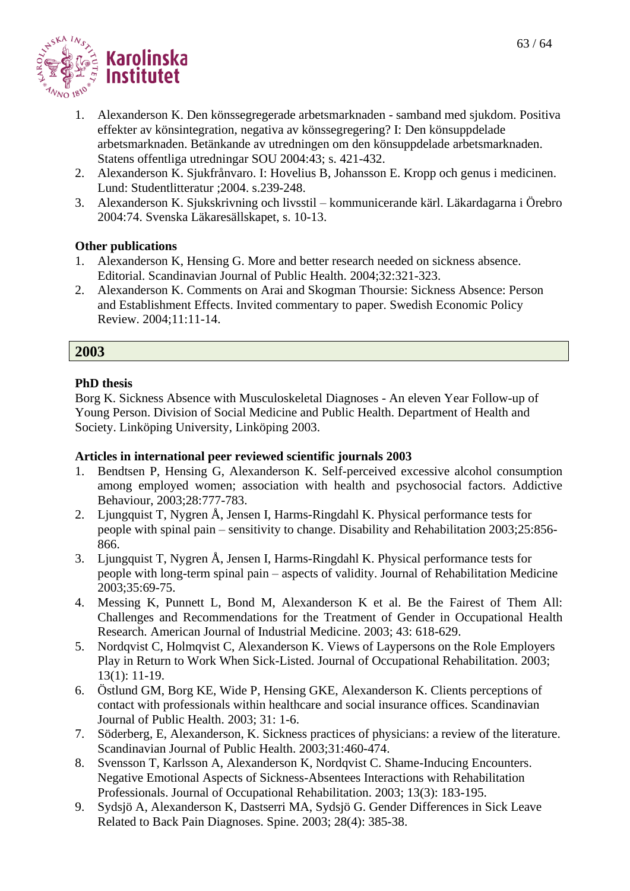

- 1. Alexanderson K. Den könssegregerade arbetsmarknaden samband med sjukdom. Positiva effekter av könsintegration, negativa av könssegregering? I: Den könsuppdelade arbetsmarknaden. Betänkande av utredningen om den könsuppdelade arbetsmarknaden. Statens offentliga utredningar SOU 2004:43; s. 421-432.
- 2. Alexanderson K. Sjukfrånvaro. I: Hovelius B, Johansson E. Kropp och genus i medicinen. Lund: Studentlitteratur ;2004. s.239-248.
- 3. Alexanderson K. Sjukskrivning och livsstil kommunicerande kärl. Läkardagarna i Örebro 2004:74. Svenska Läkaresällskapet, s. 10-13.

#### **Other publications**

- 1. Alexanderson K, Hensing G. More and better research needed on sickness absence. Editorial. Scandinavian Journal of Public Health. 2004;32:321-323.
- 2. Alexanderson K. Comments on Arai and Skogman Thoursie: Sickness Absence: Person and Establishment Effects. Invited commentary to paper. Swedish Economic Policy Review. 2004;11:11-14.

#### **2003**

#### **PhD thesis**

Borg K. Sickness Absence with Musculoskeletal Diagnoses - An eleven Year Follow-up of Young Person. Division of Social Medicine and Public Health. Department of Health and Society. Linköping University, Linköping 2003.

- 1. Bendtsen P, Hensing G, Alexanderson K. Self-perceived excessive alcohol consumption among employed women; association with health and psychosocial factors. Addictive Behaviour, 2003;28:777-783.
- 2. Ljungquist T, Nygren Å, Jensen I, Harms-Ringdahl K. Physical performance tests for people with spinal pain – sensitivity to change. Disability and Rehabilitation 2003;25:856- 866.
- 3. Ljungquist T, Nygren Å, Jensen I, Harms-Ringdahl K. Physical performance tests for people with long-term spinal pain – aspects of validity. Journal of Rehabilitation Medicine 2003;35:69-75.
- 4. Messing K, Punnett L, Bond M, Alexanderson K et al. Be the Fairest of Them All: Challenges and Recommendations for the Treatment of Gender in Occupational Health Research. American Journal of Industrial Medicine. 2003; 43: 618-629.
- 5. Nordqvist C, Holmqvist C, Alexanderson K. Views of Laypersons on the Role Employers Play in Return to Work When Sick-Listed. Journal of Occupational Rehabilitation. 2003; 13(1): 11-19.
- 6. Östlund GM, Borg KE, Wide P, Hensing GKE, Alexanderson K. Clients perceptions of contact with professionals within healthcare and social insurance offices. Scandinavian Journal of Public Health. 2003; 31: 1-6.
- 7. Söderberg, E, Alexanderson, K. Sickness practices of physicians: a review of the literature. Scandinavian Journal of Public Health. 2003;31:460-474.
- 8. Svensson T, Karlsson A, Alexanderson K, Nordqvist C. Shame-Inducing Encounters. Negative Emotional Aspects of Sickness-Absentees Interactions with Rehabilitation Professionals. Journal of Occupational Rehabilitation. 2003; 13(3): 183-195.
- 9. Sydsjö A, Alexanderson K, Dastserri MA, Sydsjö G. Gender Differences in Sick Leave Related to Back Pain Diagnoses. Spine. 2003; 28(4): 385-38.